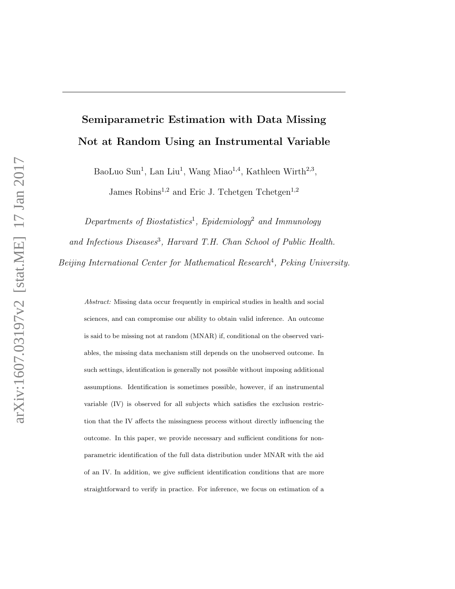# Semiparametric Estimation with Data Missing Not at Random Using an Instrumental Variable

BaoLuo Sun<sup>1</sup>, Lan Liu<sup>1</sup>, Wang Miao<sup>1,4</sup>, Kathleen Wirth<sup>2,3</sup>,

James Robins<sup>1,2</sup> and Eric J. Tchetgen Tchetgen<sup>1,2</sup>

 $Departments$  of Biostatistics<sup>1</sup>, Epidemiology<sup>2</sup> and Immunology and Infectious Diseases<sup>3</sup>, Harvard T.H. Chan School of Public Health. Beijing International Center for Mathematical Research<sup>4</sup>, Peking University.

Abstract: Missing data occur frequently in empirical studies in health and social sciences, and can compromise our ability to obtain valid inference. An outcome is said to be missing not at random (MNAR) if, conditional on the observed variables, the missing data mechanism still depends on the unobserved outcome. In such settings, identification is generally not possible without imposing additional assumptions. Identification is sometimes possible, however, if an instrumental variable (IV) is observed for all subjects which satisfies the exclusion restriction that the IV affects the missingness process without directly influencing the outcome. In this paper, we provide necessary and sufficient conditions for nonparametric identification of the full data distribution under MNAR with the aid of an IV. In addition, we give sufficient identification conditions that are more straightforward to verify in practice. For inference, we focus on estimation of a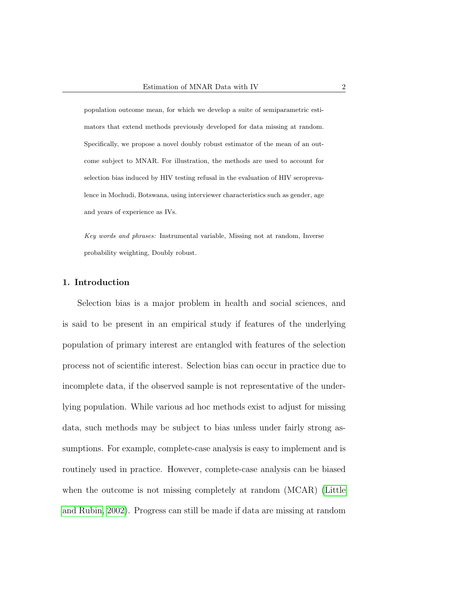population outcome mean, for which we develop a suite of semiparametric estimators that extend methods previously developed for data missing at random. Specifically, we propose a novel doubly robust estimator of the mean of an outcome subject to MNAR. For illustration, the methods are used to account for selection bias induced by HIV testing refusal in the evaluation of HIV seroprevalence in Mochudi, Botswana, using interviewer characteristics such as gender, age and years of experience as IVs.

Key words and phrases: Instrumental variable, Missing not at random, Inverse probability weighting, Doubly robust.

### 1. Introduction

Selection bias is a major problem in health and social sciences, and is said to be present in an empirical study if features of the underlying population of primary interest are entangled with features of the selection process not of scientific interest. Selection bias can occur in practice due to incomplete data, if the observed sample is not representative of the underlying population. While various ad hoc methods exist to adjust for missing data, such methods may be subject to bias unless under fairly strong assumptions. For example, complete-case analysis is easy to implement and is routinely used in practice. However, complete-case analysis can be biased when the outcome is not missing completely at random (MCAR) [\(Little](#page-32-0) [and Rubin, 2002\)](#page-32-0). Progress can still be made if data are missing at random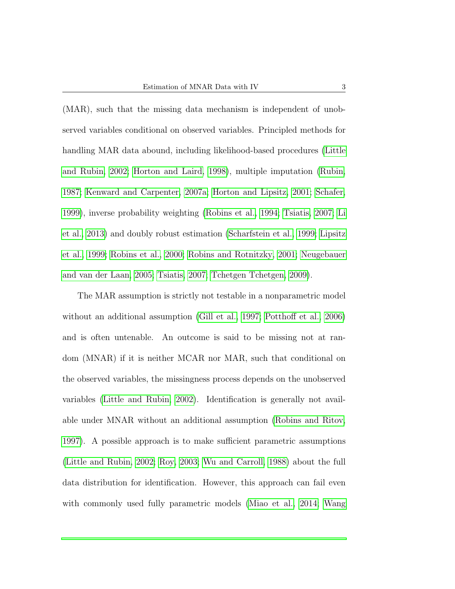(MAR), such that the missing data mechanism is independent of unobserved variables conditional on observed variables. Principled methods for handling MAR data abound, including likelihood-based procedures [\(Little](#page-32-0) [and Rubin, 2002;](#page-32-0) [Horton and Laird, 1998\)](#page-31-0), multiple imputation [\(Rubin,](#page-35-0) [1987;](#page-35-0) [Kenward and Carpenter, 2007a;](#page-31-1) [Horton and Lipsitz, 2001;](#page-31-2) [Schafer,](#page-35-1) [1999\)](#page-35-1), inverse probability weighting [\(Robins et al., 1994;](#page-34-0) [Tsiatis, 2007;](#page-36-0) [Li](#page-32-1) [et al., 2013\)](#page-32-1) and doubly robust estimation [\(Scharfstein et al., 1999;](#page-35-2) [Lipsitz](#page-32-2) [et al., 1999;](#page-32-2) [Robins et al., 2000;](#page-34-1) [Robins and Rotnitzky, 2001;](#page-34-2) [Neugebauer](#page-33-0) [and van der Laan, 2005;](#page-33-0) [Tsiatis, 2007;](#page-36-0) [Tchetgen Tchetgen, 2009\)](#page-35-3).

The MAR assumption is strictly not testable in a nonparametric model without an additional assumption [\(Gill et al., 1997;](#page-31-3) [Potthoff et al., 2006\)](#page-33-1) and is often untenable. An outcome is said to be missing not at random (MNAR) if it is neither MCAR nor MAR, such that conditional on the observed variables, the missingness process depends on the unobserved variables [\(Little and Rubin, 2002\)](#page-32-0). Identification is generally not available under MNAR without an additional assumption [\(Robins and Ritov,](#page-34-3) [1997\)](#page-34-3). A possible approach is to make sufficient parametric assumptions [\(Little and Rubin, 2002;](#page-32-0) [Roy, 2003;](#page-35-4) [Wu and Carroll, 1988\)](#page-36-1) about the full data distribution for identification. However, this approach can fail even with commonly used fully parametric models [\(Miao et al., 2014;](#page-32-3) [Wang](#page-36-2)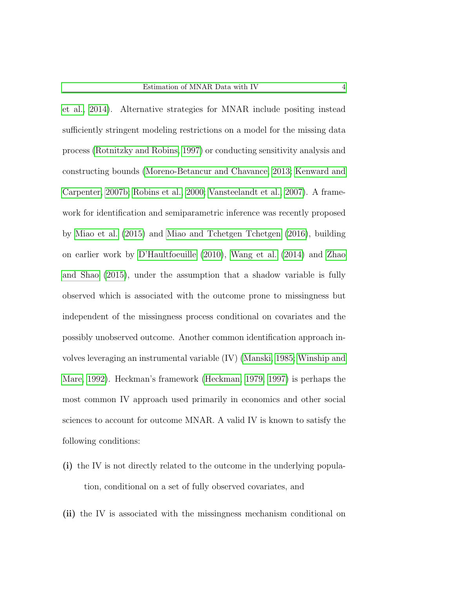[et al., 2014\)](#page-36-2). Alternative strategies for MNAR include positing instead sufficiently stringent modeling restrictions on a model for the missing data process [\(Rotnitzky and Robins, 1997\)](#page-34-4) or conducting sensitivity analysis and constructing bounds [\(Moreno-Betancur and Chavance, 2013;](#page-33-2) [Kenward and](#page-31-4) [Carpenter, 2007b;](#page-31-4) [Robins et al., 2000;](#page-34-1) [Vansteelandt et al., 2007\)](#page-36-3). A framework for identification and semiparametric inference was recently proposed by [Miao et al.](#page-32-4) [\(2015\)](#page-32-4) and [Miao and Tchetgen Tchetgen](#page-33-3) [\(2016\)](#page-33-3), building on earlier work by [D'Haultfoeuille](#page-31-5) [\(2010\)](#page-31-5), [Wang et al.](#page-36-2) [\(2014\)](#page-36-2) and [Zhao](#page-36-4) [and Shao](#page-36-4) [\(2015\)](#page-36-4), under the assumption that a shadow variable is fully observed which is associated with the outcome prone to missingness but independent of the missingness process conditional on covariates and the possibly unobserved outcome. Another common identification approach involves leveraging an instrumental variable (IV) [\(Manski, 1985;](#page-32-5) [Winship and](#page-36-5) [Mare, 1992\)](#page-36-5). Heckman's framework [\(Heckman, 1979,](#page-31-6) [1997\)](#page-31-7) is perhaps the most common IV approach used primarily in economics and other social sciences to account for outcome MNAR. A valid IV is known to satisfy the following conditions:

- (i) the IV is not directly related to the outcome in the underlying population, conditional on a set of fully observed covariates, and
- (ii) the IV is associated with the missingness mechanism conditional on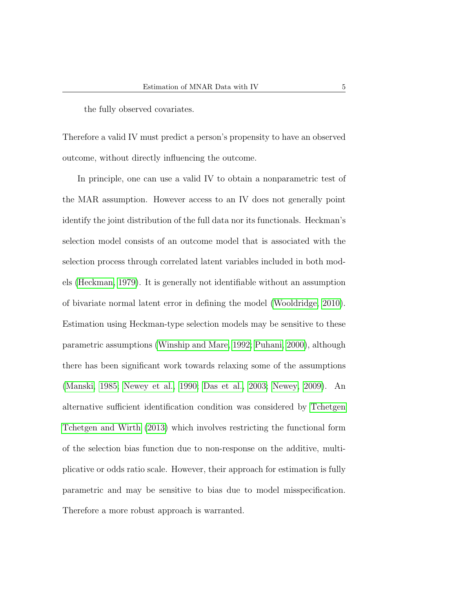the fully observed covariates.

Therefore a valid IV must predict a person's propensity to have an observed outcome, without directly influencing the outcome.

In principle, one can use a valid IV to obtain a nonparametric test of the MAR assumption. However access to an IV does not generally point identify the joint distribution of the full data nor its functionals. Heckman's selection model consists of an outcome model that is associated with the selection process through correlated latent variables included in both models [\(Heckman, 1979\)](#page-31-6). It is generally not identifiable without an assumption of bivariate normal latent error in defining the model [\(Wooldridge, 2010\)](#page-36-6). Estimation using Heckman-type selection models may be sensitive to these parametric assumptions [\(Winship and Mare, 1992;](#page-36-5) [Puhani, 2000\)](#page-34-5), although there has been significant work towards relaxing some of the assumptions [\(Manski, 1985;](#page-32-5) [Newey et al., 1990;](#page-33-4) [Das et al., 2003;](#page-30-0) [Newey, 2009\)](#page-33-5). An alternative sufficient identification condition was considered by [Tchetgen](#page-35-5) [Tchetgen and Wirth](#page-35-5) [\(2013\)](#page-35-5) which involves restricting the functional form of the selection bias function due to non-response on the additive, multiplicative or odds ratio scale. However, their approach for estimation is fully parametric and may be sensitive to bias due to model misspecification. Therefore a more robust approach is warranted.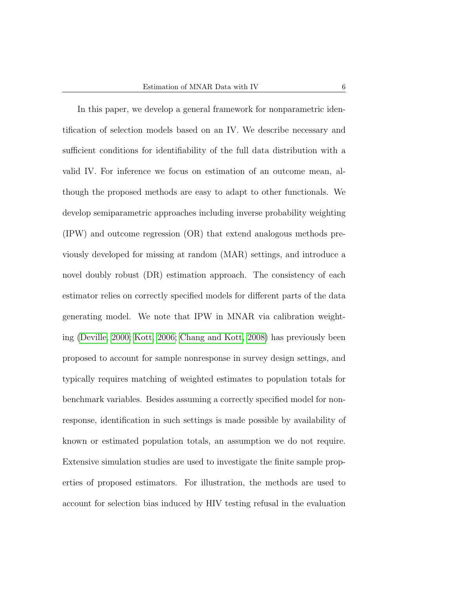In this paper, we develop a general framework for nonparametric identification of selection models based on an IV. We describe necessary and sufficient conditions for identifiability of the full data distribution with a valid IV. For inference we focus on estimation of an outcome mean, although the proposed methods are easy to adapt to other functionals. We develop semiparametric approaches including inverse probability weighting (IPW) and outcome regression (OR) that extend analogous methods previously developed for missing at random (MAR) settings, and introduce a novel doubly robust (DR) estimation approach. The consistency of each estimator relies on correctly specified models for different parts of the data generating model. We note that IPW in MNAR via calibration weighting [\(Deville, 2000;](#page-30-1) [Kott, 2006;](#page-32-6) [Chang and Kott, 2008\)](#page-30-2) has previously been proposed to account for sample nonresponse in survey design settings, and typically requires matching of weighted estimates to population totals for benchmark variables. Besides assuming a correctly specified model for nonresponse, identification in such settings is made possible by availability of known or estimated population totals, an assumption we do not require. Extensive simulation studies are used to investigate the finite sample properties of proposed estimators. For illustration, the methods are used to account for selection bias induced by HIV testing refusal in the evaluation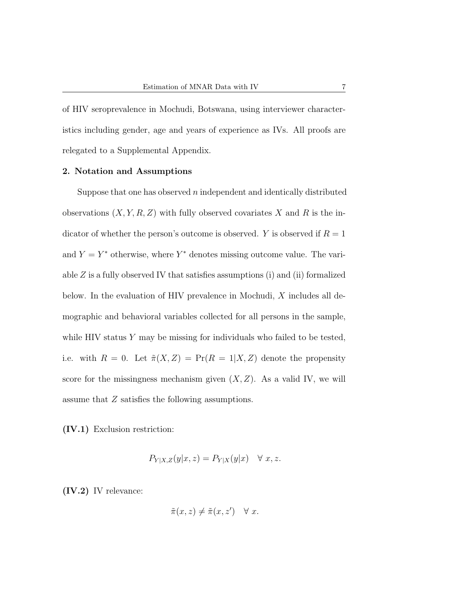of HIV seroprevalence in Mochudi, Botswana, using interviewer characteristics including gender, age and years of experience as IVs. All proofs are relegated to a Supplemental Appendix.

### 2. Notation and Assumptions

Suppose that one has observed  $n$  independent and identically distributed observations  $(X, Y, R, Z)$  with fully observed covariates X and R is the indicator of whether the person's outcome is observed. Y is observed if  $R = 1$ and  $Y = Y^*$  otherwise, where  $Y^*$  denotes missing outcome value. The variable  $Z$  is a fully observed IV that satisfies assumptions (i) and (ii) formalized below. In the evaluation of HIV prevalence in Mochudi, X includes all demographic and behavioral variables collected for all persons in the sample, while HIV status  $Y$  may be missing for individuals who failed to be tested, i.e. with  $R = 0$ . Let  $\tilde{\pi}(X, Z) = \Pr(R = 1 | X, Z)$  denote the propensity score for the missingness mechanism given  $(X, Z)$ . As a valid IV, we will assume that Z satisfies the following assumptions.

(IV.1) Exclusion restriction:

$$
P_{Y|X,Z}(y|x,z) = P_{Y|X}(y|x) \quad \forall \ x, z.
$$

(IV.2) IV relevance:

$$
\tilde{\pi}(x, z) \neq \tilde{\pi}(x, z') \quad \forall \ x.
$$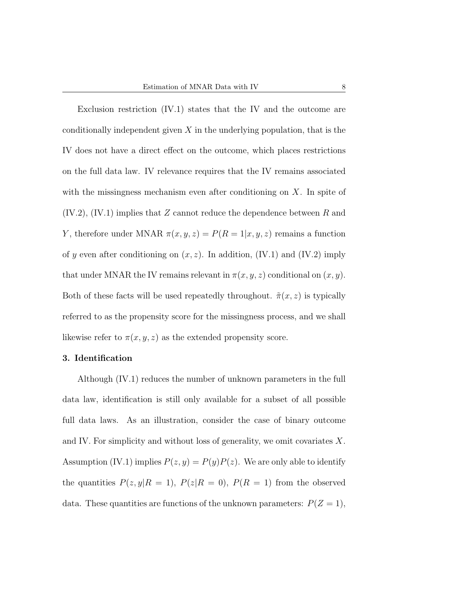Exclusion restriction (IV.1) states that the IV and the outcome are conditionally independent given  $X$  in the underlying population, that is the IV does not have a direct effect on the outcome, which places restrictions on the full data law. IV relevance requires that the IV remains associated with the missingness mechanism even after conditioning on  $X$ . In spite of  $(IV.2), (IV.1)$  implies that Z cannot reduce the dependence between R and Y, therefore under MNAR  $\pi(x, y, z) = P(R = 1|x, y, z)$  remains a function of y even after conditioning on  $(x, z)$ . In addition, (IV.1) and (IV.2) imply that under MNAR the IV remains relevant in  $\pi(x, y, z)$  conditional on  $(x, y)$ . Both of these facts will be used repeatedly throughout.  $\tilde{\pi}(x, z)$  is typically referred to as the propensity score for the missingness process, and we shall likewise refer to  $\pi(x, y, z)$  as the extended propensity score.

#### 3. Identification

Although (IV.1) reduces the number of unknown parameters in the full data law, identification is still only available for a subset of all possible full data laws. As an illustration, consider the case of binary outcome and IV. For simplicity and without loss of generality, we omit covariates X. Assumption (IV.1) implies  $P(z, y) = P(y)P(z)$ . We are only able to identify the quantities  $P(z, y | R = 1)$ ,  $P(z | R = 0)$ ,  $P(R = 1)$  from the observed data. These quantities are functions of the unknown parameters:  $P(Z = 1)$ ,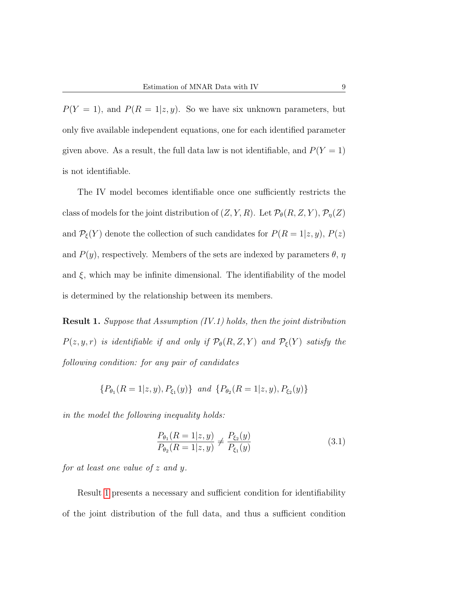$P(Y = 1)$ , and  $P(R = 1|z, y)$ . So we have six unknown parameters, but only five available independent equations, one for each identified parameter given above. As a result, the full data law is not identifiable, and  $P(Y = 1)$ is not identifiable.

The IV model becomes identifiable once one sufficiently restricts the class of models for the joint distribution of  $(Z, Y, R)$ . Let  $\mathcal{P}_{\theta}(R, Z, Y), \mathcal{P}_{\eta}(Z)$ and  $P_{\xi}(Y)$  denote the collection of such candidates for  $P(R = 1|z, y)$ ,  $P(z)$ and  $P(y)$ , respectively. Members of the sets are indexed by parameters  $\theta$ ,  $\eta$ and  $\xi$ , which may be infinite dimensional. The identifiability of the model is determined by the relationship between its members.

<span id="page-8-0"></span>Result 1. Suppose that Assumption (IV.1) holds, then the joint distribution  $P(z, y, r)$  is identifiable if and only if  $\mathcal{P}_{\theta}(R, Z, Y)$  and  $\mathcal{P}_{\xi}(Y)$  satisfy the following condition: for any pair of candidates

$$
\{P_{\theta_1}(R=1|z,y), P_{\xi_1}(y)\} \text{ and } \{P_{\theta_2}(R=1|z,y), P_{\xi_2}(y)\}\
$$

in the model the following inequality holds:

<span id="page-8-1"></span>
$$
\frac{P_{\theta_1}(R=1|z,y)}{P_{\theta_2}(R=1|z,y)} \neq \frac{P_{\xi_2}(y)}{P_{\xi_1}(y)}
$$
(3.1)

for at least one value of z and y.

Result [1](#page-8-0) presents a necessary and sufficient condition for identifiability of the joint distribution of the full data, and thus a sufficient condition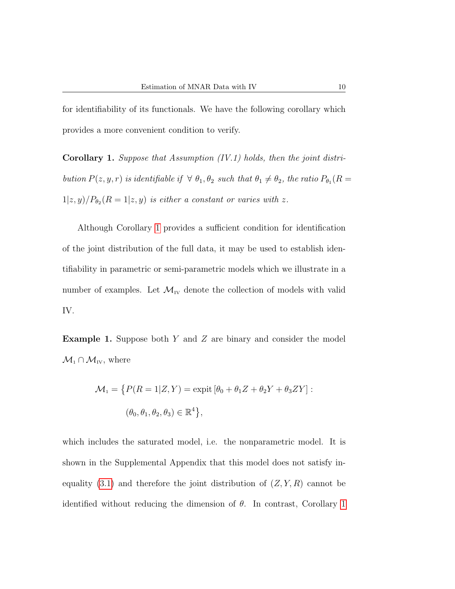for identifiability of its functionals. We have the following corollary which provides a more convenient condition to verify.

<span id="page-9-0"></span>Corollary 1. Suppose that Assumption (IV.1) holds, then the joint distribution  $P(z, y, r)$  is identifiable if  $\forall \theta_1, \theta_2$  such that  $\theta_1 \neq \theta_2$ , the ratio  $P_{\theta_1}(R =$  $1|z, y|/P_{\theta_2}(R=1|z, y)$  is either a constant or varies with z.

Although Corollary [1](#page-9-0) provides a sufficient condition for identification of the joint distribution of the full data, it may be used to establish identifiability in parametric or semi-parametric models which we illustrate in a number of examples. Let  $\mathcal{M}_{IV}$  denote the collection of models with valid IV.

**Example 1.** Suppose both Y and Z are binary and consider the model  $\mathcal{M}_1 \cap \mathcal{M}_{IV}$ , where

$$
\mathcal{M}_1 = \left\{ P(R = 1|Z, Y) = \text{expit} \left[ \theta_0 + \theta_1 Z + \theta_2 Y + \theta_3 Z Y \right] : \right.
$$

$$
(\theta_0, \theta_1, \theta_2, \theta_3) \in \mathbb{R}^4 \right\},
$$

which includes the saturated model, i.e. the nonparametric model. It is shown in the Supplemental Appendix that this model does not satisfy in-equality [\(3.1\)](#page-8-1) and therefore the joint distribution of  $(Z, Y, R)$  cannot be identified without reducing the dimension of  $\theta$ . In contrast, Corollary [1](#page-9-0)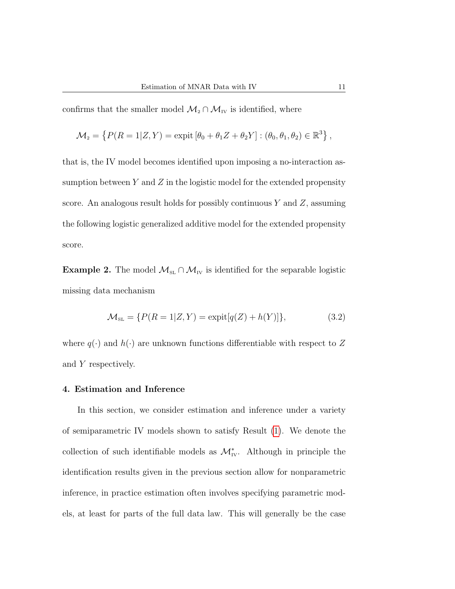confirms that the smaller model  $\mathcal{M}_2 \cap \mathcal{M}_{IV}$  is identified, where

$$
\mathcal{M}_2 = \left\{ P(R=1|Z,Y) = \text{expit} \left[ \theta_0 + \theta_1 Z + \theta_2 Y \right] : (\theta_0, \theta_1, \theta_2) \in \mathbb{R}^3 \right\},
$$

that is, the IV model becomes identified upon imposing a no-interaction assumption between  $Y$  and  $Z$  in the logistic model for the extended propensity score. An analogous result holds for possibly continuous  $Y$  and  $Z$ , assuming the following logistic generalized additive model for the extended propensity score.

<span id="page-10-0"></span>Example 2. The model  $\mathcal{M}_{\text{SL}} \cap \mathcal{M}_{\text{IV}}$  is identified for the separable logistic missing data mechanism

$$
\mathcal{M}_{\text{SL}} = \{ P(R = 1|Z, Y) = \text{expit}[q(Z) + h(Y)] \},\tag{3.2}
$$

where  $q(\cdot)$  and  $h(\cdot)$  are unknown functions differentiable with respect to Z and Y respectively.

## 4. Estimation and Inference

In this section, we consider estimation and inference under a variety of semiparametric IV models shown to satisfy Result [\(1\)](#page-8-0). We denote the collection of such identifiable models as  $\mathcal{M}_{IV}^*$ . Although in principle the identification results given in the previous section allow for nonparametric inference, in practice estimation often involves specifying parametric models, at least for parts of the full data law. This will generally be the case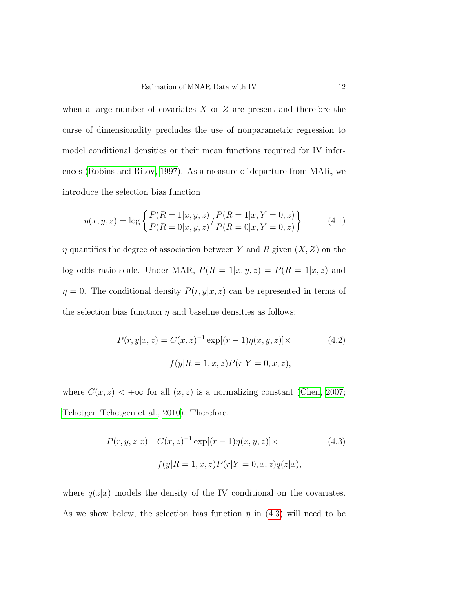when a large number of covariates  $X$  or  $Z$  are present and therefore the curse of dimensionality precludes the use of nonparametric regression to model conditional densities or their mean functions required for IV inferences [\(Robins and Ritov, 1997\)](#page-34-3). As a measure of departure from MAR, we introduce the selection bias function

<span id="page-11-1"></span>
$$
\eta(x, y, z) = \log \left\{ \frac{P(R = 1 | x, y, z)}{P(R = 0 | x, y, z)} / \frac{P(R = 1 | x, Y = 0, z)}{P(R = 0 | x, Y = 0, z)} \right\}.
$$
(4.1)

 $\eta$  quantifies the degree of association between Y and R given  $(X, Z)$  on the log odds ratio scale. Under MAR,  $P(R = 1|x, y, z) = P(R = 1|x, z)$  and  $\eta = 0$ . The conditional density  $P(r, y|x, z)$  can be represented in terms of the selection bias function  $\eta$  and baseline densities as follows:

<span id="page-11-2"></span>
$$
P(r, y|x, z) = C(x, z)^{-1} \exp[(r - 1)\eta(x, y, z)] \times
$$
  

$$
f(y|R = 1, x, z)P(r|Y = 0, x, z),
$$
 (4.2)

where  $C(x, z) < +\infty$  for all  $(x, z)$  is a normalizing constant [\(Chen, 2007;](#page-30-3) [Tchetgen Tchetgen et al., 2010\)](#page-35-6). Therefore,

<span id="page-11-0"></span>
$$
P(r, y, z|x) = C(x, z)^{-1} \exp[(r - 1)\eta(x, y, z)] \times
$$
\n
$$
f(y|R = 1, x, z)P(r|Y = 0, x, z)q(z|x),
$$
\n(4.3)

where  $q(z|x)$  models the density of the IV conditional on the covariates. As we show below, the selection bias function  $\eta$  in [\(4.3\)](#page-11-0) will need to be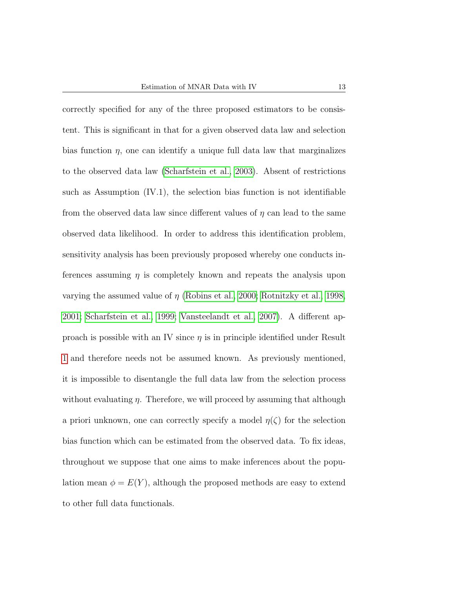correctly specified for any of the three proposed estimators to be consistent. This is significant in that for a given observed data law and selection bias function  $\eta$ , one can identify a unique full data law that marginalizes to the observed data law [\(Scharfstein et al., 2003\)](#page-35-7). Absent of restrictions such as Assumption (IV.1), the selection bias function is not identifiable from the observed data law since different values of  $\eta$  can lead to the same observed data likelihood. In order to address this identification problem, sensitivity analysis has been previously proposed whereby one conducts inferences assuming  $\eta$  is completely known and repeats the analysis upon varying the assumed value of  $\eta$  [\(Robins et al., 2000;](#page-34-1) [Rotnitzky et al., 1998,](#page-34-6) [2001;](#page-35-8) [Scharfstein et al., 1999;](#page-35-2) [Vansteelandt et al., 2007\)](#page-36-3). A different approach is possible with an IV since  $\eta$  is in principle identified under Result [1](#page-8-0) and therefore needs not be assumed known. As previously mentioned, it is impossible to disentangle the full data law from the selection process without evaluating  $\eta$ . Therefore, we will proceed by assuming that although a priori unknown, one can correctly specify a model  $\eta(\zeta)$  for the selection bias function which can be estimated from the observed data. To fix ideas, throughout we suppose that one aims to make inferences about the population mean  $\phi = E(Y)$ , although the proposed methods are easy to extend to other full data functionals.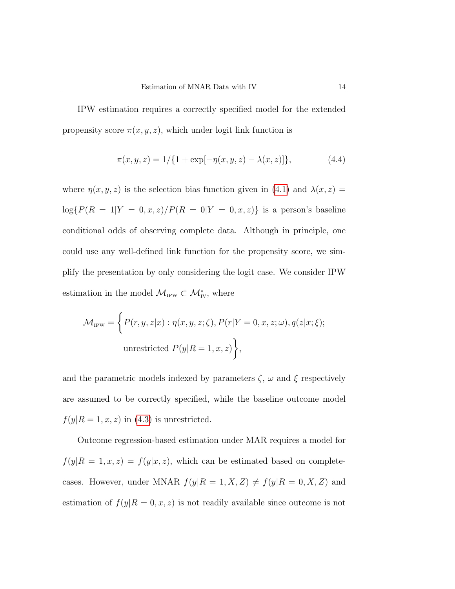IPW estimation requires a correctly specified model for the extended propensity score  $\pi(x, y, z)$ , which under logit link function is

$$
\pi(x, y, z) = 1/\{1 + \exp[-\eta(x, y, z) - \lambda(x, z)]\},\tag{4.4}
$$

where  $\eta(x, y, z)$  is the selection bias function given in [\(4.1\)](#page-11-1) and  $\lambda(x, z)$  =  $log{P(R = 1|Y = 0, x, z) / P(R = 0|Y = 0, x, z)}$  is a person's baseline conditional odds of observing complete data. Although in principle, one could use any well-defined link function for the propensity score, we simplify the presentation by only considering the logit case. We consider IPW estimation in the model  $\mathcal{M}_{IPW} \subset \mathcal{M}_{IV}^*$ , where

$$
\mathcal{M}_{\text{IPW}} = \left\{ P(r, y, z | x) : \eta(x, y, z; \zeta), P(r | Y = 0, x, z; \omega), q(z | x; \xi); \right\}
$$
  
unrestricted  $P(y | R = 1, x, z)$ ,

and the parametric models indexed by parameters  $\zeta$ ,  $\omega$  and  $\xi$  respectively are assumed to be correctly specified, while the baseline outcome model  $f(y|R=1, x, z)$  in [\(4.3\)](#page-11-0) is unrestricted.

Outcome regression-based estimation under MAR requires a model for  $f(y|R = 1, x, z) = f(y|x, z)$ , which can be estimated based on completecases. However, under MNAR  $f(y|R = 1, X, Z) \neq f(y|R = 0, X, Z)$  and estimation of  $f(y|R=0, x, z)$  is not readily available since outcome is not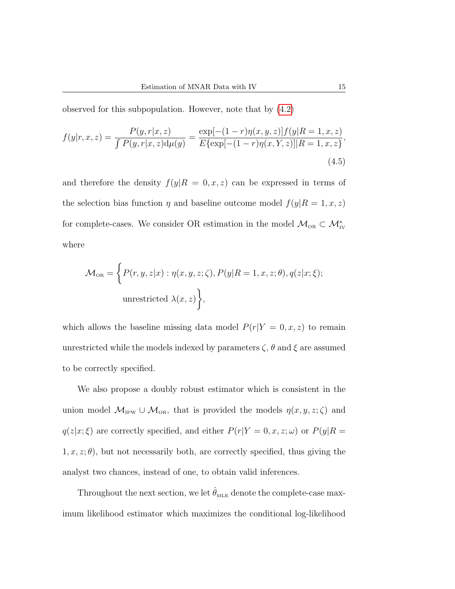observed for this subpopulation. However, note that by [\(4.2\)](#page-11-2)

<span id="page-14-0"></span>
$$
f(y|r, x, z) = \frac{P(y, r|x, z)}{\int P(y, r|x, z) d\mu(y)} = \frac{\exp[-(1 - r)\eta(x, y, z)]f(y|R = 1, x, z)}{E\{\exp[-(1 - r)\eta(x, Y, z)]|R = 1, x, z\}},\tag{4.5}
$$

and therefore the density  $f(y|R = 0, x, z)$  can be expressed in terms of the selection bias function  $\eta$  and baseline outcome model  $f(y|R=1, x, z)$ for complete-cases. We consider OR estimation in the model  $\mathcal{M}_{OR} \subset \mathcal{M}_{IV}^*$ where

$$
\mathcal{M}_{\text{OR}} = \left\{ P(r, y, z | x) : \eta(x, y, z; \zeta), P(y | R = 1, x, z; \theta), q(z | x; \xi); \right\}
$$
  
unrestricted  $\lambda(x, z)$ ,

which allows the baseline missing data model  $P(r|Y = 0, x, z)$  to remain unrestricted while the models indexed by parameters  $\zeta$ ,  $\theta$  and  $\xi$  are assumed to be correctly specified.

We also propose a doubly robust estimator which is consistent in the union model  $\mathcal{M}_{IPW} \cup \mathcal{M}_{OR}$ , that is provided the models  $\eta(x, y, z; \zeta)$  and  $q(z|x;\xi)$  are correctly specified, and either  $P(r|Y=0,x,z;\omega)$  or  $P(y|R=0,z;\xi)$  $1, x, z; \theta$ , but not necessarily both, are correctly specified, thus giving the analyst two chances, instead of one, to obtain valid inferences.

Throughout the next section, we let  $\hat{\theta}_{MLE}$  denote the complete-case maximum likelihood estimator which maximizes the conditional log-likelihood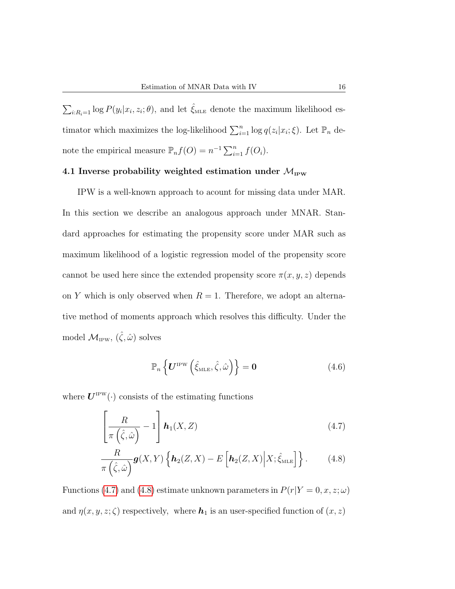$\sum_{i:R_i=1} \log P(y_i|x_i,z_i;\theta)$ , and let  $\hat{\xi}_{MLE}$  denote the maximum likelihood estimator which maximizes the log-likelihood  $\sum_{i=1}^{n} \log q(z_i | x_i; \xi)$ . Let  $\mathbb{P}_n$  denote the empirical measure  $\mathbb{P}_n f(O) = n^{-1} \sum_{i=1}^n f(O_i)$ .

# 4.1 Inverse probability weighted estimation under  $\mathcal{M}_{IPW}$

IPW is a well-known approach to acount for missing data under MAR. In this section we describe an analogous approach under MNAR. Standard approaches for estimating the propensity score under MAR such as maximum likelihood of a logistic regression model of the propensity score cannot be used here since the extended propensity score  $\pi(x, y, z)$  depends on Y which is only observed when  $R = 1$ . Therefore, we adopt an alternative method of moments approach which resolves this difficulty. Under the model  $\mathcal{M}_{IPW}$ ,  $(\hat{\zeta}, \hat{\omega})$  solves

<span id="page-15-1"></span><span id="page-15-0"></span>
$$
\mathbb{P}_n\left\{ \boldsymbol{U}^{\text{IPW}}\left(\hat{\xi}_{\text{MLE}}, \hat{\zeta}, \hat{\omega}\right) \right\} = \mathbf{0}
$$
\n(4.6)

where  $U^{\text{IPW}}(\cdot)$  consists of the estimating functions

$$
\left[\frac{R}{\pi\left(\hat{\zeta},\hat{\omega}\right)}-1\right]\boldsymbol{h}_1(X,Z) \tag{4.7}
$$

$$
\frac{R}{\pi(\hat{\zeta},\hat{\omega})}\mathbf{g}(X,Y)\left\{\mathbf{h}_2(Z,X)-E\left[\mathbf{h}_2(Z,X)\Big|X;\hat{\xi}_{\text{MLE}}\right]\right\}.
$$
 (4.8)

Functions [\(4.7\)](#page-15-0) and [\(4.8\)](#page-15-1) estimate unknown parameters in  $P(r|Y=0, x, z; \omega)$ and  $\eta(x, y, z; \zeta)$  respectively, where  $h_1$  is an user-specified function of  $(x, z)$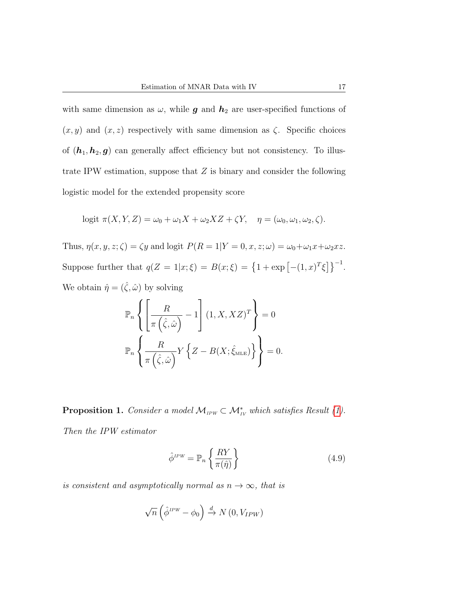with same dimension as  $\omega$ , while **g** and  $h_2$  are user-specified functions of  $(x, y)$  and  $(x, z)$  respectively with same dimension as  $\zeta$ . Specific choices of  $(h_1, h_2, g)$  can generally affect efficiency but not consistency. To illustrate IPW estimation, suppose that Z is binary and consider the following logistic model for the extended propensity score

$$
logit \ \pi(X, Y, Z) = \omega_0 + \omega_1 X + \omega_2 X Z + \zeta Y, \quad \eta = (\omega_0, \omega_1, \omega_2, \zeta).
$$

Thus,  $\eta(x, y, z; \zeta) = \zeta y$  and logit  $P(R = 1|Y = 0, x, z; \omega) = \omega_0 + \omega_1 x + \omega_2 xz$ . Suppose further that  $q(Z = 1|x; \xi) = B(x; \xi) = \{1 + \exp[-(1, x)^T \xi]\}^{-1}$ .

We obtain  $\hat{\eta} = (\hat{\zeta}, \hat{\omega})$  by solving

$$
\mathbb{P}_n \left\{ \left[ \frac{R}{\pi \left( \hat{\zeta}, \hat{\omega} \right)} - 1 \right] (1, X, XZ)^T \right\} = 0
$$
  

$$
\mathbb{P}_n \left\{ \frac{R}{\pi \left( \hat{\zeta}, \hat{\omega} \right)} Y \left\{ Z - B(X; \hat{\zeta}_{\text{MLE}}) \right\} \right\} = 0.
$$

**Proposition 1.** Consider a model  $\mathcal{M}_{IPW} \subset \mathcal{M}_{IV}^*$  which satisfies Result [\(1\)](#page-8-0).

Then the IPW estimator

$$
\hat{\phi}^{IPW} = \mathbb{P}_n \left\{ \frac{RY}{\pi(\hat{\eta})} \right\} \tag{4.9}
$$

is consistent and asymptotically normal as  $n \to \infty$ , that is

$$
\sqrt{n}\left(\hat{\phi}^{IPW} - \phi_0\right) \xrightarrow{d} N\left(0, V_{IPW}\right)
$$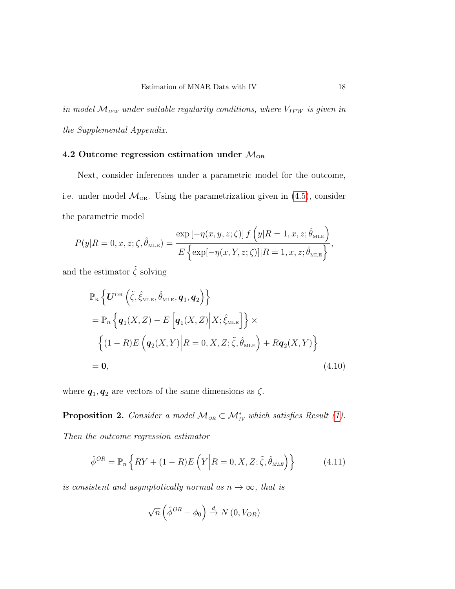in model  $M_{IPW}$  under suitable regularity conditions, where  $V_{IPW}$  is given in the Supplemental Appendix.

# 4.2 Outcome regression estimation under  $\mathcal{M}_{OR}$

Next, consider inferences under a parametric model for the outcome, i.e. under model  $\mathcal{M}_{OR}$ . Using the parametrization given in [\(4.5\)](#page-14-0), consider the parametric model

$$
P(y|R=0,x,z;\zeta,\hat{\theta}_{\text{MLE}}) = \frac{\exp\left[-\eta(x,y,z;\zeta)\right]f\left(y|R=1,x,z;\hat{\theta}_{\text{MLE}}\right)}{E\left\{\exp\left[-\eta(x,Y,z;\zeta)\right]|R=1,x,z;\hat{\theta}_{\text{MLE}}\right\}},
$$

and the estimator  $\tilde{\zeta}$  solving

$$
\mathbb{P}_n \left\{ \boldsymbol{U}^{\text{OR}} \left( \tilde{\zeta}, \hat{\xi}_{\text{MLE}}, \hat{\theta}_{\text{MLE}}, \boldsymbol{q}_1, \boldsymbol{q}_2 \right) \right\} \n= \mathbb{P}_n \left\{ \boldsymbol{q}_1(X, Z) - E \left[ \boldsymbol{q}_1(X, Z) \Big| X; \hat{\xi}_{\text{MLE}} \right] \right\} \times \n\left\{ (1 - R) E \left( \boldsymbol{q}_2(X, Y) \Big| R = 0, X, Z; \tilde{\zeta}, \hat{\theta}_{\text{MLE}} \right) + R \boldsymbol{q}_2(X, Y) \right\} \n= \boldsymbol{0},
$$
\n(4.10)

where  $q_1, q_2$  are vectors of the same dimensions as  $\zeta$ .

**Proposition 2.** Consider a model  $M_{OR} \subset \mathcal{M}_{IV}^*$  which satisfies Result [\(1\)](#page-8-0).

Then the outcome regression estimator

$$
\hat{\phi}^{OR} = \mathbb{P}_n \left\{ RY + (1 - R)E \left( Y \middle| R = 0, X, Z; \tilde{\zeta}, \hat{\theta}_{MLE} \right) \right\} \tag{4.11}
$$

is consistent and asymptotically normal as  $n \to \infty$ , that is

<span id="page-17-0"></span>
$$
\sqrt{n}\left(\hat{\phi}^{OR} - \phi_0\right) \xrightarrow{d} N\left(0, V_{OR}\right)
$$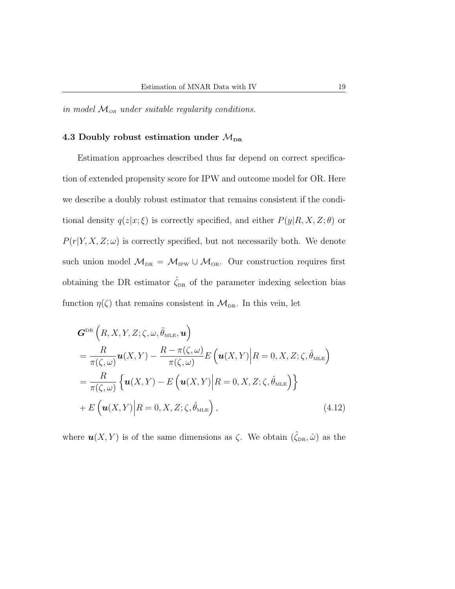in model  $M_{OR}$  under suitable regularity conditions.

# 4.3 Doubly robust estimation under  $\mathcal{M}_{\text{DR}}$

Estimation approaches described thus far depend on correct specification of extended propensity score for IPW and outcome model for OR. Here we describe a doubly robust estimator that remains consistent if the conditional density  $q(z|x;\xi)$  is correctly specified, and either  $P(y|R, X, Z; \theta)$  or  $P(r|Y, X, Z; \omega)$  is correctly specified, but not necessarily both. We denote such union model  $M_{DR} = M_{IPW} \cup M_{OR}$ . Our construction requires first obtaining the DR estimator  $\hat{\zeta}_{DR}$  of the parameter indexing selection bias function  $\eta(\zeta)$  that remains consistent in  $\mathcal{M}_{DR}$ . In this vein, let

$$
G^{\text{DR}}\left(R, X, Y, Z; \zeta, \omega, \hat{\theta}_{\text{MLE}}, \mathbf{u}\right)
$$
  
=  $\frac{R}{\pi(\zeta, \omega)} \mathbf{u}(X, Y) - \frac{R - \pi(\zeta, \omega)}{\pi(\zeta, \omega)} E\left(\mathbf{u}(X, Y) \middle| R = 0, X, Z; \zeta, \hat{\theta}_{\text{MLE}}\right)$   
=  $\frac{R}{\pi(\zeta, \omega)} \left\{ \mathbf{u}(X, Y) - E\left(\mathbf{u}(X, Y) \middle| R = 0, X, Z; \zeta, \hat{\theta}_{\text{MLE}}\right) \right\}$   
+  $E\left(\mathbf{u}(X, Y) \middle| R = 0, X, Z; \zeta, \hat{\theta}_{\text{MLE}}\right),$  (4.12)

where  $u(X, Y)$  is of the same dimensions as  $\zeta$ . We obtain  $(\hat{\zeta}_{DR}, \hat{\omega})$  as the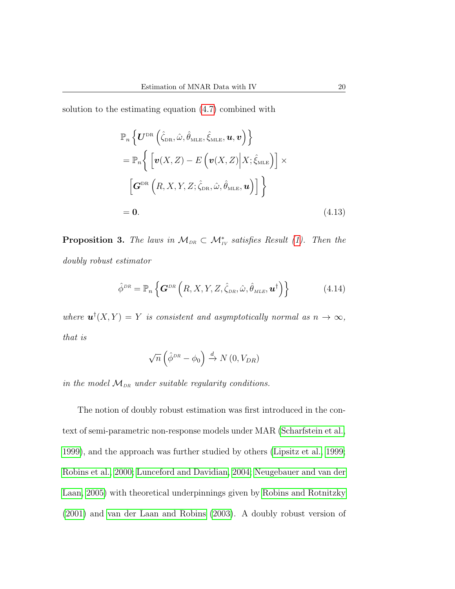solution to the estimating equation [\(4.7\)](#page-15-0) combined with

<span id="page-19-1"></span>
$$
\mathbb{P}_{n}\left\{ \boldsymbol{U}^{\text{DR}}\left(\hat{\zeta}_{\text{DR}},\hat{\omega},\hat{\theta}_{\text{MLE}},\hat{\zeta}_{\text{MLE}},\boldsymbol{u},\boldsymbol{v}\right) \right\} \n= \mathbb{P}_{n}\left\{ \left[ \boldsymbol{v}(X,Z) - E\left( \boldsymbol{v}(X,Z) \Big| X; \hat{\zeta}_{\text{MLE}} \right) \right] \times \left[ \boldsymbol{G}^{\text{DR}}\left( R,X,Y,Z; \hat{\zeta}_{\text{DR}},\hat{\omega},\hat{\theta}_{\text{MLE}},\boldsymbol{u} \right) \right] \right\} \n= \boldsymbol{0}.
$$
\n(4.13)

**Proposition 3.** The laws in  $\mathcal{M}_{DR} \subset \mathcal{M}_{IV}^*$  satisfies Result [\(1\)](#page-8-0). Then the doubly robust estimator

$$
\hat{\phi}^{DR} = \mathbb{P}_n \left\{ \mathbf{G}^{DR} \left( R, X, Y, Z, \hat{\zeta}_{DR}, \hat{\omega}, \hat{\theta}_{MLE}, \mathbf{u}^\dagger \right) \right\} \tag{4.14}
$$

where  $\mathbf{u}^{\dagger}(X,Y) = Y$  is consistent and asymptotically normal as  $n \to \infty$ , that is

<span id="page-19-0"></span>
$$
\sqrt{n}\left(\hat{\phi}^{DR} - \phi_0\right) \xrightarrow{d} N\left(0, V_{DR}\right)
$$

in the model  $M_{DR}$  under suitable regularity conditions.

The notion of doubly robust estimation was first introduced in the context of semi-parametric non-response models under MAR [\(Scharfstein et al.,](#page-35-2) [1999\)](#page-35-2), and the approach was further studied by others [\(Lipsitz et al., 1999;](#page-32-2) [Robins et al., 2000;](#page-34-1) [Lunceford and Davidian, 2004;](#page-32-7) [Neugebauer and van der](#page-33-0) [Laan, 2005\)](#page-33-0) with theoretical underpinnings given by [Robins and Rotnitzky](#page-34-2) [\(2001\)](#page-34-2) and [van der Laan and Robins](#page-36-7) [\(2003\)](#page-36-7). A doubly robust version of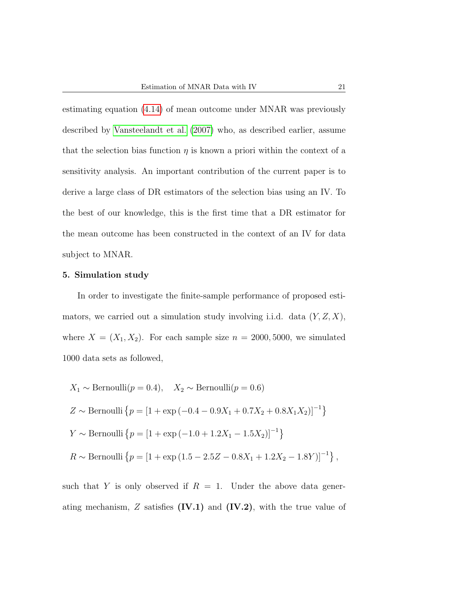estimating equation [\(4.14\)](#page-19-0) of mean outcome under MNAR was previously described by [Vansteelandt et al.](#page-36-3) [\(2007\)](#page-36-3) who, as described earlier, assume that the selection bias function  $\eta$  is known a priori within the context of a sensitivity analysis. An important contribution of the current paper is to derive a large class of DR estimators of the selection bias using an IV. To the best of our knowledge, this is the first time that a DR estimator for the mean outcome has been constructed in the context of an IV for data subject to MNAR.

#### 5. Simulation study

In order to investigate the finite-sample performance of proposed estimators, we carried out a simulation study involving i.i.d. data  $(Y, Z, X)$ , where  $X = (X_1, X_2)$ . For each sample size  $n = 2000, 5000$ , we simulated 1000 data sets as followed,

$$
X_1 \sim \text{Bernoulli}(p = 0.4), \quad X_2 \sim \text{Bernoulli}(p = 0.6)
$$
  
\n $Z \sim \text{Bernoulli} \{p = [1 + \exp(-0.4 - 0.9X_1 + 0.7X_2 + 0.8X_1X_2)]^{-1}\}$   
\n $Y \sim \text{Bernoulli} \{p = [1 + \exp(-1.0 + 1.2X_1 - 1.5X_2)]^{-1}\}$   
\n $R \sim \text{Bernoulli} \{p = [1 + \exp(1.5 - 2.5Z - 0.8X_1 + 1.2X_2 - 1.8Y)]^{-1}\},$ 

such that Y is only observed if  $R = 1$ . Under the above data generating mechanism,  $Z$  satisfies  $(IV.1)$  and  $(IV.2)$ , with the true value of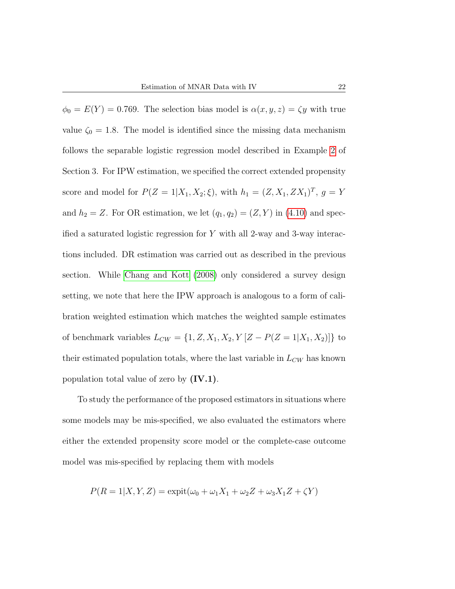$\phi_0 = E(Y) = 0.769$ . The selection bias model is  $\alpha(x, y, z) = \zeta y$  with true value  $\zeta_0 = 1.8$ . The model is identified since the missing data mechanism follows the separable logistic regression model described in Example [2](#page-10-0) of Section 3. For IPW estimation, we specified the correct extended propensity score and model for  $P(Z = 1 | X_1, X_2; \xi)$ , with  $h_1 = (Z, X_1, Z X_1)^T$ ,  $g = Y$ and  $h_2 = Z$ . For OR estimation, we let  $(q_1, q_2) = (Z, Y)$  in [\(4.10\)](#page-17-0) and specified a saturated logistic regression for  $Y$  with all 2-way and 3-way interactions included. DR estimation was carried out as described in the previous section. While [Chang and Kott](#page-30-2) [\(2008\)](#page-30-2) only considered a survey design setting, we note that here the IPW approach is analogous to a form of calibration weighted estimation which matches the weighted sample estimates of benchmark variables  $L_{CW} = \{1, Z, X_1, X_2, Y \mid Z - P(Z = 1 \mid X_1, X_2)\}\)$  to their estimated population totals, where the last variable in  ${\cal L}_{CW}$  has known population total value of zero by  $(IV.1)$ .

To study the performance of the proposed estimators in situations where some models may be mis-specified, we also evaluated the estimators where either the extended propensity score model or the complete-case outcome model was mis-specified by replacing them with models

$$
P(R = 1|X, Y, Z) = \text{expit}(\omega_0 + \omega_1 X_1 + \omega_2 Z + \omega_3 X_1 Z + \zeta Y)
$$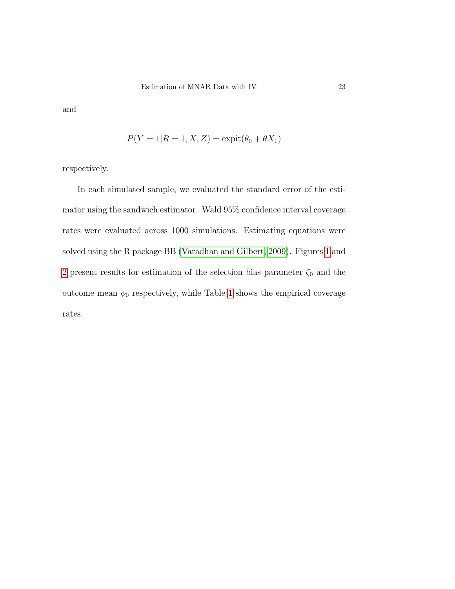and

$$
P(Y = 1 | R = 1, X, Z) = \text{expit}(\theta_0 + \theta X_1)
$$

respectively.

In each simulated sample, we evaluated the standard error of the estimator using the sandwich estimator. Wald 95% confidence interval coverage rates were evaluated across 1000 simulations. Estimating equations were solved using the R package BB [\(Varadhan and Gilbert, 2009\)](#page-36-8). Figures [1](#page-23-0) and [2](#page-24-0) present results for estimation of the selection bias parameter  $\zeta_0$  and the outcome mean  $\phi_0$  respectively, while Table [1](#page-25-0) shows the empirical coverage rates.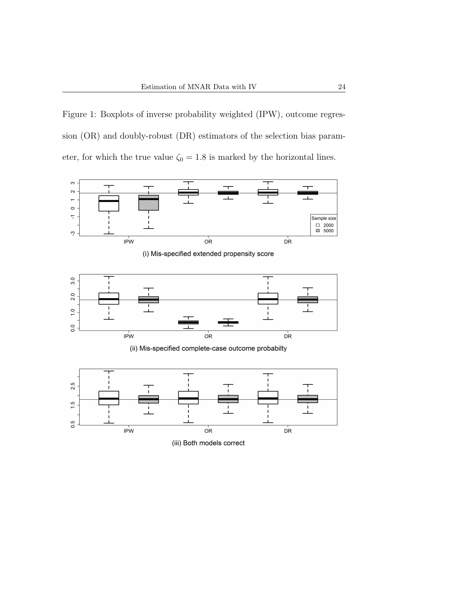<span id="page-23-0"></span>Figure 1: Boxplots of inverse probability weighted (IPW), outcome regression (OR) and doubly-robust (DR) estimators of the selection bias parameter, for which the true value  $\zeta_0 = 1.8$  is marked by the horizontal lines.



(i) Mis-specified extended propensity score



(ii) Mis-specified complete-case outcome probabilty



(iii) Both models correct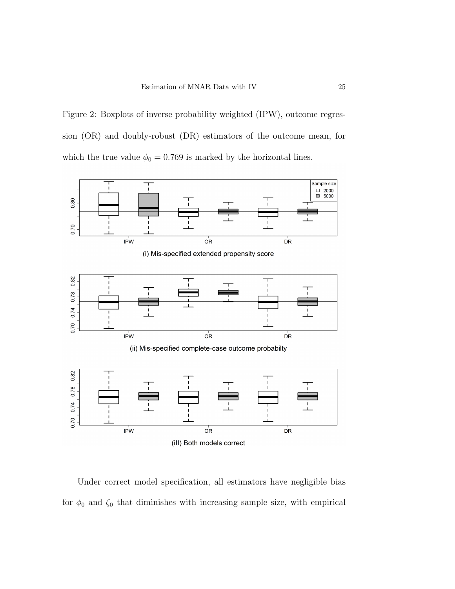<span id="page-24-0"></span>Figure 2: Boxplots of inverse probability weighted (IPW), outcome regression (OR) and doubly-robust (DR) estimators of the outcome mean, for which the true value  $\phi_0 = 0.769$  is marked by the horizontal lines.



(i) Mis-specified extended propensity score



(ii) Mis-specified complete-case outcome probabilty



Under correct model specification, all estimators have negligible bias for  $\phi_0$  and  $\zeta_0$  that diminishes with increasing sample size, with empirical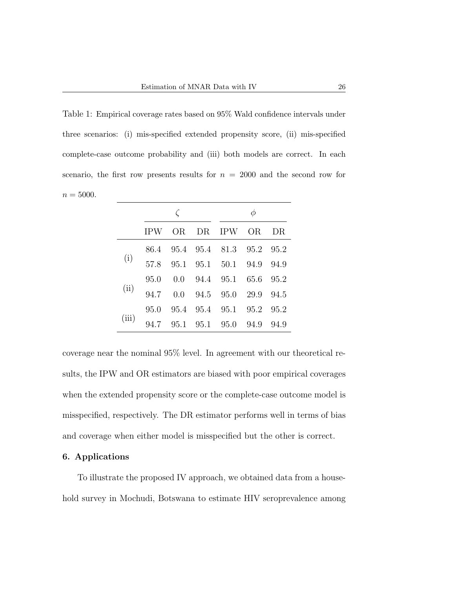<span id="page-25-0"></span>Table 1: Empirical coverage rates based on 95% Wald confidence intervals under three scenarios: (i) mis-specified extended propensity score, (ii) mis-specified complete-case outcome probability and (iii) both models are correct. In each scenario, the first row presents results for  $n = 2000$  and the second row for  $n = 5000$ .

|       | <b>IPW</b> |  | OR DR IPW OR DR               |  |
|-------|------------|--|-------------------------------|--|
|       |            |  | 86.4 95.4 95.4 81.3 95.2 95.2 |  |
| (i)   | 57.8       |  | 95.1 95.1 50.1 94.9 94.9      |  |
| (ii)  |            |  | 95.0 0.0 94.4 95.1 65.6 95.2  |  |
|       | 94.7       |  | 0.0 94.5 95.0 29.9 94.5       |  |
| (iii) | 95.0       |  | 95.4 95.4 95.1 95.2 95.2      |  |
|       | 94.7       |  | 95.1 95.1 95.0 94.9 94.9      |  |

coverage near the nominal 95% level. In agreement with our theoretical results, the IPW and OR estimators are biased with poor empirical coverages when the extended propensity score or the complete-case outcome model is misspecified, respectively. The DR estimator performs well in terms of bias and coverage when either model is misspecified but the other is correct.

#### 6. Applications

To illustrate the proposed IV approach, we obtained data from a household survey in Mochudi, Botswana to estimate HIV seroprevalence among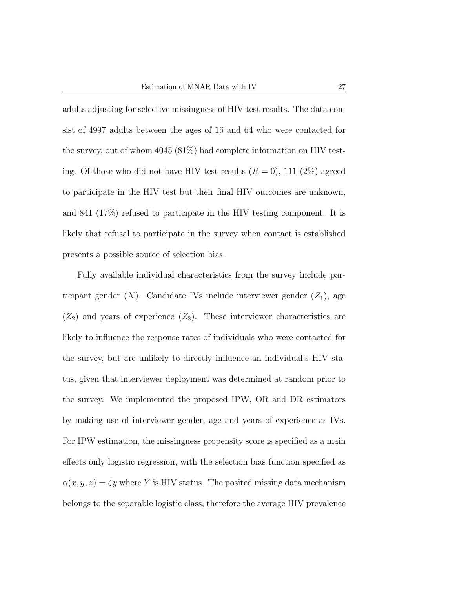adults adjusting for selective missingness of HIV test results. The data consist of 4997 adults between the ages of 16 and 64 who were contacted for the survey, out of whom 4045 (81%) had complete information on HIV testing. Of those who did not have HIV test results  $(R = 0)$ , 111 (2%) agreed to participate in the HIV test but their final HIV outcomes are unknown, and 841 (17%) refused to participate in the HIV testing component. It is likely that refusal to participate in the survey when contact is established presents a possible source of selection bias.

Fully available individual characteristics from the survey include participant gender  $(X)$ . Candidate IVs include interviewer gender  $(Z_1)$ , age  $(Z_2)$  and years of experience  $(Z_3)$ . These interviewer characteristics are likely to influence the response rates of individuals who were contacted for the survey, but are unlikely to directly influence an individual's HIV status, given that interviewer deployment was determined at random prior to the survey. We implemented the proposed IPW, OR and DR estimators by making use of interviewer gender, age and years of experience as IVs. For IPW estimation, the missingness propensity score is specified as a main effects only logistic regression, with the selection bias function specified as  $\alpha(x, y, z) = \zeta y$  where Y is HIV status. The posited missing data mechanism belongs to the separable logistic class, therefore the average HIV prevalence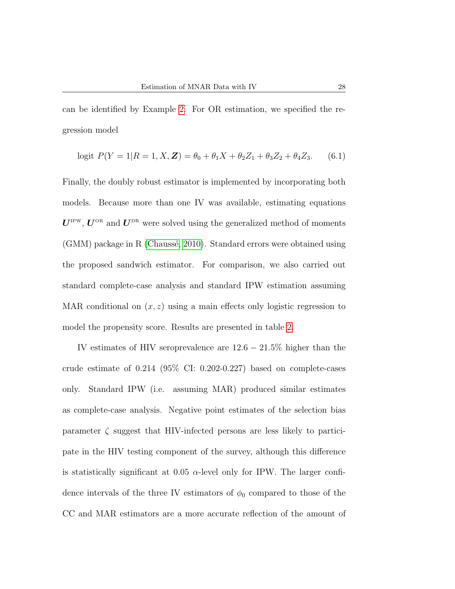can be identified by Example [2.](#page-10-0) For OR estimation, we specified the regression model

$$
logit \ P(Y = 1 | R = 1, X, \mathbf{Z}) = \theta_0 + \theta_1 X + \theta_2 Z_1 + \theta_3 Z_2 + \theta_4 Z_3. \tag{6.1}
$$

Finally, the doubly robust estimator is implemented by incorporating both models. Because more than one IV was available, estimating equations  $U^{\text{IPW}}$ ,  $U^{\text{OR}}$  and  $U^{\text{DR}}$  were solved using the generalized method of moments  $(GMM)$  package in R (Chaussé, 2010). Standard errors were obtained using the proposed sandwich estimator. For comparison, we also carried out standard complete-case analysis and standard IPW estimation assuming MAR conditional on  $(x, z)$  using a main effects only logistic regression to model the propensity score. Results are presented in table [2.](#page-28-0)

IV estimates of HIV seroprevalence are  $12.6 - 21.5\%$  higher than the crude estimate of  $0.214$  (95% CI: 0.202-0.227) based on complete-cases only. Standard IPW (i.e. assuming MAR) produced similar estimates as complete-case analysis. Negative point estimates of the selection bias parameter  $\zeta$  suggest that HIV-infected persons are less likely to participate in the HIV testing component of the survey, although this difference is statistically significant at 0.05  $\alpha$ -level only for IPW. The larger confidence intervals of the three IV estimators of  $\phi_0$  compared to those of the CC and MAR estimators are a more accurate reflection of the amount of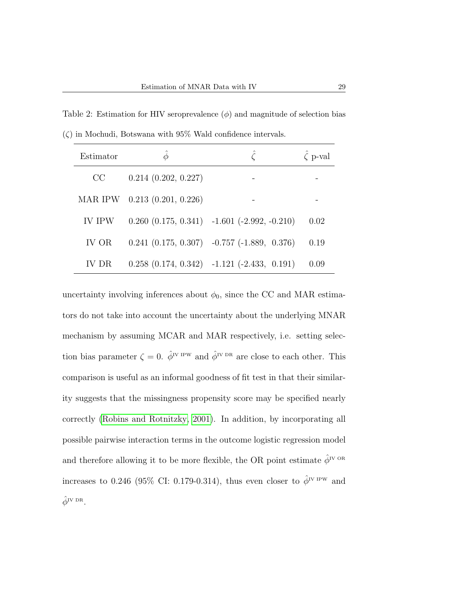<span id="page-28-0"></span>Table 2: Estimation for HIV seroprevalence  $(\phi)$  and magnitude of selection bias  $(\zeta)$  in Mochudi, Botswana with 95% Wald confidence intervals.

| Estimator     | Φ                            |                                                      | $\zeta$ p-val |
|---------------|------------------------------|------------------------------------------------------|---------------|
| CC            | $0.214$ $(0.202, 0.227)$     |                                                      |               |
|               | MAR IPW 0.213 (0.201, 0.226) |                                                      |               |
| <b>IV IPW</b> |                              | $0.260$ $(0.175, 0.341)$ $-1.601$ $(-2.992, -0.210)$ | 0.02          |
| IV OR         |                              | $0.241$ $(0.175, 0.307)$ $-0.757$ $(-1.889, 0.376)$  | 0.19          |
| TV DR.        |                              | $0.258$ $(0.174, 0.342)$ $-1.121$ $(-2.433, 0.191)$  | 0.09          |

uncertainty involving inferences about  $\phi_0$ , since the CC and MAR estimators do not take into account the uncertainty about the underlying MNAR mechanism by assuming MCAR and MAR respectively, i.e. setting selection bias parameter  $\zeta = 0$ .  $\hat{\phi}^{IV}$ <sup>IPW</sup> and  $\hat{\phi}^{IV}$ <sup>DR</sup> are close to each other. This comparison is useful as an informal goodness of fit test in that their similarity suggests that the missingness propensity score may be specified nearly correctly [\(Robins and Rotnitzky, 2001\)](#page-34-2). In addition, by incorporating all possible pairwise interaction terms in the outcome logistic regression model and therefore allowing it to be more flexible, the OR point estimate  $\hat{\phi}^{\text{IV OR}}$ increases to 0.246 (95% CI: 0.179-0.314), thus even closer to  $\hat{\phi}^{IV IPW}$  and  $\hat{\phi}^{\mathrm{IV~DR}}$ .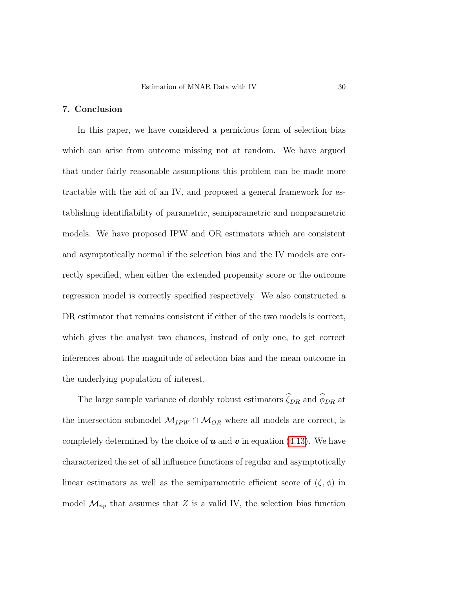# 7. Conclusion

In this paper, we have considered a pernicious form of selection bias which can arise from outcome missing not at random. We have argued that under fairly reasonable assumptions this problem can be made more tractable with the aid of an IV, and proposed a general framework for establishing identifiability of parametric, semiparametric and nonparametric models. We have proposed IPW and OR estimators which are consistent and asymptotically normal if the selection bias and the IV models are correctly specified, when either the extended propensity score or the outcome regression model is correctly specified respectively. We also constructed a DR estimator that remains consistent if either of the two models is correct, which gives the analyst two chances, instead of only one, to get correct inferences about the magnitude of selection bias and the mean outcome in the underlying population of interest.

The large sample variance of doubly robust estimators  $\widehat{\zeta}_{DR}$  and  $\widehat{\phi}_{DR}$  at the intersection submodel  $\mathcal{M}_{IPW} \cap \mathcal{M}_{OR}$  where all models are correct, is completely determined by the choice of  $u$  and  $v$  in equation [\(4.13\)](#page-19-1). We have characterized the set of all influence functions of regular and asymptotically linear estimators as well as the semiparametric efficient score of  $(\zeta, \phi)$  in model  $\mathcal{M}_{np}$  that assumes that Z is a valid IV, the selection bias function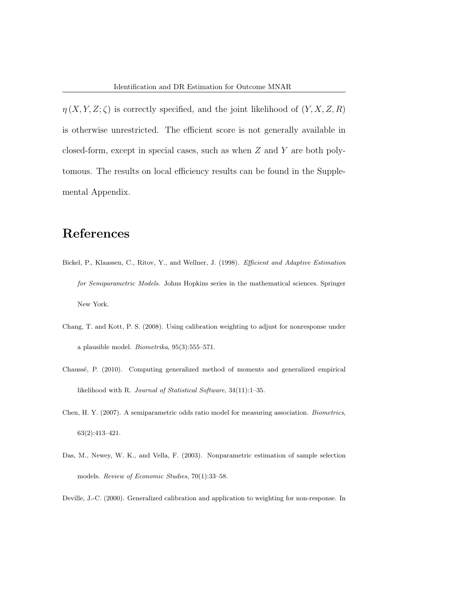$\eta(X, Y, Z; \zeta)$  is correctly specified, and the joint likelihood of  $(Y, X, Z, R)$ is otherwise unrestricted. The efficient score is not generally available in closed-form, except in special cases, such as when Z and Y are both polytomous. The results on local efficiency results can be found in the Supplemental Appendix.

# References

- Bickel, P., Klaassen, C., Ritov, Y., and Wellner, J. (1998). Efficient and Adaptive Estimation for Semiparametric Models. Johns Hopkins series in the mathematical sciences. Springer New York.
- <span id="page-30-2"></span>Chang, T. and Kott, P. S. (2008). Using calibration weighting to adjust for nonresponse under a plausible model.  $Biometrika$ ,  $95(3):555-571$ .
- <span id="page-30-4"></span>Chauss´e, P. (2010). Computing generalized method of moments and generalized empirical likelihood with R. Journal of Statistical Software, 34(11):1–35.
- <span id="page-30-3"></span>Chen, H. Y. (2007). A semiparametric odds ratio model for measuring association. Biometrics, 63(2):413–421.
- <span id="page-30-0"></span>Das, M., Newey, W. K., and Vella, F. (2003). Nonparametric estimation of sample selection models. Review of Economic Studies, 70(1):33-58.

<span id="page-30-1"></span>Deville, J.-C. (2000). Generalized calibration and application to weighting for non-response. In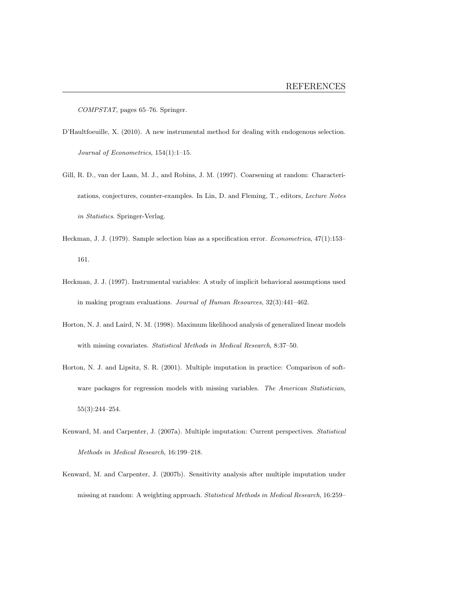COMPSTAT, pages 65–76. Springer.

- <span id="page-31-5"></span>D'Haultfoeuille, X. (2010). A new instrumental method for dealing with endogenous selection. Journal of Econometrics, 154(1):1–15.
- <span id="page-31-3"></span>Gill, R. D., van der Laan, M. J., and Robins, J. M. (1997). Coarsening at random: Characterizations, conjectures, counter-examples. In Lin, D. and Fleming, T., editors, Lecture Notes in Statistics. Springer-Verlag.
- <span id="page-31-6"></span>Heckman, J. J. (1979). Sample selection bias as a specification error. Econometrica, 47(1):153– 161.
- <span id="page-31-7"></span>Heckman, J. J. (1997). Instrumental variables: A study of implicit behavioral assumptions used in making program evaluations. Journal of Human Resources, 32(3):441–462.
- <span id="page-31-0"></span>Horton, N. J. and Laird, N. M. (1998). Maximum likelihood analysis of generalized linear models with missing covariates. Statistical Methods in Medical Research, 8:37-50.
- <span id="page-31-2"></span>Horton, N. J. and Lipsitz, S. R. (2001). Multiple imputation in practice: Comparison of software packages for regression models with missing variables. The American Statistician, 55(3):244–254.
- <span id="page-31-1"></span>Kenward, M. and Carpenter, J. (2007a). Multiple imputation: Current perspectives. Statistical Methods in Medical Research, 16:199–218.
- <span id="page-31-4"></span>Kenward, M. and Carpenter, J. (2007b). Sensitivity analysis after multiple imputation under missing at random: A weighting approach. Statistical Methods in Medical Research, 16:259–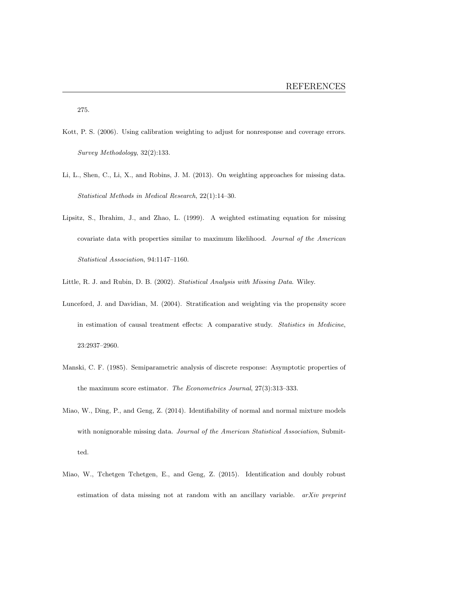275.

- <span id="page-32-6"></span>Kott, P. S. (2006). Using calibration weighting to adjust for nonresponse and coverage errors. Survey Methodology, 32(2):133.
- <span id="page-32-1"></span>Li, L., Shen, C., Li, X., and Robins, J. M. (2013). On weighting approaches for missing data. Statistical Methods in Medical Research, 22(1):14–30.
- <span id="page-32-2"></span>Lipsitz, S., Ibrahim, J., and Zhao, L. (1999). A weighted estimating equation for missing covariate data with properties similar to maximum likelihood. Journal of the American Statistical Association, 94:1147–1160.
- <span id="page-32-7"></span><span id="page-32-0"></span>Little, R. J. and Rubin, D. B. (2002). Statistical Analysis with Missing Data. Wiley.
- Lunceford, J. and Davidian, M. (2004). Stratification and weighting via the propensity score in estimation of causal treatment effects: A comparative study. Statistics in Medicine, 23:2937–2960.
- <span id="page-32-5"></span>Manski, C. F. (1985). Semiparametric analysis of discrete response: Asymptotic properties of the maximum score estimator. The Econometrics Journal, 27(3):313–333.
- <span id="page-32-3"></span>Miao, W., Ding, P., and Geng, Z. (2014). Identifiability of normal and normal mixture models with nonignorable missing data. Journal of the American Statistical Association, Submitted.
- <span id="page-32-4"></span>Miao, W., Tchetgen Tchetgen, E., and Geng, Z. (2015). Identification and doubly robust estimation of data missing not at random with an ancillary variable. arXiv preprint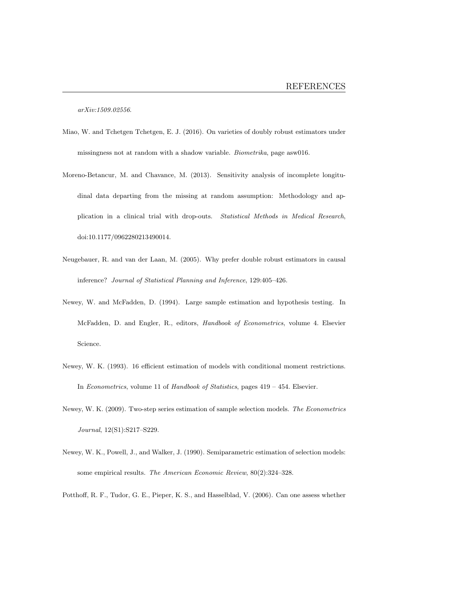arXiv:1509.02556.

- <span id="page-33-3"></span>Miao, W. and Tchetgen Tchetgen, E. J. (2016). On varieties of doubly robust estimators under missingness not at random with a shadow variable. Biometrika, page asw016.
- <span id="page-33-2"></span>Moreno-Betancur, M. and Chavance, M. (2013). Sensitivity analysis of incomplete longitudinal data departing from the missing at random assumption: Methodology and application in a clinical trial with drop-outs. Statistical Methods in Medical Research, doi:10.1177/0962280213490014.
- <span id="page-33-0"></span>Neugebauer, R. and van der Laan, M. (2005). Why prefer double robust estimators in causal inference? Journal of Statistical Planning and Inference, 129:405–426.
- Newey, W. and McFadden, D. (1994). Large sample estimation and hypothesis testing. In McFadden, D. and Engler, R., editors, Handbook of Econometrics, volume 4. Elsevier Science.
- Newey, W. K. (1993). 16 efficient estimation of models with conditional moment restrictions. In Econometrics, volume 11 of Handbook of Statistics, pages 419 – 454. Elsevier.
- <span id="page-33-5"></span>Newey, W. K. (2009). Two-step series estimation of sample selection models. The Econometrics Journal, 12(S1):S217–S229.
- <span id="page-33-4"></span>Newey, W. K., Powell, J., and Walker, J. (1990). Semiparametric estimation of selection models: some empirical results. The American Economic Review, 80(2):324–328.

<span id="page-33-1"></span>Potthoff, R. F., Tudor, G. E., Pieper, K. S., and Hasselblad, V. (2006). Can one assess whether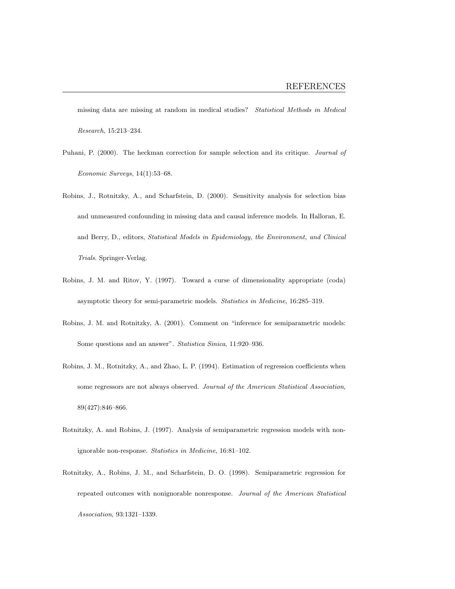missing data are missing at random in medical studies? Statistical Methods in Medical Research, 15:213–234.

- <span id="page-34-5"></span>Puhani, P. (2000). The heckman correction for sample selection and its critique. Journal of Economic Surveys, 14(1):53–68.
- <span id="page-34-1"></span>Robins, J., Rotnitzky, A., and Scharfstein, D. (2000). Sensitivity analysis for selection bias and unmeasured confounding in missing data and causal inference models. In Halloran, E. and Berry, D., editors, Statistical Models in Epidemiology, the Environment, and Clinical Trials. Springer-Verlag.
- <span id="page-34-3"></span>Robins, J. M. and Ritov, Y. (1997). Toward a curse of dimensionality appropriate (coda) asymptotic theory for semi-parametric models. Statistics in Medicine, 16:285–319.
- <span id="page-34-2"></span>Robins, J. M. and Rotnitzky, A. (2001). Comment on "inference for semiparametric models: Some questions and an answer". Statistica Sinica, 11:920–936.
- <span id="page-34-0"></span>Robins, J. M., Rotnitzky, A., and Zhao, L. P. (1994). Estimation of regression coefficients when some regressors are not always observed. Journal of the American Statistical Association, 89(427):846–866.
- <span id="page-34-4"></span>Rotnitzky, A. and Robins, J. (1997). Analysis of semiparametric regression models with nonignorable non-response. Statistics in Medicine, 16:81–102.
- <span id="page-34-6"></span>Rotnitzky, A., Robins, J. M., and Scharfstein, D. O. (1998). Semiparametric regression for repeated outcomes with nonignorable nonresponse. Journal of the American Statistical Association, 93:1321–1339.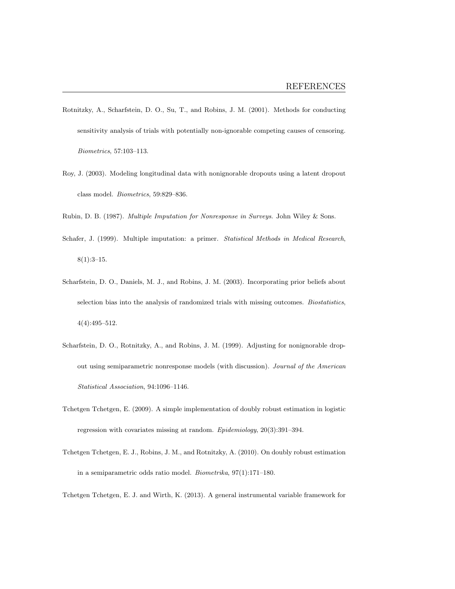- <span id="page-35-8"></span>Rotnitzky, A., Scharfstein, D. O., Su, T., and Robins, J. M. (2001). Methods for conducting sensitivity analysis of trials with potentially non-ignorable competing causes of censoring. Biometrics, 57:103–113.
- <span id="page-35-4"></span>Roy, J. (2003). Modeling longitudinal data with nonignorable dropouts using a latent dropout class model. Biometrics, 59:829–836.
- <span id="page-35-1"></span><span id="page-35-0"></span>Rubin, D. B. (1987). Multiple Imputation for Nonresponse in Surveys. John Wiley & Sons.
- Schafer, J. (1999). Multiple imputation: a primer. Statistical Methods in Medical Research,  $8(1):3-15.$
- <span id="page-35-7"></span>Scharfstein, D. O., Daniels, M. J., and Robins, J. M. (2003). Incorporating prior beliefs about selection bias into the analysis of randomized trials with missing outcomes. Biostatistics, 4(4):495–512.
- <span id="page-35-2"></span>Scharfstein, D. O., Rotnitzky, A., and Robins, J. M. (1999). Adjusting for nonignorable dropout using semiparametric nonresponse models (with discussion). Journal of the American Statistical Association, 94:1096–1146.
- <span id="page-35-3"></span>Tchetgen Tchetgen, E. (2009). A simple implementation of doubly robust estimation in logistic regression with covariates missing at random. Epidemiology, 20(3):391–394.
- <span id="page-35-6"></span>Tchetgen Tchetgen, E. J., Robins, J. M., and Rotnitzky, A. (2010). On doubly robust estimation in a semiparametric odds ratio model. Biometrika, 97(1):171–180.

<span id="page-35-5"></span>Tchetgen Tchetgen, E. J. and Wirth, K. (2013). A general instrumental variable framework for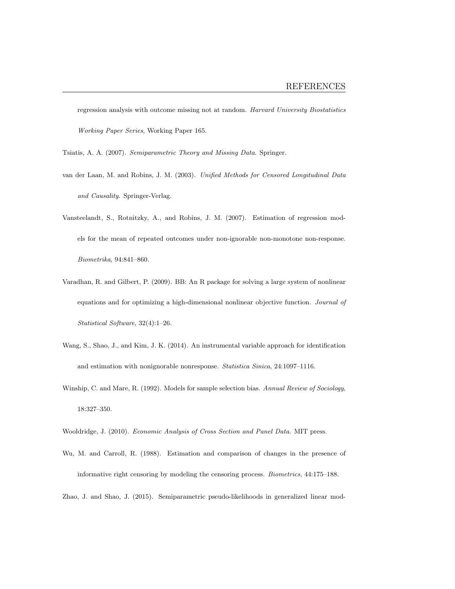regression analysis with outcome missing not at random. Harvard University Biostatistics Working Paper Series, Working Paper 165.

<span id="page-36-0"></span>Tsiatis, A. A. (2007). Semiparametric Theory and Missing Data. Springer.

- van der Laan, M. and Robins, J. M. (2003). Unified Methods for Censored Longitudinal Data and Causality. Springer-Verlag.
- Vansteelandt, S., Rotnitzky, A., and Robins, J. M. (2007). Estimation of regression models for the mean of repeated outcomes under non-ignorable non-monotone non-response. Biometrika, 94:841–860.
- Varadhan, R. and Gilbert, P. (2009). BB: An R package for solving a large system of nonlinear equations and for optimizing a high-dimensional nonlinear objective function. Journal of Statistical Software, 32(4):1–26.
- Wang, S., Shao, J., and Kim, J. K. (2014). An instrumental variable approach for identification and estimation with nonignorable nonresponse. Statistica Sinica, 24:1097–1116.
- Winship, C. and Mare, R. (1992). Models for sample selection bias. Annual Review of Sociology, 18:327–350.

Wooldridge, J. (2010). Economic Analysis of Cross Section and Panel Data. MIT press.

Wu, M. and Carroll, R. (1988). Estimation and comparison of changes in the presence of informative right censoring by modeling the censoring process. Biometrics, 44:175–188.

Zhao, J. and Shao, J. (2015). Semiparametric pseudo-likelihoods in generalized linear mod-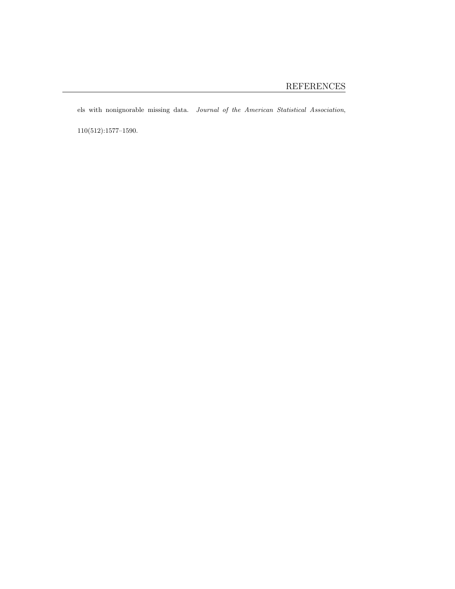els with nonignorable missing data. Journal of the American Statistical Association,

 $110(512){:}1577{-}1590.$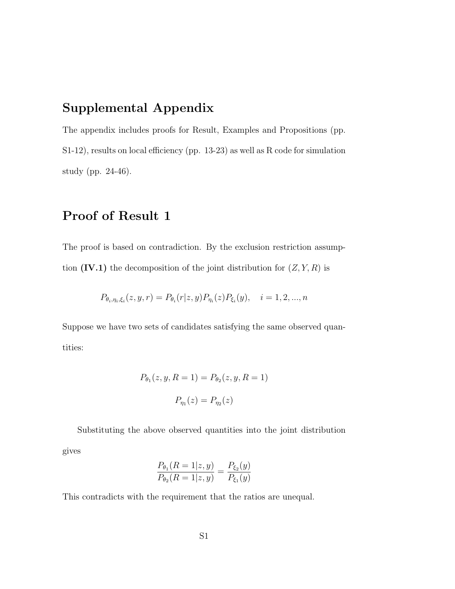# Supplemental Appendix

The appendix includes proofs for Result, Examples and Propositions (pp. S1-12), results on local efficiency (pp. 13-23) as well as R code for simulation study (pp. 24-46).

## Proof of Result 1

The proof is based on contradiction. By the exclusion restriction assumption  $(IV.1)$  the decomposition of the joint distribution for  $(Z, Y, R)$  is

$$
P_{\theta_i, \eta_i, \xi_i}(z, y, r) = P_{\theta_i}(r|z, y) P_{\eta_i}(z) P_{\xi_i}(y), \quad i = 1, 2, ..., n
$$

Suppose we have two sets of candidates satisfying the same observed quantities:

$$
P_{\theta_1}(z, y, R = 1) = P_{\theta_2}(z, y, R = 1)
$$

$$
P_{\eta_1}(z) = P_{\eta_2}(z)
$$

Substituting the above observed quantities into the joint distribution gives

$$
\frac{P_{\theta_1}(R=1|z,y)}{P_{\theta_2}(R=1|z,y)} = \frac{P_{\xi_2}(y)}{P_{\xi_1}(y)}
$$

This contradicts with the requirement that the ratios are unequal.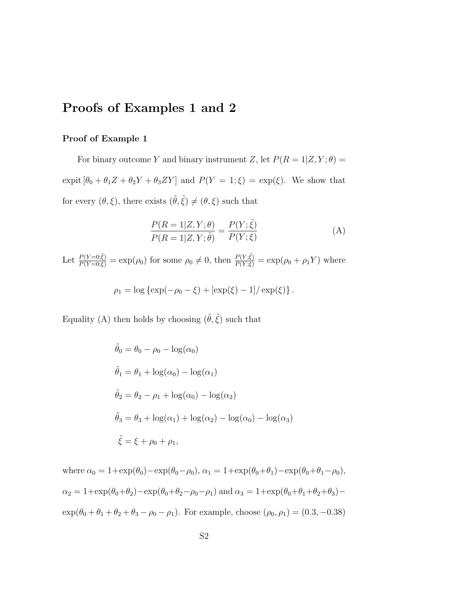### Proofs of Examples 1 and 2

#### Proof of Example 1

For binary outcome Y and binary instrument Z, let  $P(R = 1 | Z, Y; \theta)$  = expit  $[\theta_0 + \theta_1 Z + \theta_2 Y + \theta_3 Z Y]$  and  $P(Y = 1; \xi) = \exp(\xi)$ . We show that for every  $(\theta, \xi)$ , there exists  $(\tilde{\theta}, \tilde{\xi}) \neq (\theta, \xi)$  such that

$$
\frac{P(R=1|Z,Y;\theta)}{P(R=1|Z,Y;\tilde{\theta})} = \frac{P(Y;\tilde{\xi})}{P(Y;\xi)}
$$
(A)

Let  $\frac{P(Y=0;\tilde{\xi})}{P(Y=0;\xi)} = \exp(\rho_0)$  for some  $\rho_0 \neq 0$ , then  $\frac{P(Y;\tilde{\xi})}{P(Y;\xi)} = \exp(\rho_0 + \rho_1 Y)$  where

$$
\rho_1 = \log \{ \exp(-\rho_0 - \xi) + [\exp(\xi) - 1] / \exp(\xi) \}.
$$

Equality (A) then holds by choosing  $(\tilde{\theta}, \tilde{\xi})$  such that

$$
\tilde{\theta}_0 = \theta_0 - \rho_0 - \log(\alpha_0)
$$
  
\n
$$
\tilde{\theta}_1 = \theta_1 + \log(\alpha_0) - \log(\alpha_1)
$$
  
\n
$$
\tilde{\theta}_2 = \theta_2 - \rho_1 + \log(\alpha_0) - \log(\alpha_2)
$$
  
\n
$$
\tilde{\theta}_3 = \theta_3 + \log(\alpha_1) + \log(\alpha_2) - \log(\alpha_0) - \log(\alpha_3)
$$
  
\n
$$
\tilde{\xi} = \xi + \rho_0 + \rho_1,
$$

where  $\alpha_0 = 1+\exp(\theta_0)-\exp(\theta_0-\rho_0), \alpha_1 = 1+\exp(\theta_0+\theta_1)-\exp(\theta_0+\theta_1-\rho_0),$  $\alpha_2 = 1+\exp(\theta_0+\theta_2)-\exp(\theta_0+\theta_2-\rho_0-\rho_1)$  and  $\alpha_3 = 1+\exp(\theta_0+\theta_1+\theta_2+\theta_3) \exp(\theta_0 + \theta_1 + \theta_2 + \theta_3 - \rho_0 - \rho_1)$ . For example, choose  $(\rho_0, \rho_1) = (0.3, -0.38)$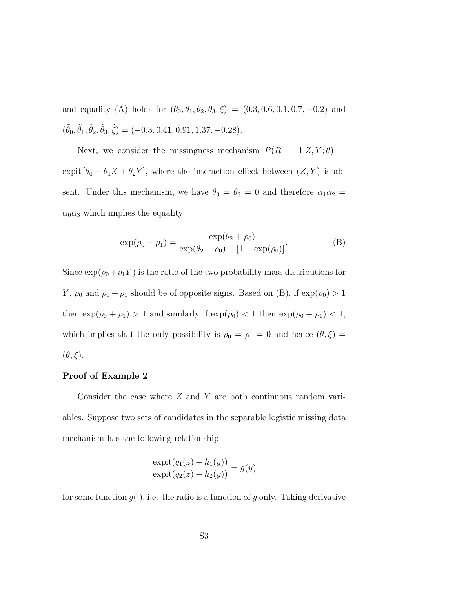and equality (A) holds for  $(\theta_0, \theta_1, \theta_2, \theta_3, \xi) = (0.3, 0.6, 0.1, 0.7, -0.2)$  and  $(\tilde{\theta}_0, \tilde{\theta}_1, \tilde{\theta}_2, \tilde{\theta}_3, \tilde{\xi}) = (-0.3, 0.41, 0.91, 1.37, -0.28).$ 

Next, we consider the missingness mechanism  $P(R = 1|Z, Y; \theta)$  = expit  $[\theta_0 + \theta_1 Z + \theta_2 Y]$ , where the interaction effect between  $(Z, Y)$  is absent. Under this mechanism, we have  $\theta_3 = \tilde{\theta}_3 = 0$  and therefore  $\alpha_1 \alpha_2 =$  $\alpha_0 \alpha_3$  which implies the equality

$$
\exp(\rho_0 + \rho_1) = \frac{\exp(\theta_2 + \rho_0)}{\exp(\theta_2 + \rho_0) + [1 - \exp(\rho_0)]}.
$$
 (B)

Since  $\exp(\rho_0 + \rho_1 Y)$  is the ratio of the two probability mass distributions for *Y*,  $\rho_0$  and  $\rho_0 + \rho_1$  should be of opposite signs. Based on (B), if  $\exp(\rho_0) > 1$ then  $\exp(\rho_0 + \rho_1) > 1$  and similarly if  $\exp(\rho_0) < 1$  then  $\exp(\rho_0 + \rho_1) < 1$ , which implies that the only possibility is  $\rho_0 = \rho_1 = 0$  and hence  $(\tilde{\theta}, \tilde{\xi}) =$  $(\theta, \xi)$ .

#### Proof of Example 2

Consider the case where  $Z$  and  $Y$  are both continuous random variables. Suppose two sets of candidates in the separable logistic missing data mechanism has the following relationship

$$
\frac{\expit(q_1(z) + h_1(y))}{\expit(q_2(z) + h_2(y))} = g(y)
$$

for some function  $g(\cdot)$ , i.e. the ratio is a function of y only. Taking derivative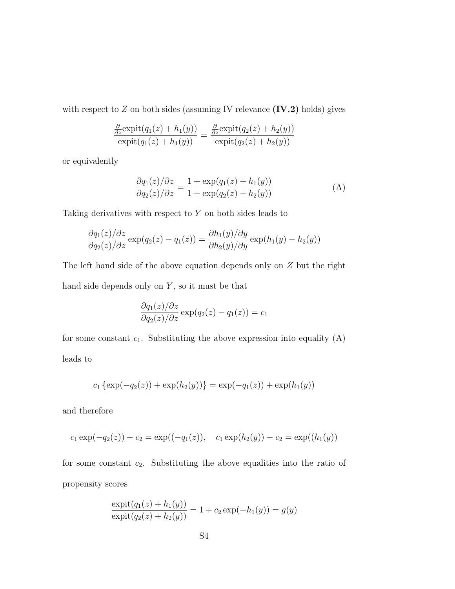with respect to  $Z$  on both sides (assuming IV relevance  $(IV.2)$  holds) gives

$$
\frac{\frac{\partial}{\partial z}\text{expit}(q_1(z) + h_1(y))}{\text{expit}(q_1(z) + h_1(y))} = \frac{\frac{\partial}{\partial z}\text{expit}(q_2(z) + h_2(y))}{\text{expit}(q_2(z) + h_2(y))}
$$

or equivalently

$$
\frac{\partial q_1(z)}{\partial q_2(z)} \frac{\partial z}{\partial z} = \frac{1 + \exp(q_1(z) + h_1(y))}{1 + \exp(q_2(z) + h_2(y))}
$$
(A)

Taking derivatives with respect to  $Y$  on both sides leads to

$$
\frac{\partial q_1(z)}{\partial q_2(z)} \frac{\partial z}{\partial z} \exp(q_2(z) - q_1(z)) = \frac{\partial h_1(y)}{\partial h_2(y)} \frac{\partial y}{\partial y} \exp(h_1(y) - h_2(y))
$$

The left hand side of the above equation depends only on Z but the right hand side depends only on  $Y$ , so it must be that

$$
\frac{\partial q_1(z)}{\partial q_2(z)}\frac{\partial z}{\partial z} \exp(q_2(z) - q_1(z)) = c_1
$$

for some constant  $c_1$ . Substituting the above expression into equality (A) leads to

$$
c_1 \{\exp(-q_2(z)) + \exp(h_2(y))\} = \exp(-q_1(z)) + \exp(h_1(y))
$$

and therefore

$$
c_1 \exp(-q_2(z)) + c_2 = \exp((-q_1(z)), c_1 \exp(h_2(y)) - c_2) = \exp((h_1(y)))
$$

for some constant  $c_2$ . Substituting the above equalities into the ratio of propensity scores

$$
\frac{\expit(q_1(z) + h_1(y))}{\expit(q_2(z) + h_2(y))} = 1 + c_2 \exp(-h_1(y)) = g(y)
$$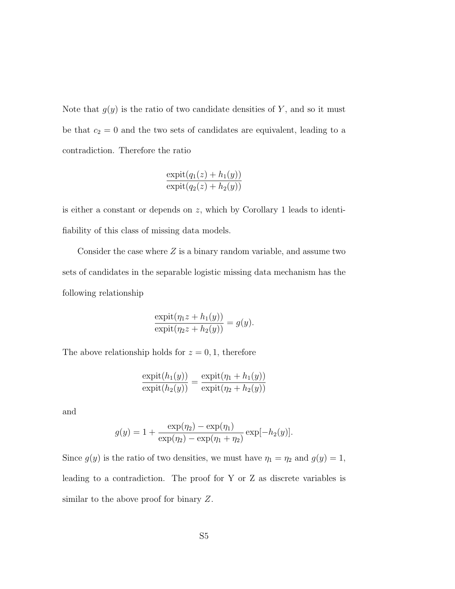Note that  $g(y)$  is the ratio of two candidate densities of Y, and so it must be that  $c_2 = 0$  and the two sets of candidates are equivalent, leading to a contradiction. Therefore the ratio

$$
\frac{\mathrm{expit}(q_1(z) + h_1(y))}{\mathrm{expit}(q_2(z) + h_2(y))}
$$

is either a constant or depends on z, which by Corollary 1 leads to identifiability of this class of missing data models.

Consider the case where  $Z$  is a binary random variable, and assume two sets of candidates in the separable logistic missing data mechanism has the following relationship

$$
\frac{\mathrm{expit}(\eta_1 z + h_1(y))}{\mathrm{expit}(\eta_2 z + h_2(y))} = g(y).
$$

The above relationship holds for  $z = 0, 1$ , therefore

$$
\frac{\mathrm{expit}(h_1(y))}{\mathrm{expit}(h_2(y))} = \frac{\mathrm{expit}(\eta_1 + h_1(y))}{\mathrm{expit}(\eta_2 + h_2(y))}
$$

and

$$
g(y) = 1 + \frac{\exp(\eta_2) - \exp(\eta_1)}{\exp(\eta_2) - \exp(\eta_1 + \eta_2)} \exp[-h_2(y)].
$$

Since  $g(y)$  is the ratio of two densities, we must have  $\eta_1 = \eta_2$  and  $g(y) = 1$ , leading to a contradiction. The proof for Y or Z as discrete variables is similar to the above proof for binary Z.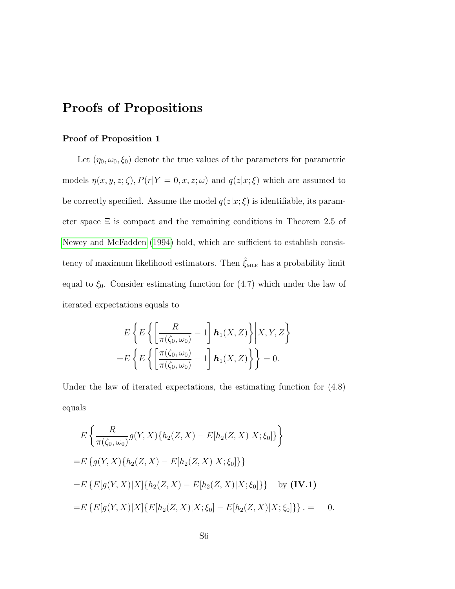### <span id="page-43-0"></span>Proofs of Propositions

#### Proof of Proposition 1

Let  $(\eta_0, \omega_0, \xi_0)$  denote the true values of the parameters for parametric models  $\eta(x, y, z; \zeta), P(r|Y = 0, x, z; \omega)$  and  $q(z|x; \xi)$  which are assumed to be correctly specified. Assume the model  $q(z|x; \xi)$  is identifiable, its parameter space  $\Xi$  is compact and the remaining conditions in Theorem 2.5 of [Newey and McFadden](#page-33-0) [\(1994\)](#page-33-0) hold, which are sufficient to establish consistency of maximum likelihood estimators. Then  $\hat{\xi}_{\text{\tiny MLE}}$  has a probability limit equal to  $\xi_0$ . Consider estimating function for  $(4.7)$  which under the law of iterated expectations equals to

$$
E\left\{E\left\{\left[\frac{R}{\pi(\zeta_0,\omega_0)}-1\right]\mathbf{h}_1(X,Z)\right\}\middle| X,Y,Z\right\}
$$

$$
=E\left\{E\left\{\left[\frac{\pi(\zeta_0,\omega_0)}{\pi(\zeta_0,\omega_0)}-1\right]\mathbf{h}_1(X,Z)\right\}\right\}=0.
$$

Under the law of iterated expectations, the estimating function for (4.8) equals

$$
E\left\{\frac{R}{\pi(\zeta_0,\omega_0)}g(Y,X)\{h_2(Z,X)-E[h_2(Z,X)|X;\xi_0]\}\right\}
$$
  
=
$$
E\left\{g(Y,X)\{h_2(Z,X)-E[h_2(Z,X)|X;\xi_0]\}\right\}
$$
  
=
$$
E\left\{E[g(Y,X)|X]\{h_2(Z,X)-E[h_2(Z,X)|X;\xi_0]\}\right\} \text{ by (IV.1)}
$$
  
=
$$
E\left\{E[g(Y,X)|X]\{E[h_2(Z,X)|X;\xi_0]-E[h_2(Z,X)|X;\xi_0]\}\right\}.
$$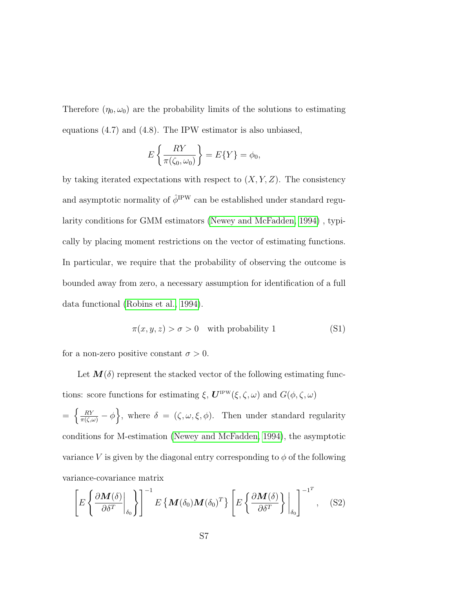Therefore  $(\eta_0, \omega_0)$  are the probability limits of the solutions to estimating equations (4.7) and (4.8). The IPW estimator is also unbiased,

$$
E\left\{\frac{RY}{\pi(\zeta_0,\omega_0)}\right\} = E\{Y\} = \phi_0,
$$

by taking iterated expectations with respect to  $(X, Y, Z)$ . The consistency and asymptotic normality of  $\hat{\phi}^{\mathrm{IPW}}$  can be established under standard regularity conditions for GMM estimators [\(Newey and McFadden, 1994\)](#page-33-0) , typically by placing moment restrictions on the vector of estimating functions. In particular, we require that the probability of observing the outcome is bounded away from zero, a necessary assumption for identification of a full data functional [\(Robins et al., 1994\)](#page-34-0).

$$
\pi(x, y, z) > \sigma > 0 \quad \text{with probability } 1 \tag{S1}
$$

for a non-zero positive constant  $\sigma > 0$ .

Let  $M(\delta)$  represent the stacked vector of the following estimating functions: score functions for estimating  $\xi$ ,  $\mathbf{U}^{\text{IPW}}(\xi,\zeta,\omega)$  and  $G(\phi,\zeta,\omega)$  $=\left\{\frac{RY}{\pi(\zeta,\omega)}-\phi\right\}$ , where  $\delta = (\zeta,\omega,\xi,\phi)$ . Then under standard regularity conditions for M-estimation [\(Newey and McFadden, 1994\)](#page-33-0), the asymptotic variance V is given by the diagonal entry corresponding to  $\phi$  of the following variance-covariance matrix

$$
\left[E\left\{\frac{\partial \boldsymbol{M}(\delta)}{\partial \delta^{T}}\bigg|_{\delta_{0}}\right\}\right]^{-1} E\left\{\boldsymbol{M}(\delta_{0})\boldsymbol{M}(\delta_{0})^{T}\right\}\left[E\left\{\frac{\partial \boldsymbol{M}(\delta)}{\partial \delta^{T}}\right\}\bigg|_{\delta_{0}}\right]^{-1^{T}},\quad (S2)
$$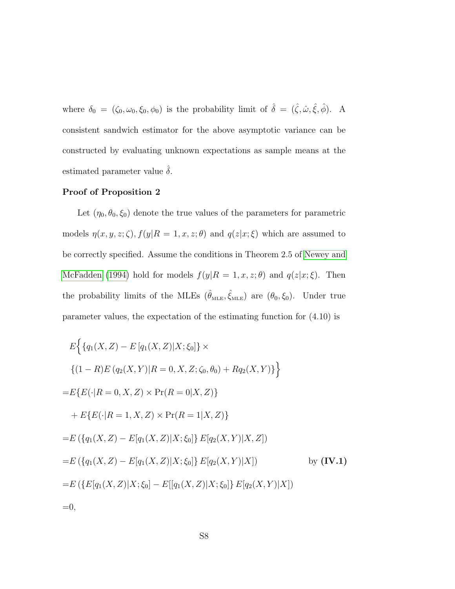where  $\delta_0 = (\zeta_0, \omega_0, \xi_0, \phi_0)$  is the probability limit of  $\hat{\delta} = (\hat{\zeta}, \hat{\omega}, \hat{\xi}, \hat{\phi})$ . A consistent sandwich estimator for the above asymptotic variance can be constructed by evaluating unknown expectations as sample means at the estimated parameter value  $\delta$ .

#### Proof of Proposition 2

Let  $(\eta_0, \theta_0, \xi_0)$  denote the true values of the parameters for parametric models  $\eta(x, y, z; \zeta), f(y|R = 1, x, z; \theta)$  and  $q(z|x; \xi)$  which are assumed to be correctly specified. Assume the conditions in Theorem 2.5 of [Newey and](#page-33-0) [McFadden](#page-33-0) [\(1994\)](#page-33-0) hold for models  $f(y|R = 1, x, z; \theta)$  and  $q(z|x; \xi)$ . Then the probability limits of the MLEs  $(\hat{\theta}_{MLE}, \hat{\xi}_{MLE})$  are  $(\theta_0, \xi_0)$ . Under true parameter values, the expectation of the estimating function for (4.10) is

$$
E\Big\{\{q_1(X,Z) - E\left[q_1(X,Z)|X;\xi_0\right]\}\times
$$
  
\n
$$
\{(1-R)E\left(q_2(X,Y)|R=0,X,Z;\zeta_0,\theta_0\right) + Rq_2(X,Y)\}\Big\}
$$
  
\n
$$
=E\{E(\cdot|R=0,X,Z)\times\Pr(R=0|X,Z)\}
$$
  
\n
$$
+ E\{E(\cdot|R=1,X,Z)\times\Pr(R=1|X,Z)\}
$$
  
\n
$$
=E(\{q_1(X,Z) - E[q_1(X,Z)|X;\xi_0]\} E[q_2(X,Y)|X,Z])
$$
  
\n
$$
=E(\{q_1(X,Z) - E[q_1(X,Z)|X;\xi_0]\} E[q_2(X,Y)|X])
$$
 by (IV.1)  
\n
$$
=E(\{E[q_1(X,Z)|X;\xi_0] - E[[q_1(X,Z)|X;\xi_0]\} E[q_2(X,Y)|X])
$$
  
\n
$$
=0,
$$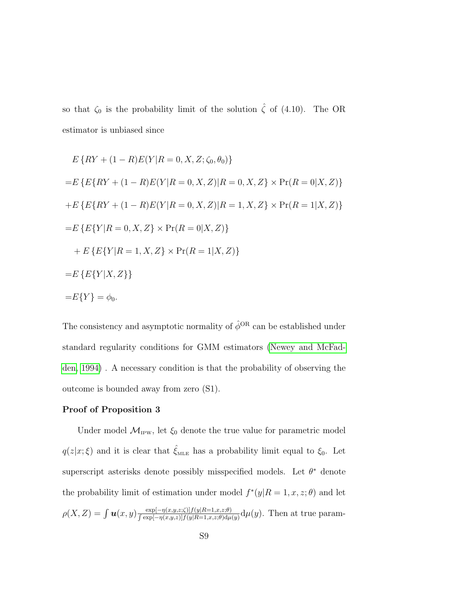so that  $\zeta_0$  is the probability limit of the solution  $\hat{\zeta}$  of (4.10). The OR estimator is unbiased since

$$
E\{RY + (1 - R)E(Y|R = 0, X, Z; \zeta_0, \theta_0)\}
$$
  
=
$$
E\{E\{RY + (1 - R)E(Y|R = 0, X, Z)|R = 0, X, Z\} \times \Pr(R = 0|X, Z)\}
$$
  
+
$$
E\{E\{RY + (1 - R)E(Y|R = 0, X, Z)|R = 1, X, Z\} \times \Pr(R = 1|X, Z)\}
$$
  
=
$$
E\{E\{Y|R = 0, X, Z\} \times \Pr(R = 0|X, Z)\}
$$
  
+
$$
E\{E\{Y|R = 1, X, Z\} \times \Pr(R = 1|X, Z)\}
$$
  
=
$$
E\{Y|X, Z\}
$$
  
=
$$
E\{Y\} = \phi_0.
$$

The consistency and asymptotic normality of  $\hat{\phi}^{OR}$  can be established under standard regularity conditions for GMM estimators [\(Newey and McFad](#page-33-0)[den, 1994\)](#page-33-0) . A necessary condition is that the probability of observing the outcome is bounded away from zero (S1).

#### Proof of Proposition 3

Under model  $\mathcal{M}_{\text{IPW}}$ , let  $\xi_0$  denote the true value for parametric model  $q(z|x;\xi)$  and it is clear that  $\hat{\xi}_{\text{MLE}}$  has a probability limit equal to  $\xi_0$ . Let superscript asterisks denote possibly misspecified models. Let  $\theta^*$  denote the probability limit of estimation under model  $f^*(y|R=1, x, z; \theta)$  and let  $\rho(X, Z) = \int \boldsymbol{u}(x, y) \frac{\exp[-\eta(x, y, z; \zeta)] f(y|R=1, x, z; \theta)}{\int \exp[-\eta(x, y, z)] f(y|R=1, x, z; \theta)}$  $\frac{\exp[-\eta(x,y,z;\zeta)]f(y|R=1,x,z;\theta)}{\int \exp[-\eta(x,y,z)]f(y|R=1,x,z;\theta)d\mu(y)}d\mu(y)$ . Then at true param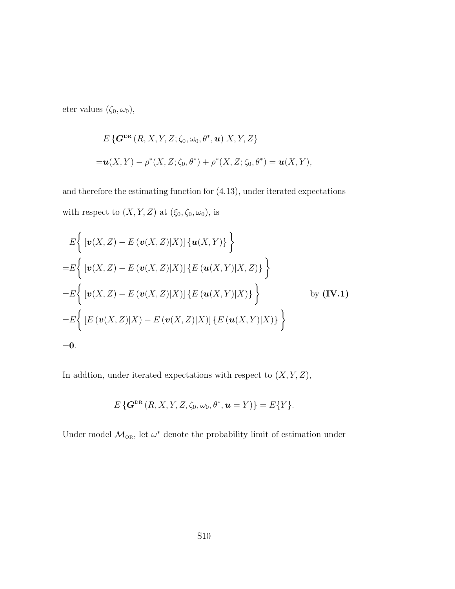eter values  $(\zeta_0, \omega_0)$ ,

$$
E\left\{G^{\text{DR}}(R, X, Y, Z; \zeta_0, \omega_0, \theta^*, \mathbf{u}) | X, Y, Z\right\}
$$
  
= $\mathbf{u}(X, Y) - \rho^*(X, Z; \zeta_0, \theta^*) + \rho^*(X, Z; \zeta_0, \theta^*) = \mathbf{u}(X, Y),$ 

and therefore the estimating function for (4.13), under iterated expectations with respect to  $(X, Y, Z)$  at  $(\xi_0, \zeta_0, \omega_0)$ , is

$$
E\Big\{ \big[ \mathbf{v}(X,Z) - E(\mathbf{v}(X,Z)|X) \big] \{ \mathbf{u}(X,Y) \} \Big\}
$$
  
=
$$
E\Big\{ \big[ \mathbf{v}(X,Z) - E(\mathbf{v}(X,Z)|X) \big] \{ E(\mathbf{u}(X,Y)|X,Z) \} \Big\}
$$
  
=
$$
E\Big\{ \big[ \mathbf{v}(X,Z) - E(\mathbf{v}(X,Z)|X) \big] \{ E(\mathbf{u}(X,Y)|X) \} \Big\}
$$
by (IV.1)  
=
$$
E\Big\{ \big[ E(\mathbf{v}(X,Z)|X) - E(\mathbf{v}(X,Z)|X) \big] \{ E(\mathbf{u}(X,Y)|X) \} \Big\}
$$
  
=0.

In addtion, under iterated expectations with respect to  $(X,Y,\mathbb{Z}),$ 

$$
E\left\{G^{\mathrm{DR}}\left(R,X,Y,Z,\zeta_0,\omega_0,\theta^*,\boldsymbol{u}=Y\right)\right\}=E\{Y\}.
$$

Under model  $\mathcal{M}_{OR}$ , let  $\omega^*$  denote the probability limit of estimation under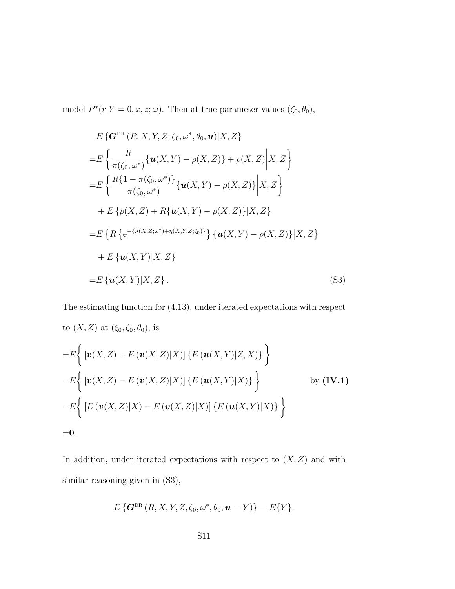model  $P^*(r|Y=0, x, z; \omega)$ . Then at true parameter values  $(\zeta_0, \theta_0)$ ,

$$
E\left\{G^{\text{DR}}(R, X, Y, Z; \zeta_0, \omega^*, \theta_0, \mathbf{u}) | X, Z\right\}= E\left\{\frac{R}{\pi(\zeta_0, \omega^*)}\{\mathbf{u}(X, Y) - \rho(X, Z)\} + \rho(X, Z)\middle| X, Z\right\}= E\left\{\frac{R\{1 - \pi(\zeta_0, \omega^*)\}}{\pi(\zeta_0, \omega^*)}\{\mathbf{u}(X, Y) - \rho(X, Z)\}\middle| X, Z\right\}+ E\left\{\rho(X, Z) + R\{\mathbf{u}(X, Y) - \rho(X, Z)\}\middle| X, Z\right\}= E\left\{R\left\{e^{-\{\lambda(X, Z; \omega^*) + \eta(X, Y, Z; \zeta_0)\}}\right\}\{\mathbf{u}(X, Y) - \rho(X, Z)\}\middle| X, Z\right\}+ E\left\{\mathbf{u}(X, Y)| X, Z\right\}= E\left\{\mathbf{u}(X, Y)| X, Z\right\}. (S3)
$$

The estimating function for (4.13), under iterated expectations with respect to  $(X, Z)$  at  $(\xi_0, \zeta_0, \theta_0)$ , is  $\overline{1}$  $\lambda$ 

$$
= E \Big\{ \big[ \mathbf{v}(X, Z) - E(\mathbf{v}(X, Z)|X) \big] \{ E(\mathbf{u}(X, Y)|Z, X) \} \Big\}
$$
  
= 
$$
E \Big\{ \big[ \mathbf{v}(X, Z) - E(\mathbf{v}(X, Z)|X) \big] \{ E(\mathbf{u}(X, Y)|X) \} \Big\}
$$
 by (IV.1)  
= 
$$
E \Big\{ \big[ E(\mathbf{v}(X, Z)|X) - E(\mathbf{v}(X, Z)|X) \big] \{ E(\mathbf{u}(X, Y)|X) \} \Big\}
$$
  
= 0.

In addition, under iterated expectations with respect to  $(X, Z)$  and with similar reasoning given in (S3),

$$
E\left\{G^{\text{DR}}\left(R,X,Y,Z,\zeta_0,\omega^*,\theta_0,\mathbf{u}=Y\right)\right\}=E\{Y\}.
$$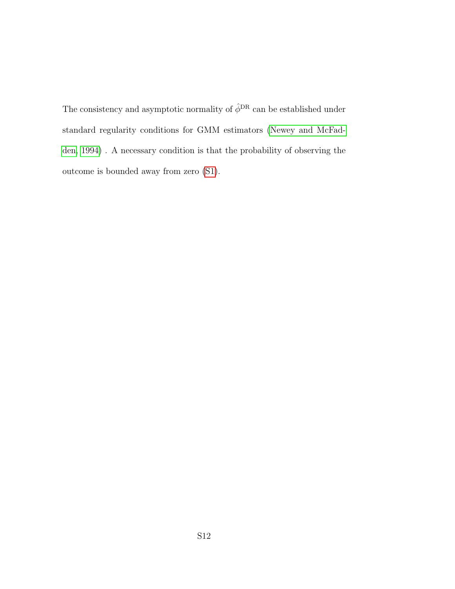The consistency and asymptotic normality of  $\hat{\phi}^{\text{DR}}$  can be established under standard regularity conditions for GMM estimators [\(Newey and McFad](#page-33-0)[den, 1994\)](#page-33-0) . A necessary condition is that the probability of observing the outcome is bounded away from zero [\(S1\)](#page-43-0).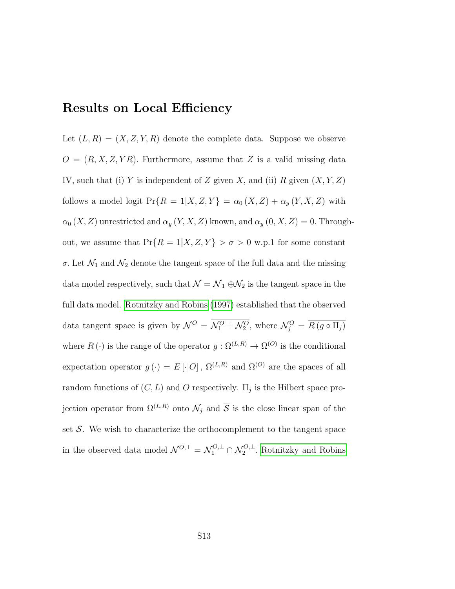### Results on Local Efficiency

Let  $(L, R) = (X, Z, Y, R)$  denote the complete data. Suppose we observe  $O = (R, X, Z, YR)$ . Furthermore, assume that Z is a valid missing data IV, such that (i) Y is independent of Z given X, and (ii) R given  $(X, Y, Z)$ follows a model logit  $Pr\{R = 1 | X, Z, Y\} = \alpha_0(X, Z) + \alpha_y(Y, X, Z)$  with  $\alpha_0(X, Z)$  unrestricted and  $\alpha_y(Y, X, Z)$  known, and  $\alpha_y(0, X, Z) = 0$ . Throughout, we assume that  $Pr\{R = 1 | X, Z, Y\} > \sigma > 0$  w.p.1 for some constant σ. Let  $\mathcal{N}_1$  and  $\mathcal{N}_2$  denote the tangent space of the full data and the missing data model respectively, such that  $\mathcal{N}=\mathcal{N}_1\oplus\mathcal{N}_2$  is the tangent space in the full data model. [Rotnitzky and Robins](#page-34-1) [\(1997\)](#page-34-1) established that the observed data tangent space is given by  $\mathcal{N}^O = \mathcal{N}_1^O + \mathcal{N}_2^O$ , where  $\mathcal{N}_j^O = \overline{R(g \circ \Pi_j)}$ where  $R(\cdot)$  is the range of the operator  $g: \Omega^{(L,R)} \to \Omega^{(O)}$  is the conditional expectation operator  $g(\cdot) = E[\cdot|O], \Omega^{(L,R)}$  and  $\Omega^{(O)}$  are the spaces of all random functions of  $(C, L)$  and O respectively.  $\Pi_j$  is the Hilbert space projection operator from  $\Omega^{(L,R)}$  onto  $\mathcal{N}_j$  and  $\overline{\mathcal{S}}$  is the close linear span of the set  $S$ . We wish to characterize the orthocomplement to the tangent space in the observed data model  $\mathcal{N}^{O,\perp} = \mathcal{N}_1^{O,\perp} \cap \mathcal{N}_2^{O,\perp}$ . [Rotnitzky and Robins](#page-34-1)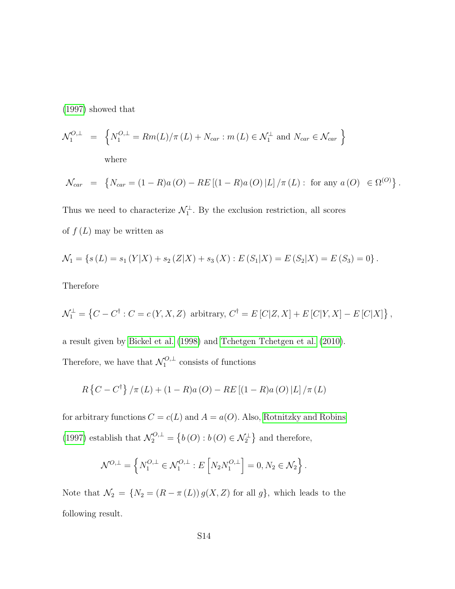[\(1997\)](#page-34-1) showed that

$$
\mathcal{N}_1^{O,\perp} = \left\{ N_1^{O,\perp} = Rm(L)/\pi(L) + N_{car} : m(L) \in \mathcal{N}_1^{\perp} \text{ and } N_{car} \in \mathcal{N}_{car} \right\}
$$
  
where

$$
\mathcal{N}_{car} = \left\{ N_{car} = (1 - R)a (O) - RE \left[ (1 - R)a (O) |L| / \pi (L) : \text{ for any } a (O) \in \Omega^{(O)} \right] \right\}.
$$

Thus we need to characterize  $\mathcal{N}_1^{\perp}$ . By the exclusion restriction, all scores of  $f(L)$  may be written as

$$
\mathcal{N}_1 = \{ s(L) = s_1(Y|X) + s_2(Z|X) + s_3(X) : E(S_1|X) = E(S_2|X) = E(S_3) = 0 \}.
$$

Therefore

$$
\mathcal{N}_1^{\perp} = \left\{ C - C^{\dagger} : C = c(Y, X, Z) \text{ arbitrary, } C^{\dagger} = E\left[ C|Z, X \right] + E\left[ C|Y, X \right] - E\left[ C|X \right] \right\},\
$$

a result given by [Bickel et al.](#page-30-0) [\(1998\)](#page-30-0) and [Tchetgen Tchetgen et al.](#page-35-0) [\(2010\)](#page-35-0). Therefore, we have that  $\mathcal{N}_1^{O,\perp}$  $\frac{1}{1}$  consists of functions

$$
R\left\{C-C^{\dagger}\right\}/\pi\left(L\right)+(1-R)a\left(O\right)-RE\left[\left(1-R\right)a\left(O\right)\left|L\right]/\pi\left(L\right)
$$

for arbitrary functions  $C = c(L)$  and  $A = a(O)$ . Also, [Rotnitzky and Robins](#page-34-1) [\(1997\)](#page-34-1) establish that  $\mathcal{N}_2^{O,\perp} = \{b(O) : b(O) \in \mathcal{N}_2^{\perp}\}\$ and therefore,

$$
\mathcal{N}^{O,\perp} = \left\{ N_1^{O,\perp} \in \mathcal{N}_1^{O,\perp} : E\left[N_2 N_1^{O,\perp}\right] = 0, N_2 \in \mathcal{N}_2 \right\}.
$$

Note that  $\mathcal{N}_2 = \{N_2 = (R - \pi(L)) g(X, Z) \text{ for all } g\}$ , which leads to the following result.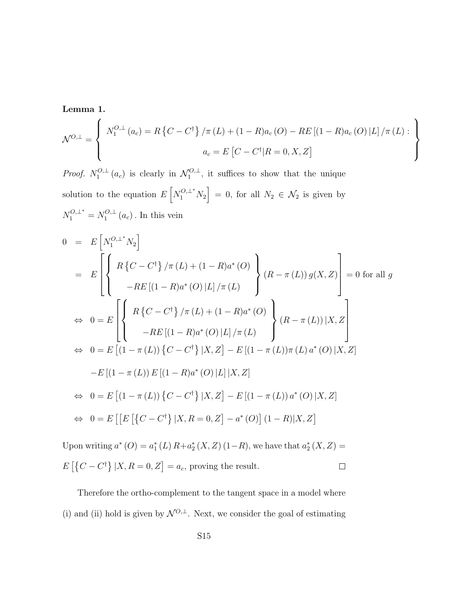Lemma 1.

$$
\mathcal{N}^{O,\perp} = \left\{ \begin{array}{c} N_1^{O,\perp} (a_c) = R \left\{ C - C^{\dagger} \right\} / \pi (L) + (1 - R) a_c (O) - RE \left[ (1 - R) a_c (O) \left| L \right| / \pi (L) : \\ a_c = E \left[ C - C^{\dagger} | R = 0, X, Z \right] \end{array} \right\}
$$

*Proof.*  $N_1^{O,\perp}$  $\mathcal{N}_1^{O,\perp}(a_c)$  is clearly in  $\mathcal{N}_1^{O,\perp}$  $\mathcal{L}_{1}^{\bullet}$ , it suffices to show that the unique solution to the equation  $E[N_1^{O,\perp^*}N_2] = 0$ , for all  $N_2 \in \mathcal{N}_2$  is given by  $N_1^{O,\perp^*} = N_1^{O,\perp}$  $a_1^{O, \perp}(a_c)$ . In this vein

$$
0 = E\left[N_1^{O, \perp^*} N_2\right]
$$
  
\n
$$
= E\left[\left\{R\left\{C - C^{\dagger}\right\} / \pi (L) + (1 - R)a^*(O) \atop -RE\left[(1 - R)a^*(O) | L\right] / \pi (L)\right\} (R - \pi (L)) g(X, Z)\right] = 0 \text{ for all } g
$$
  
\n
$$
\Leftrightarrow 0 = E\left[\left\{R\left\{C - C^{\dagger}\right\} / \pi (L) + (1 - R)a^*(O) \atop -RE\left[(1 - R)a^*(O) | L\right] / \pi (L)\right\} (R - \pi (L)) | X, Z\right]
$$
  
\n
$$
\Leftrightarrow 0 = E\left[(1 - \pi (L)) \left\{C - C^{\dagger}\right\} | X, Z\right] - E\left[(1 - \pi (L)) \pi (L) a^*(O) | X, Z\right]
$$
  
\n
$$
-E\left[(1 - \pi (L)) E\left[(1 - R)a^*(O) | L\right] | X, Z\right]
$$
  
\n
$$
\Leftrightarrow 0 = E\left[(1 - \pi (L)) \left\{C - C^{\dagger}\right\} | X, Z\right] - E\left[(1 - \pi (L)) a^*(O) | X, Z\right]
$$
  
\n
$$
\Leftrightarrow 0 = E\left[\left[E\left[\left\{C - C^{\dagger}\right\} | X, R = 0, Z\right] - a^*(O)\right] (1 - R) | X, Z\right]
$$

Upon writing  $a^*(O) = a_1^*(L) R + a_2^*(X, Z) (1 - R)$ , we have that  $a_2^*(X, Z) =$  $E\left[\left\{C - C^{\dagger}\right\} | X, R = 0, Z\right] = a_c$ , proving the result.  $\Box$ 

Therefore the ortho-complement to the tangent space in a model where (i) and (ii) hold is given by  $\mathcal{N}^{O,\perp}.$  Next, we consider the goal of estimating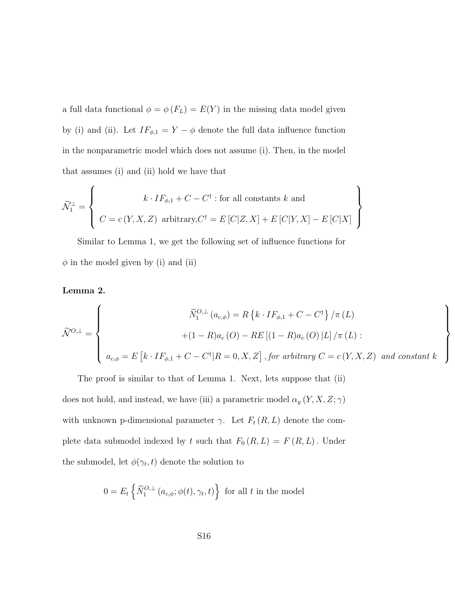a full data functional  $\phi = \phi(F_L) = E(Y)$  in the missing data model given by (i) and (ii). Let  $IF_{\phi,1} = Y - \phi$  denote the full data influence function in the nonparametric model which does not assume (i). Then, in the model that assumes (i) and (ii) hold we have that

$$
\widetilde{\mathcal{N}}_1^{\perp} = \left\{ \begin{array}{c} k \cdot IF_{\phi,1} + C - C^{\dagger} : \text{for all constants } k \text{ and} \\ C = c(Y, X, Z) \text{ arbitrary, } C^{\dagger} = E\left[C|Z, X\right] + E\left[C|Y, X\right] - E\left[C|X\right] \end{array} \right\}
$$

Similar to Lemma 1, we get the following set of influence functions for  $\phi$  in the model given by (i) and (ii)

#### Lemma 2.

$$
\widetilde{\mathcal{N}}^{O,\perp} = \begin{cases}\n\widetilde{N}_1^{O,\perp}(a_{c,\phi}) = R\left\{k \cdot IF_{\phi,1} + C - C^{\dagger}\right\} / \pi(L) \\
+ (1 - R)a_c(O) - RE\left[(1 - R)a_c(O) | L\right] / \pi(L) : \\
a_{c,\phi} = E\left[k \cdot IF_{\phi,1} + C - C^{\dagger}|R = 0, X, Z\right], \text{for arbitrary } C = c(Y, X, Z) \text{ and constant } k\n\end{cases}
$$

 $\mathcal{L}$  $\overline{\mathcal{L}}$ 

 $\int$ 

The proof is similar to that of Lemma 1. Next, lets suppose that (ii) does not hold, and instead, we have (iii) a parametric model  $\alpha_y\left(Y,X,Z;\gamma\right)$ with unknown p-dimensional parameter  $\gamma$ . Let  $F_t(R, L)$  denote the complete data submodel indexed by t such that  $F_0(R, L) = F(R, L)$ . Under the submodel, let  $\phi(\gamma_t, t)$  denote the solution to

$$
0 = E_t \left\{ \widetilde{N}_1^{O, \perp} \left( a_{c, \phi}; \phi(t), \gamma_t, t \right) \right\} \text{ for all } t \text{ in the model}
$$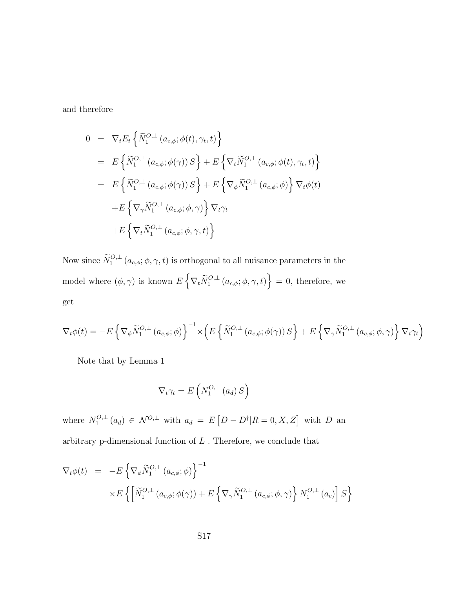and therefore

$$
0 = \nabla_t E_t \left\{ \widetilde{N}_1^{O,\perp} (a_{c,\phi}; \phi(t), \gamma_t, t) \right\}
$$
  
\n
$$
= E \left\{ \widetilde{N}_1^{O,\perp} (a_{c,\phi}; \phi(\gamma)) S \right\} + E \left\{ \nabla_t \widetilde{N}_1^{O,\perp} (a_{c,\phi}; \phi(t), \gamma_t, t) \right\}
$$
  
\n
$$
= E \left\{ \widetilde{N}_1^{O,\perp} (a_{c,\phi}; \phi(\gamma)) S \right\} + E \left\{ \nabla_{\phi} \widetilde{N}_1^{O,\perp} (a_{c,\phi}; \phi) \right\} \nabla_t \phi(t)
$$
  
\n
$$
+ E \left\{ \nabla_{\gamma} \widetilde{N}_1^{O,\perp} (a_{c,\phi}; \phi, \gamma) \right\} \nabla_t \gamma_t
$$
  
\n
$$
+ E \left\{ \nabla_t \widetilde{N}_1^{O,\perp} (a_{c,\phi}; \phi, \gamma, t) \right\}
$$

Now since  $\widetilde{N}_1^{O, \perp}(a_{c,\phi}; \phi, \gamma, t)$  is orthogonal to all nuisance parameters in the model where  $(\phi, \gamma)$  is known  $E\left\{\nabla_t \widetilde{N}_1^{O,\perp}(a_{c,\phi}; \phi, \gamma, t)\right\} = 0$ , therefore, we get

$$
\nabla_t \phi(t) = -E \left\{ \nabla_{\phi} \widetilde{N}_1^{O,\perp} (a_{c,\phi}; \phi) \right\}^{-1} \times \left( E \left\{ \widetilde{N}_1^{O,\perp} (a_{c,\phi}; \phi(\gamma)) S \right\} + E \left\{ \nabla_{\gamma} \widetilde{N}_1^{O,\perp} (a_{c,\phi}; \phi, \gamma) \right\} \nabla_t \gamma_t \right)
$$

Note that by Lemma 1

$$
\nabla_t \gamma_t = E\left(N_1^{O,\perp}(a_d) S\right)
$$

where  $N_1^{O,\perp}$  $\mathcal{L}_{1}^{O,\perp}(a_{d}) \in \mathcal{N}^{O,\perp}$  with  $a_{d} = E[D-D^{\dagger}|R=0, X, Z]$  with D and arbitrary p-dimensional function of  $L$  . Therefore, we conclude that

$$
\nabla_t \phi(t) = -E \left\{ \nabla_{\phi} \widetilde{N}_1^{O,\perp} (a_{c,\phi}; \phi) \right\}^{-1}
$$
  
 
$$
\times E \left\{ \left[ \widetilde{N}_1^{O,\perp} (a_{c,\phi}; \phi(\gamma)) + E \left\{ \nabla_{\gamma} \widetilde{N}_1^{O,\perp} (a_{c,\phi}; \phi, \gamma) \right\} N_1^{O,\perp} (a_c) \right] S \right\}
$$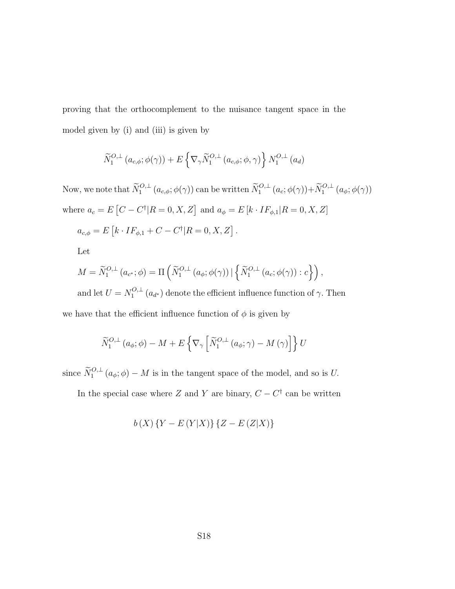proving that the orthocomplement to the nuisance tangent space in the model given by (i) and (iii) is given by

$$
\widetilde{N}_{1}^{O,\perp}(a_{c,\phi};\phi(\gamma)) + E\left\{\nabla_{\gamma}\widetilde{N}_{1}^{O,\perp}(a_{c,\phi};\phi,\gamma)\right\}N_{1}^{O,\perp}(a_{d})
$$

Now, we note that  $\widetilde{N}_1^{O,\perp}(a_{c,\phi};\phi(\gamma))$  can be written  $\widetilde{N}_1^{O,\perp}(a_c;\phi(\gamma)) + \widetilde{N}_1^{O,\perp}(a_{\phi};\phi(\gamma))$ where  $a_c = E[C - C^{\dagger} | R = 0, X, Z]$  and  $a_{\phi} = E[k \cdot IF_{\phi,1} | R = 0, X, Z]$ 

$$
a_{c,\phi} = E [k \cdot IF_{\phi,1} + C - C^{\dagger}] R = 0, X, Z].
$$

Let

$$
M = \widetilde{N}_1^{O,\perp} (a_{c^*}; \phi) = \Pi \left( \widetilde{N}_1^{O,\perp} (a_{\phi}; \phi(\gamma)) \, | \, \left\{ \widetilde{N}_1^{O,\perp} (a_c; \phi(\gamma)) : c \right\} \right),
$$

and let  $U = N_1^{O,\perp}$  $1^{O,+}$  ( $a_{d^*}$ ) denote the efficient influence function of  $\gamma$ . Then we have that the efficient influence function of  $\phi$  is given by

$$
\widetilde{N}_{1}^{O,\perp}(a_{\phi};\phi) - M + E\left\{\nabla_{\gamma}\left[\widetilde{N}_{1}^{O,\perp}(a_{\phi};\gamma) - M(\gamma)\right]\right\}U
$$

since  $\widetilde{N}_1^{O, \perp}(a_{\phi}; \phi) - M$  is in the tangent space of the model, and so is U.

In the special case where Z and Y are binary,  $C - C^{\dagger}$  can be written

$$
b(X)\{Y - E(Y|X)\}\{Z - E(Z|X)\}\
$$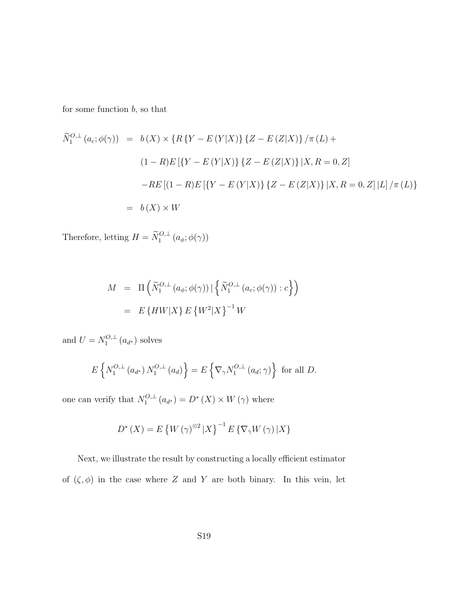for some function  $b,$  so that

$$
\widetilde{N}_1^{O,\perp}(a_c;\phi(\gamma)) = b(X) \times \{R\{Y - E(Y|X)\}\{Z - E(Z|X)\}\}/\pi(L) +
$$
\n
$$
(1 - R)E[\{Y - E(Y|X)\}\{Z - E(Z|X)\}\,|X, R = 0, Z]
$$
\n
$$
-RE[(1 - R)E[\{Y - E(Y|X)\}\{Z - E(Z|X)\}\,|X, R = 0, Z]\,|L]\}/\pi(L)\}
$$
\n
$$
= b(X) \times W
$$

Therefore, letting  $H = \widetilde{N}_1^{O,\perp} (a_{\phi}; \phi(\gamma))$ 

$$
M = \Pi \left( \widetilde{N}_1^{O,\perp} \left( a_\phi; \phi(\gamma) \right) \mid \left\{ \widetilde{N}_1^{O,\perp} \left( a_c; \phi(\gamma) \right) : c \right\} \right)
$$

$$
= E \left\{ H W | X \right\} E \left\{ W^2 | X \right\}^{-1} W
$$

and  $U = N_1^{O, \perp}$  $a_1^{U,\perp}(a_{d^*})$  solves

$$
E\left\{N_1^{O,\perp}(a_{d^*})\,N_1^{O,\perp}(a_d)\right\} = E\left\{\nabla_\gamma N_1^{O,\perp}(a_d;\gamma)\right\} \text{ for all } D.
$$

one can verify that  $N_1^{O,\perp}$  $L_1^{O, \perp}(a_{d^*}) = D^*(X) \times W(\gamma)$  where

$$
D^*(X) = E\left\{W\left(\gamma\right)^{\otimes 2} | X\right\}^{-1} E\left\{\nabla_\gamma W\left(\gamma\right) | X\right\}
$$

Next, we illustrate the result by constructing a locally efficient estimator of  $(\zeta, \phi)$  in the case where Z and Y are both binary. In this vein, let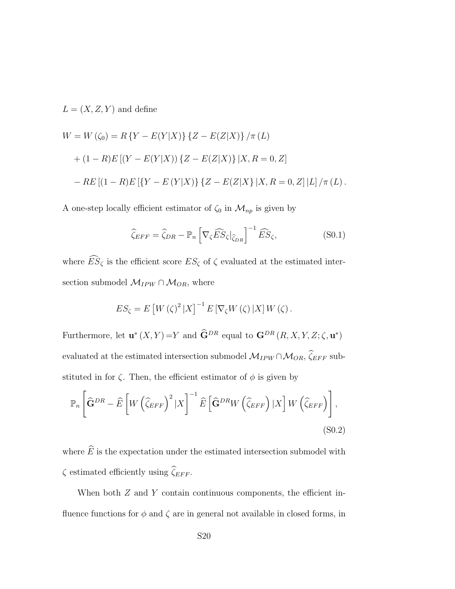$$
L = (X, Z, Y)
$$
 and define

$$
W = W(\zeta_0) = R\{Y - E(Y|X)\}\{Z - E(Z|X)\}\}/\pi(L)
$$
  
+ 
$$
(1 - R)E[(Y - E(Y|X))\{Z - E(Z|X)\}\,|X, R = 0, Z]
$$
  
- 
$$
RE[(1 - R)E[\{Y - E(Y|X)\}\{Z - E(Z|X)\}\,|X, R = 0, Z]\,|L]\,/\pi(L).
$$

A one-step locally efficient estimator of  $\zeta_0$  in  $\mathcal{M}_{np}$  is given by

$$
\widehat{\zeta}_{EFF} = \widehat{\zeta}_{DR} - \mathbb{P}_n \left[ \nabla_{\zeta} \widehat{ES}_{\zeta} |_{\widehat{\zeta}_{DR}} \right]^{-1} \widehat{ES}_{\zeta}, \tag{S0.1}
$$

where  $\widehat{ES}_{\zeta}$  is the efficient score  $ES_{\zeta}$  of  $\zeta$  evaluated at the estimated intersection submodel  $\mathcal{M}_{IPW}\cap\mathcal{M}_{OR},$  where

$$
ES_{\zeta} = E\left[W(\zeta)^{2} | X\right]^{-1} E\left[\nabla_{\zeta} W(\zeta) | X\right] W(\zeta).
$$

Furthermore, let  $\mathbf{u}^*(X, Y) = Y$  and  $\widehat{\mathbf{G}}^{DR}$  equal to  $\mathbf{G}^{DR}(R, X, Y, Z; \zeta, \mathbf{u}^*)$ evaluated at the estimated intersection submodel  $\mathcal{M}_{IPW}\cap\mathcal{M}_{OR},$   $\widehat{\zeta}_{EFF}$  substituted in for  $\zeta$ . Then, the efficient estimator of  $\phi$  is given by

$$
\mathbb{P}_n\left[\widehat{\mathbf{G}}^{DR} - \widehat{E}\left[W\left(\widehat{\zeta}_{EFF}\right)^2 | X\right]^{-1} \widehat{E}\left[\widehat{\mathbf{G}}^{DR} W\left(\widehat{\zeta}_{EFF}\right) | X\right] W\left(\widehat{\zeta}_{EFF}\right)\right],\tag{S0.2}
$$

where  $\widehat{E}$  is the expectation under the estimated intersection submodel with  $\zeta$  estimated efficiently using  $\widehat{\zeta}_{EFF}.$ 

When both  $Z$  and  $Y$  contain continuous components, the efficient influence functions for  $\phi$  and  $\zeta$  are in general not available in closed forms, in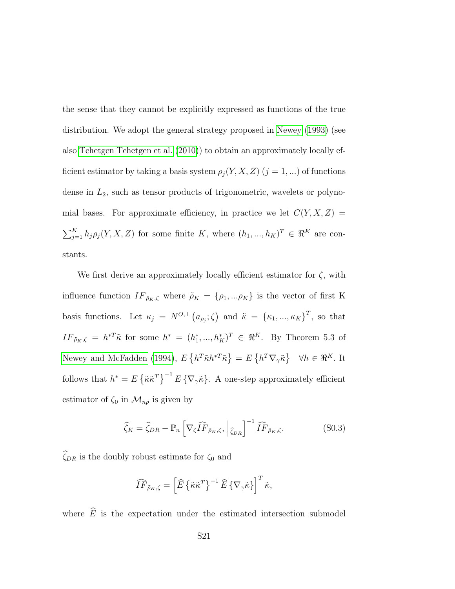the sense that they cannot be explicitly expressed as functions of the true distribution. We adopt the general strategy proposed in [Newey](#page-33-1) [\(1993\)](#page-33-1) (see also [Tchetgen Tchetgen et al.](#page-35-0) [\(2010\)](#page-35-0)) to obtain an approximately locally efficient estimator by taking a basis system  $\rho_j(Y, X, Z)$   $(j = 1, \ldots)$  of functions dense in  $L_2$ , such as tensor products of trigonometric, wavelets or polynomial bases. For approximate efficiency, in practice we let  $C(Y, X, Z)$  $\sum_{j=1}^K h_j \rho_j(Y, X, Z)$  for some finite K, where  $(h_1, ..., h_K)^T \in \Re^K$  are constants.

We first derive an approximately locally efficient estimator for  $\zeta$ , with influence function  $IF_{\tilde{\rho}_K,\zeta}$  where  $\tilde{\rho}_K = \{\rho_1,...\rho_K\}$  is the vector of first K basis functions. Let  $\kappa_j = N^{O, \perp} (a_{\rho_j}; \zeta)$  and  $\tilde{\kappa} = {\kappa_1, ..., \kappa_K}^T$ , so that  $IF_{\tilde{\rho}_K,\zeta} = h^{*T}\tilde{\kappa}$  for some  $h^* = (h_1^*,...,h_K^*)^T \in \Re^K$ . By Theorem 5.3 of [Newey and McFadden](#page-33-0) [\(1994\)](#page-33-0),  $E\left\{h^T\tilde{\kappa}h^{*T}\tilde{\kappa}\right\} = E\left\{h^T\nabla_\gamma\tilde{\kappa}\right\} \quad \forall h \in \mathbb{R}^K$ . It follows that  $h^* = E \{\tilde{\kappa} \tilde{\kappa}^T\}^{-1} E \{\nabla_\gamma \tilde{\kappa}\}\$ . A one-step approximately efficient estimator of  $\zeta_0$  in  $\mathcal{M}_{np}$  is given by

$$
\widehat{\zeta}_K = \widehat{\zeta}_{DR} - \mathbb{P}_n \left[ \nabla_{\zeta} \widehat{IF}_{\tilde{\rho}_K, \zeta}, \Big|_{\widehat{\zeta}_{DR}} \right]^{-1} \widehat{IF}_{\tilde{\rho}_K, \zeta}.
$$
 (S0.3)

 $\widehat{\zeta}_{DR}$  is the doubly robust estimate for  $\zeta_0$  and

$$
\widehat{IF}_{\tilde{\rho}_K,\zeta} = \left[\widehat{E}\left\{\tilde{\kappa}\tilde{\kappa}^T\right\}^{-1}\widehat{E}\left\{\nabla_{\gamma}\tilde{\kappa}\right\}\right]^T\tilde{\kappa},
$$

where  $\widehat{E}$  is the expectation under the estimated intersection submodel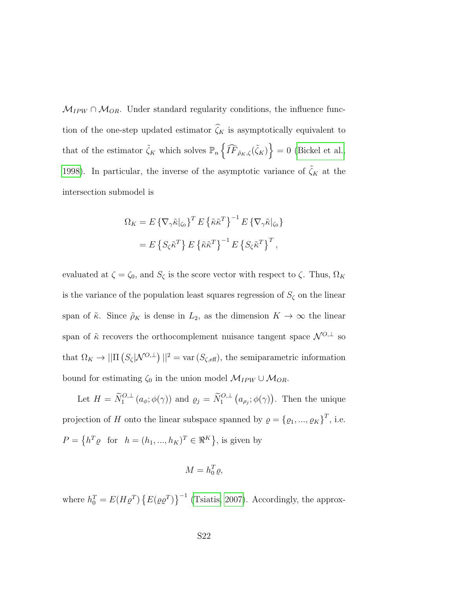$M_{IPW} \cap M_{OR}$ . Under standard regularity conditions, the influence function of the one-step updated estimator  $\widehat{\zeta}_K$  is asymptotically equivalent to that of the estimator  $\tilde{\zeta}_K$  which solves  $\mathbb{P}_n\left\{\widehat{IF}_{\tilde{\rho}_K,\zeta}(\tilde{\zeta}_K)\right\}=0$  [\(Bickel et al.,](#page-30-0) [1998\)](#page-30-0). In particular, the inverse of the asymptotic variance of  $\tilde{\zeta}_K$  at the intersection submodel is

$$
\Omega_K = E \{ \nabla_\gamma \tilde{\kappa} |_{\zeta_0} \}^T E \{ \tilde{\kappa} \tilde{\kappa}^T \}^{-1} E \{ \nabla_\gamma \tilde{\kappa} |_{\zeta_0} \}
$$

$$
= E \{ S_\zeta \tilde{\kappa}^T \} E \{ \tilde{\kappa} \tilde{\kappa}^T \}^{-1} E \{ S_\zeta \tilde{\kappa}^T \}^T,
$$

evaluated at  $\zeta = \zeta_0$ , and  $S_\zeta$  is the score vector with respect to  $\zeta$ . Thus,  $\Omega_K$ is the variance of the population least squares regression of  $S_\zeta$  on the linear span of  $\tilde{\kappa}$ . Since  $\rho_K$  is dense in  $L_2$ , as the dimension  $K \to \infty$  the linear span of  $\tilde{\kappa}$  recovers the orthocomplement nuisance tangent space  $\mathcal{N}^{O,\perp}$  so that  $\Omega_K \to ||\Pi \left( S_\zeta | \mathcal{N}^{O,\perp} \right) ||^2 = \text{var} \left( S_{\zeta, \text{eff}} \right),$  the semiparametric information bound for estimating  $\zeta_0$  in the union model  $\mathcal{M}_{IPW} \cup \mathcal{M}_{OR}$ .

Let  $H = \widetilde{N}_1^{O, \perp} (a_{\phi}; \phi(\gamma))$  and  $\varrho_j = \widetilde{N}_1^{O, \perp} (a_{\rho_j}; \phi(\gamma))$ . Then the unique projection of H onto the linear subspace spanned by  $\varrho = {\varrho_1, ..., \varrho_K}^T$ , i.e.  $P = \left\{ h^T \varrho \text{ for } h = (h_1, ..., h_K)^T \in \Re^K \right\}$ , is given by

$$
M = h_0^T \varrho,
$$

where  $h_0^T = E(H \varrho^T) \{ E(\varrho \varrho^T) \}^{-1}$  [\(Tsiatis, 2007\)](#page-36-0). Accordingly, the approx-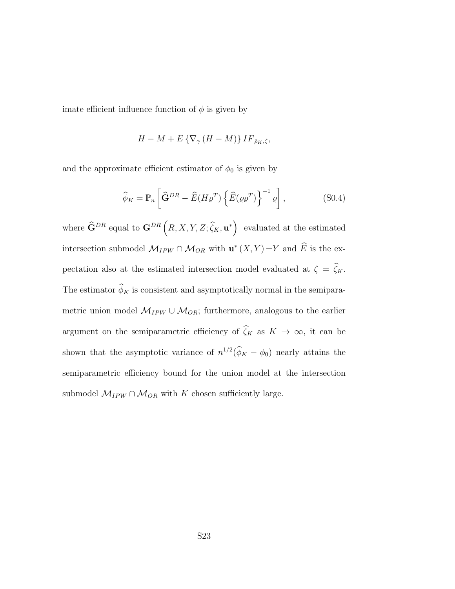imate efficient influence function of  $\phi$  is given by

$$
H - M + E \left\{ \nabla_{\gamma} \left( H - M \right) \right\} I F_{\tilde{\rho}_K, \zeta},
$$

and the approximate efficient estimator of  $\phi_0$  is given by

$$
\widehat{\phi}_K = \mathbb{P}_n \left[ \widehat{\mathbf{G}}^{DR} - \widehat{E}(H \varrho^T) \left\{ \widehat{E}(\varrho \varrho^T) \right\}^{-1} \varrho \right], \tag{S0.4}
$$

where  $\widehat{\mathbf{G}}^{DR}$  equal to  $\mathbf{G}^{DR}\left(R,X,Y,Z;\widehat{\zeta}_K,\mathbf{u}^*\right)$  evaluated at the estimated intersection submodel  $\mathcal{M}_{IPW} \cap \mathcal{M}_{OR}$  with  $\mathbf{u}^*(X, Y) = Y$  and  $\widehat{E}$  is the expectation also at the estimated intersection model evaluated at  $\zeta = \hat{\zeta}_K$ . The estimator  $\widehat{\phi}_K$  is consistent and asymptotically normal in the semiparametric union model  $\mathcal{M}_{IPW} \cup \mathcal{M}_{OR}$ ; furthermore, analogous to the earlier argument on the semiparametric efficiency of  $\hat{\zeta}_K$  as  $K \to \infty$ , it can be shown that the asymptotic variance of  $n^{1/2}(\hat{\phi}_K - \phi_0)$  nearly attains the semiparametric efficiency bound for the union model at the intersection submodel  $\mathcal{M}_{IPW}\cap\mathcal{M}_{OR}$  with  $K$  chosen sufficiently large.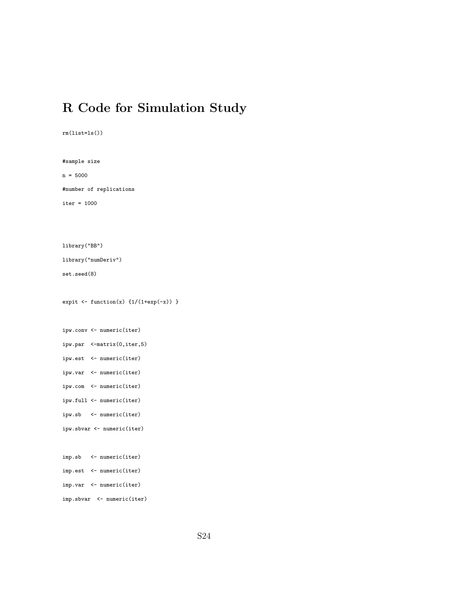# R Code for Simulation Study

```
rm(list=ls())
#sample size
n = 5000
#number of replications
iter = 1000
library("BB")
library("numDeriv")
set.seed(8)
expit \leftarrow function(x) \{1/(1+exp(-x))\}ipw.conv <- numeric(iter)
ipw.par <-matrix(0,iter,5)
ipw.est <- numeric(iter)
ipw.var <- numeric(iter)
ipw.com <- numeric(iter)
ipw.full <- numeric(iter)
ipw.sb <- numeric(iter)
ipw.sbvar <- numeric(iter)
imp.sb <- numeric(iter)
imp.est <- numeric(iter)
imp.var <- numeric(iter)
imp.sbvar <- numeric(iter)
```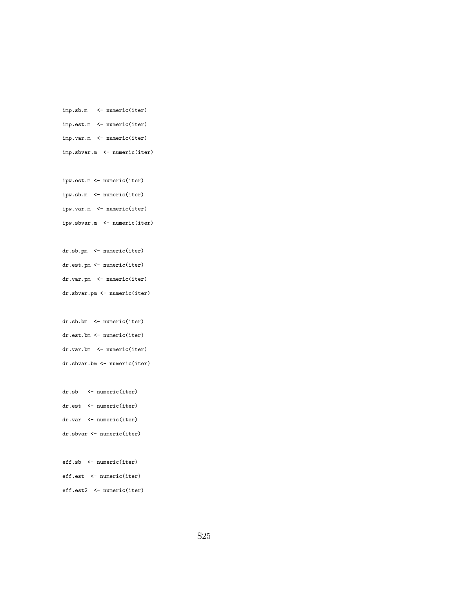```
imp.sb.m <- numeric(iter)
imp.est.m <- numeric(iter)
imp.var.m <- numeric(iter)
imp.sbvar.m <- numeric(iter)
```

```
ipw.est.m <- numeric(iter)
ipw.sb.m <- numeric(iter)
ipw.var.m <- numeric(iter)
ipw.sbvar.m <- numeric(iter)
```

```
dr.sb.pm <- numeric(iter)
dr.est.pm <- numeric(iter)
dr.var.pm <- numeric(iter)
dr.sbvar.pm <- numeric(iter)
```

```
dr.sb.bm <- numeric(iter)
dr.est.bm <- numeric(iter)
dr.var.bm <- numeric(iter)
dr.sbvar.bm <- numeric(iter)
```

```
dr.sb <- numeric(iter)
dr.est <- numeric(iter)
dr.var <- numeric(iter)
dr.sbvar <- numeric(iter)
```

```
eff.sb <- numeric(iter)
eff.est <- numeric(iter)
eff.est2 <- numeric(iter)
```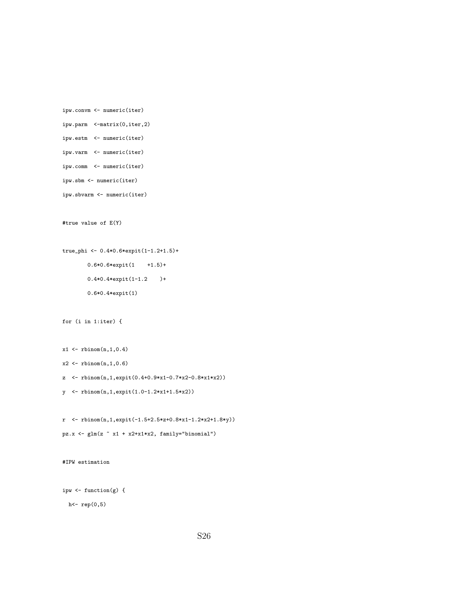```
ipw.convm <- numeric(iter)
ipw.parm <-matrix(0,iter,2)
ipw.estm <- numeric(iter)
ipw.varm <- numeric(iter)
ipw.comm <- numeric(iter)
ipw.sbm <- numeric(iter)
ipw.sbvarm <- numeric(iter)
#true value of E(Y)
true_phi <- 0.4*0.6*expit(1-1.2+1.5)+
        0.6*0.6*expit(1 +1.5)+
        0.4*0.4*expit(1-1.2 )+
        0.6*0.4*expit(1)
for (i in 1:iter) {
x1 \leftarrow rbinom(n,1,0.4)x2 \leftarrow rbinom(n,1,0.6)z <- rbinom(n,1,expit(0.4+0.9*x1-0.7*x2-0.8*x1*x2))
y <- rbinom(n,1,expit(1.0-1.2*x1+1.5*x2))
r <- rbinom(n,1,expit(-1.5+2.5*z+0.8*x1-1.2*x2+1.8*y))
pz.x \leftarrow glm(z \sim x1 + x2+x1*x2, family="binomial")#IPW estimation
ipw <- function(g) {
 h<- rep(0,5)
```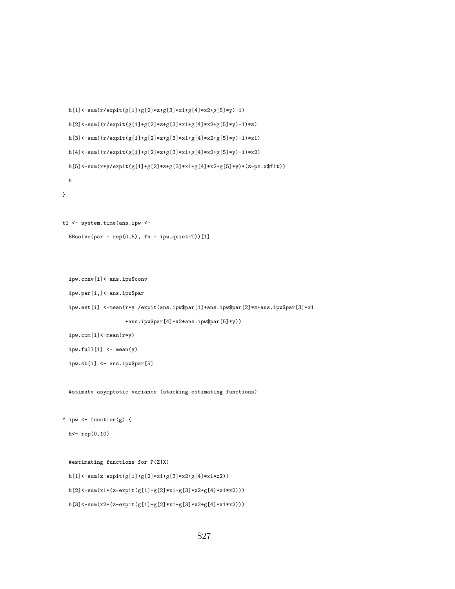```
h[1]<-\texttt{sum}(r/\texttt{expit}(g[1]+g[2]*z+g[3]*x1+g[4]*x2+g[5]*y)-1)h[2]{<}{\textnormal{-sum}}((r/ex{\textnormal{pit}}(g[1]{+}g[2]{*}z{+}g[3]{*}x1{+}g[4]{*}x2{+}g[5]{*}y){-}1){*}z)h[3]<-sum((r/expit(g[1]+g[2]*z+g[3]*x1+g[4]*x2+g[5]*y)-1)*x1)
  h[4]<-sum((r/expit(g[1]+g[2]*z+g[3]*x1+g[4]*x2+g[5]*y)-1)*x2)
  h[5]<-sum(r*y/expit(g[1]+g[2]*z+g[3]*x1+g[4]*x2+g[5]*y)*(z-pz.x$fit))h
}
```

```
t1 <- system.time(ans.ipw <-
```

```
BBsolve(par = rep(0,5), fn = ipw, quiet=T))[1]
```

```
ipw.conv[i]<-ans.ipw$conv
```

```
ipw.par[i,]<-ans.ipw$par
```
ipw.est[i] <-mean(r\*y /expit(ans.ipw\$par[1]+ans.ipw\$par[2]\*z+ans.ipw\$par[3]\*x1

```
+ans.ipw$par[4]*x2+ans.ipw$par[5]*y))
```
ipw.com[i]<-mean(r\*y)

```
ipw.full[i] <- mean(y)
```
ipw.sb[i] <- ans.ipw\$par[5]

#stimate asymptotic variance (stacking estimating functions)

```
M.ipw \leftarrow function(g) {
```

```
h<- rep(0,10)
```

```
#estimating functions for P(Z|X)
h[1]<-sum(z-expit(g[1]+g[2]*x1+g[3]*x2+g[4]*x1*x2))h[2]<-sum(x1*(z-expit(g[1]+g[2]*x1+g[3]*x2+g[4]*x1*x2)))
h[3]<-sum(x2*(z-expit(g[1]+g[2]*x1+g[3]*x2+g[4]*x1*x2)))
```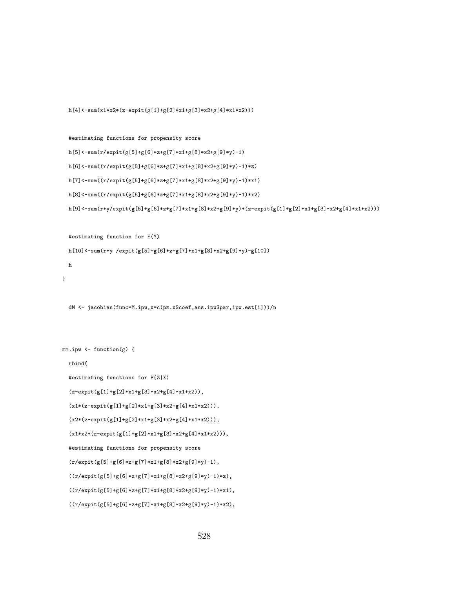```
h[4]<-sum(x1*x2*(z-expit(g[1]+g[2]*x1+g[3]*x2+g[4]*x1*x2)))
```

```
#estimating functions for propensity score
h[5]<-sum(r/expit(g[5]+g[6]*z+g[7]*x1+g[8]*x2+g[9]*y)-1)
h[6]<-sum((r/expit(g[5]+g[6]*z+g[7]*x1+g[8]*x2+g[9]*y)-1)*z)
h[7]<-sum((r/expit(g[5]+g[6]*z+g[7]*x1+g[8]*x2+g[9]*y)-1)*x1)
h[8]<-sum((r/expit(g[5]+g[6]*z+g[7]*x1+g[8]*x2+g[9]*y)-1)*x2)
h[9]<-\sum_{x\in\{0,1\}}\sum_{x\in\{0,1\}}\sum_{x\in\{0,1\}}\sum_{x\in\{0,1\}}\sum_{x\in\{0,1\}}\sum_{x\in\{0,1\}}\sum_{x\in\{0,1\}}\sum_{x\in\{0,1\}}\sum_{x\in\{0,1\}}\sum_{x\in\{0,1\}}\sum_{x\in\{0,1\}}\sum_{x\in\{0,1\}}\sum_{x\in\{0,1\}}\sum_{x\in\{0,1\}}\sum_{x\in\{0,1\}}\sum_{x\in\{0,1\}}\sum_{x\in\{
```
#estimating function for E(Y)

```
h[10]<-sum(r*y /expit(g[5]+g[6]*z+g[7]*x1+g[8]*x2+g[9]*y)-g[10])
```

```
h
```
}

dM <- jacobian(func=M.ipw,x=c(pz.x\$coef,ans.ipw\$par,ipw.est[i]))/n

```
mm.ipw \leftarrow function(g) \{
```
rbind(

```
#estimating functions for P(Z|X)
```
 $(z\text{-expit(g[1]+g[2]*x1+g[3]*x2+g[4]*x1*x2)),$ 

 $(x1*(z-expit(g[1]+g[2]*x1+g[3]*x2+g[4]*x1*x2)))$ ,

 $(x2*(z-expit(g[1]+g[2]*x1+g[3]*x2+g[4]*x1*x2)))$ ,

 $(x1*x2*(z-expit(g[1]+g[2]*x1+g[3]*x2+g[4]*x1*x2)))$ ,

#estimating functions for propensity score

 $(r/expit(g[5]+g[6]*z+g[7]*x1+g[8]*x2+g[9]*y)-1),$ 

 $((r/expit(g[5]+g[6]*z+g[7]*x1+g[8]*x2+g[9]*y)-1)*z)\,,$ 

 $((r/expit(g[5]+g[6]*z+g[7]*x1+g[8]*x2+g[9]*y)-1)*x1),$ 

 $((r/expit(g[5]+g[6]*z+g[7]*x1+g[8]*x2+g[9]*y)-1)*x2),$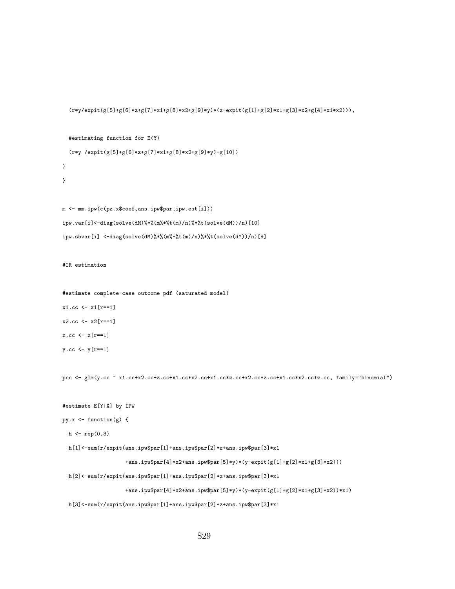```
(r*y/expit(g[5]+g[6]*z+g[7]*x1+g[8]*x2+g[9]*y)*(z-expit(g[1]+g[2]*x1+g[3]*x2+g[4]*x1*x2))),
```
#estimating function for E(Y)

```
m <- mm.ipw(c(pz.x$coef,ans.ipw$par,ipw.est[i]))
ipw.var[i]<-diag(solve(dM)%*%(m%*%t(m)/n)%*%t(solve(dM))/n)[10]
ipw.sbvar[i] <-diag(solve(dM)%*%(m%*%t(m)/n)%*%t(solve(dM))/n)[9]
```
(r\*y /expit(g[5]+g[6]\*z+g[7]\*x1+g[8]\*x2+g[9]\*y)-g[10])

```
#OR estimation
```
 $\lambda$ }

```
#estimate complete-case outcome pdf (saturated model)
x1.cc <- x1[r==1]
x2.cc < x2[r == 1]z.cc \leftarrow z[r == 1]y.cc \leftarrow y[r==1]
```
pcc <- glm(y.cc ~ x1.cc+x2.cc+z.cc+x1.cc\*x2.cc+x1.cc\*z.cc+x2.cc\*z.cc+x1.cc\*x2.cc\*z.cc, family="binomial")

```
#estimate E[Y|X] by IPW
```

```
py.x <- function(g) {
```

```
h \leftarrow rep(0,3)
```
h[1]<-sum(r/expit(ans.ipw\$par[1]+ans.ipw\$par[2]\*z+ans.ipw\$par[3]\*x1

```
+ans.ipw$par[4]*x2+ans.ipw$par[5]*y)*(y-expit(g[1]+g[2]*x1+g[3]*x2)))
```
h[2]<-sum(r/expit(ans.ipw\$par[1]+ans.ipw\$par[2]\*z+ans.ipw\$par[3]\*x1

+ans.ipw\$par[4]\*x2+ans.ipw\$par[5]\*y)\*(y-expit(g[1]+g[2]\*x1+g[3]\*x2))\*x1)

h[3]<-sum(r/expit(ans.ipw\$par[1]+ans.ipw\$par[2]\*z+ans.ipw\$par[3]\*x1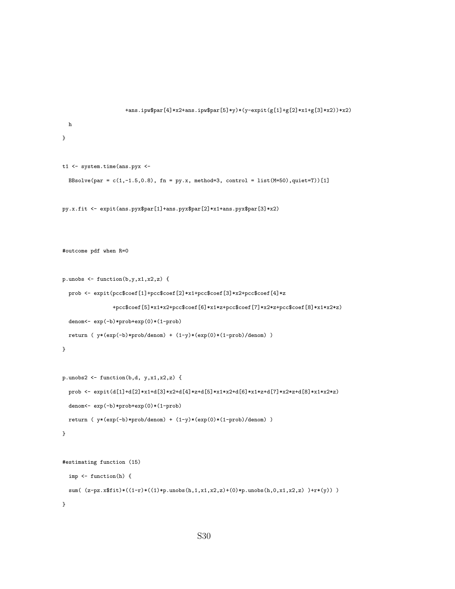```
+ans.ipw$par[4]*x2+ans.ipw$par[5]*y)*(y-expit(g[1]+g[2]*x1+g[3]*x2))*x2)
  h
}
t1 <- system.time(ans.pyx <-
  BBsolve(par = c(1,-1.5,0.8), fn = py.x, method=3, control = list(M=50),quiet=T))[1]
py.x.fit <- expit(ans.pyx$par[1]+ans.pyx$par[2]*x1+ans.pyx$par[3]*x2)
#outcome pdf when R=0
p.unobs <- function(b,y,x1,x2,z) {
  prob <- expit(pcc$coef[1]+pcc$coef[2]*x1+pcc$coef[3]*x2+pcc$coef[4]*z
                +pcc$coef[5]*x1*x2+pcc$coef[6]*x1*z+pcc$coef[7]*x2*z+pcc$coef[8]*x1*x2*z)
  denom<- exp(-b)*prob+exp(0)*(1-prob)
  return ( y*(exp(-b)*prob/denom) + (1-y)*(exp(0)*(1-prob)/denom))
}
p.unobs2 \leftarrow function(b,d, y,x1,x2,z) {
  {\tt prob} \ \texttt{<=} \ \texttt{expit(d[1]+d[2]*x1+d[3]*x2+d[4]*z+d[5]*x1*x2+d[6]*x1*x2+d[7]*x2*x+d[8]*x1*x2*x)}denom<- exp(-b)*prob+exp(0)*(1-prob)
  return ( y*(exp(-b)*prob/denom) + (1-y)*(exp(0)*(1-prob)/denom) )
}
#estimating function (15)
  imp <- function(h) {
  sum((z-pz.x$fit)*( (1-r)*((1)*p.unobs(h,1,x1,x2,z)+(0)*p.unobs(h,0,x1,x2,z) )+r*(y)) )}
```

```
S30
```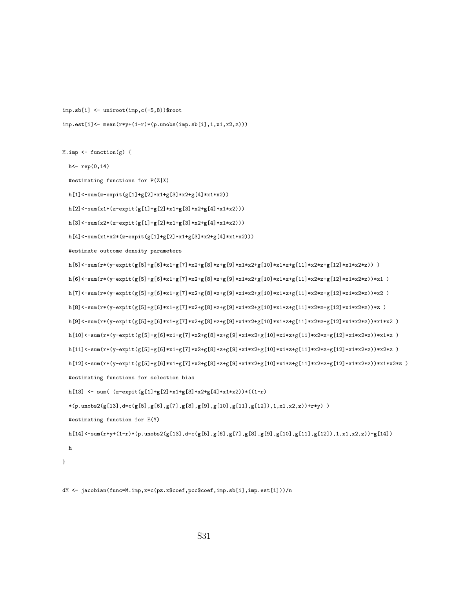```
imp.sb[i] <- uniroot(imp,c(-5,8))$root
imp.est[i]<- mean(r*y+(1-r)*(p.unobs(imp.sb[i],1,x1,x2,z)))
```
M.imp <- function(g) {

h<- rep(0,14)

#estimating functions for P(Z|X)

 $h[1]<-sum(z-expit(g[1]+g[2]*x1+g[3]*x2+g[4]*x1*x2))$ 

 $h[2]{<}{\textnormal{-sum}}(x1{*}(z{\textnormal{-expit}}(g[1]{+}g[2]{*}x1{+}g[3]{*}x2{+}g[4]{*}x1{*}x2)))$ 

h[3]<-sum(x2\*(z-expit(g[1]+g[2]\*x1+g[3]\*x2+g[4]\*x1\*x2)))

h[4]<-sum(x1\*x2\*(z-expit(g[1]+g[2]\*x1+g[3]\*x2+g[4]\*x1\*x2)))

#estimate outcome density parameters

```
h[5]<-\text{sum}(r*(y-\text{expit}(g[5]+g[6]*x1+g[7]*x2+g[8]*z+g[9]*x1*x2+g[10]*x1*x2+z[g[11]*x2*z1*g[12]*x1*x2*z))h[6]{\texttt{<-sum}}(r*(y-\texttt{expit}(g[5] + g[6]*x1 + g[7]*x2 + g[8]*z + g[9]*x1*x2 + g[10]*x1*z + g[11]*x2*z + g[12]*x1*x2*z))*x1 \enspace )}h[7]<-sum(r*(y-expit(g[5]+g[6]*x1+g[7]*x2+g[8]*z+g[9]*x1*x2+g[10]*x1*z+g[11]*x2*z+g[12]*x1*x2*z))*x2 )
h[8]<-\sum_{x\in\{0\}}\sum_{x\in\{0\}}\sum_{x\in\{0\}}\sum_{x\in\{0\}}\sum_{x\in\{0\}}\sum_{x\in\{0\}}\sum_{x\in\{0\}}\sum_{x\in\{0\}}\sum_{x\in\{0\}}\sum_{x\in\{0\}}\sum_{x\in\{0\}}\sum_{x\in\{0\}}\sum_{x\in\{0\}}\sum_{x\in\{0\}}\sum_{x\in\{0\}}\sum_{x\in\{0\}}\sum_{x\in\{0\}}\sum_{x\in\{0\}}\sum_{x\in\{0\}}\sum_{x\in\h[9]<-sum(r*(y-expit(g[5]+g[6]*x1+g[7]*x2+g[8]*z+g[9]*x1*x2+g[10]*x1*z+g[11]*x2*z+g[12]*x1*x2*z))*x1*x2 )
h[10]<-sum(r*(y-expit(g[5]+g[6]*x1+g[7]*x2+g[8]*z+g[9]*x1*x2+g[10]*x1*z+g[11]*x2*z+g[12]*x1*x2*z))*x1*z )
h[11]<-sum(r*(y-expit(g[5]+g[6]*x1+g[7]*x2+g[8]*z+g[9]*x1*x2+g[10]*x1*z+g[11]*x2*z+g[12]*x1*x2*z))*x2*z )
h[12]<-sum(r*(y-expit(g[5]+g[6]*x1+g[7]*x2+g[8]*z+g[9]*x1*x2+g[10]*x1*z+g[11]*x2*z+g[12]*x1*x2*z))*x1*x2*z )
#estimating functions for selection bias
h[13] \leftarrow sum( (z-expit(g[1]+g[2]*x1+g[3]*x2+g[4]*x1*x2))*((1-r)
*(p.unobs2(g[13], d=c(g[5], g[6], g[7], g[8], g[9], g[10], g[11], g[12]), 1, x1, x2, z)) + r*y) )
```
#estimating function for E(Y)

h[14]<-sum(r\*y+(1-r)\*(p.unobs2(g[13],d=c(g[5],g[6],g[7],g[8],g[9],g[10],g[11],g[12]),1,x1,x2,z))-g[14])

h }

dM <- jacobian(func=M.imp,x=c(pz.x\$coef,pcc\$coef,imp.sb[i],imp.est[i]))/n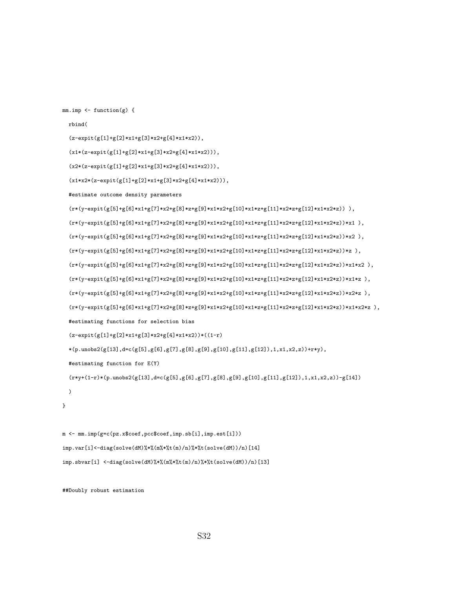mm.imp <- function(g) {

```
rbind(
```
(z-expit(g[1]+g[2]\*x1+g[3]\*x2+g[4]\*x1\*x2)),

(x1\*(z-expit(g[1]+g[2]\*x1+g[3]\*x2+g[4]\*x1\*x2))),

 $(x2*(z-expit(g[1]+g[2]*x1+g[3]*x2+g[4]*x1*x2)))$ ,

(x1\*x2\*(z-expit(g[1]+g[2]\*x1+g[3]\*x2+g[4]\*x1\*x2))),

#estimate outcome density parameters

 $(r*(y-\texttt{expit}(g[5]+\!g[6]*x1+g[7]*x2+g[8]*z+g[9]*x1*x2+g[10]*x1*z1*z+g[11]*x2*z1g[12]*x1*x2*z))\text{ },$  $(r*(y-expit(g[5]+g[6]*x1+g[7]*x2+g[8]*z+g[9]*x1*x2+g[10]*x1*x2+g[11]*x2*x2+g[12]*x1*x2*x))*x1$  ),  $(r*(y-\texttt{expit}(g[5]+\texttt{g}[6]*x1+g[7]*x2+g[8]*z+g[9]*x1*x2+g[10]*x1*z+g[11]*x2*z+g[12]*x1*x2*z))*x2 ),$  $(r*(y-expit(g[5]+g[6]*x1+g[7]*x2+g[8]*z+g[9]*x1*x2+g[10]*x1*x2+g[11]*x2*x+g[12]*x1*x2*x))*z$ ,  $(r*(y-expit(g[5]+g[6]*x1+g[7]*x2+g[8]*z+g[9]*x1*x2+g[10]*x1*z+g[11]*x2*z+g[12]*x1*x2*))*x1*x2 ,$  $(r*(y-expit(g[5]+g[6]*x1+g[7]*x2+g[8]*z+g[9]*x1*x2+g[10]*x1*z+g[11]*x2*z+g[12]*x1*x2*z))*x1*z$  ),  $(r*(y-\texttt{expit}(g[5]+\texttt{g[6}]*x1+\texttt{g[7}]*x2+\texttt{g[8}]*z+\texttt{g[9}]*x1*x2+\texttt{g[10}]*x1*x2+\texttt{g[11})*x2*z+\texttt{g[12}]*x1*x2*z))*x2*z\text{ },$  $(r*(y-\texttt{expit}(g[5]+\texttt{g}[6]*x1+\texttt{g}[7]*x2+\texttt{g}[8]*z+\texttt{g}[9]*x1*x2+\texttt{g}[10]*x1*x2+\texttt{g}[11]*x2*z1*x2*z1*x2*z1);\dots$ #estimating functions for selection bias  $(z$ -expit(g[1]+g[2]\*x1+g[3]\*x2+g[4]\*x1\*x2))\*((1-r)  $*(p.unobs2(g[13], d=c(g[5], g[6], g[7], g[8], g[9], g[10], g[11], g[12]), 1, x1, x2, z)) +r*y),$ #estimating function for E(Y)  $(r*y+(1-r)*(p.unobs2(g[13],d=c(g[5],g[6],g[7],g[8],g[9],g[10],g[11],g[12]),1,x1,x2,z))-g[14])$ 

}

)

m <- mm.imp(g=c(pz.x\$coef,pcc\$coef,imp.sb[i],imp.est[i])) imp.var[i]<-diag(solve(dM)%\*%(m%\*%t(m)/n)%\*%t(solve(dM))/n)[14]  $\text{imp.s} \text{bvar[i]} \leq \text{diag}(\text{solve}(dM)\text{%}\text{%}(m\text{%}\text{%}(m)/n)\text{%})\text{%}(\text{solve}(dM))/n)[13]$ 

##Doubly robust estimation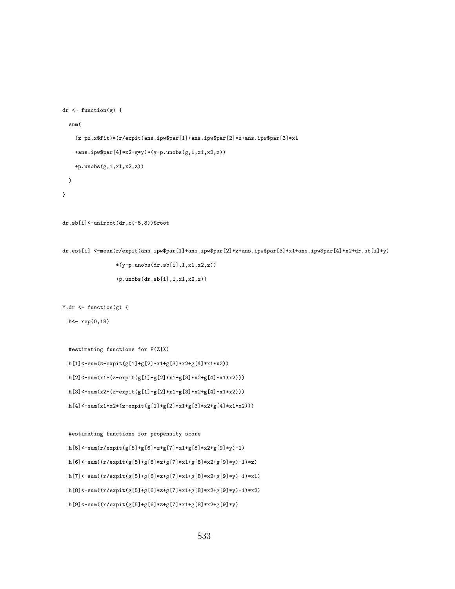```
dr <- function(g) {
  sum(
    (z-pz.x$fit)*(r/expit(ans.ipw$par[1]+ans.ipw$par[2]*z+ans.ipw$par[3]*x1
    +ans.ipw$par[4]*x2+g*y)*(y-p.unobs(g,1,x1,x2,z))
    +p.unobs(g,1,x1,x2,z))
 \lambda}
```

```
dr.sb[i]<-uniroot(dr,c(-5,8))$root
```

```
dr.est[i] <-mean(r/expit(ans.ipw$par[1]+ans.ipw$par[2]*z+ans.ipw$par[3]*x1+ans.ipw$par[4]*x2+dr.sb[i]*y)
                 *(y-p.\nunobs(dr.sb[i],1,x1,x2,z))
```

```
+p.unobs(dr.sb[i],1,x1,x2,z))
```
 $M.dr$  <- function(g) {

h<- rep(0,18)

#estimating functions for P(Z|X)  $h[1]<-sum(z-expit(g[1]+g[2]*x1+g[3]*x2+g[4]*x1*x2))$ h[2]<-sum(x1\*(z-expit(g[1]+g[2]\*x1+g[3]\*x2+g[4]\*x1\*x2)))  $h[3]{<}{\texttt{-sum}}(x2*(z{\texttt{-expit}}(g[1]{\texttt{+}}g[2]{\texttt{*}}x1{\texttt{+}}g[3]{\texttt{*}}x2{\texttt{+}}g[4]{\texttt{*}}x1{\texttt{*}}x2)))$ h[4]<-sum(x1\*x2\*(z-expit(g[1]+g[2]\*x1+g[3]\*x2+g[4]\*x1\*x2)))

```
#estimating functions for propensity score
h[5]\!<\!\!-sum(r/expit(g[5]+g[6]*z+g[7]*x1+g[8]*x2+g[9]*y)-1)h[6]{\texttt{--sum}}((r/expit(g[5]+g[6]*z+g[7]*x1+g[8]*x2+g[9]*y)-1)*z)h[7]<-sum((r/expit(g[5]+g[6]*z+g[7]*x1+g[8]*x2+g[9]*y)-1)*x1)
h[8]<-sum((r/expit(g[5]+g[6]*z+g[7]*x1+g[8]*x2+g[9]*y)-1)*x2)
h[9]<-sum((r/expit(g[5]+g[6]*z+g[7]*x1+g[8]*x2+g[9]*y)
```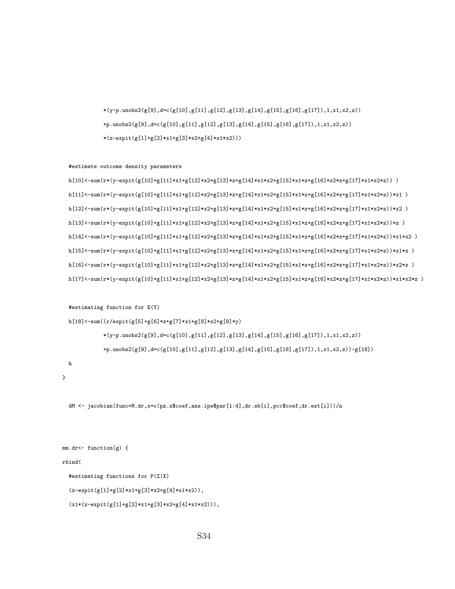```
(x1*(z-expit(g[1]+g[2]*x1+g[3]*x2+g[4]*x1*x2))),
```

```
(z-expit(g[1]+g[2]*x1+g[3]*x2+g[4]*x1*x2)),
```

```
#estimating functions for P(Z|X)
```
 $h[18]<-sum((r/expit(g[5]+g[6]*z+g[7]*x1+g[8]*x2+g[9]*y))$ 

#estimate outcome density parameters

#estimating function for E(Y)

```
rbind(
```
mm.dr<- function(g) {

}

```
*(y-p.\nmods2(g[9], d=c(g[10], g[11], g[12], g[13], g[14], g[15], g[16], g[17]), 1, x1, x2, z))+p.unobs2(g[9],d=c(g[10],g[11],g[12],g[13],g[14],g[15],g[16],g[17]),1,x1,x2,z))-g[18])
h
```
dM <- jacobian(func=M.dr,x=c(pz.x\$coef,ans.ipw\$par[1:4],dr.sb[i],pcc\$coef,dr.est[i]))/n

h[11]<-sum(r\*(y-expit(g[10]+g[11]\*x1+g[12]\*x2+g[13]\*z+g[14]\*x1\*x2+g[15]\*x1\*z+g[16]\*x2\*z+g[17]\*x1\*x2\*z))\*x1 )  $h[12]<-\text{sum}(r*(y-\text{expit}(g[10]+\text{g}[11]*x1+g[12]*x2+g[13]*z+g[14]*x1*x2+g[15]*x1*z+g[16]*x2*z+g[17]*x1*x2*z))*x2 )$  $h[13]<-\text{sum}(r*(y-\text{expit}(g[10]+\text{g}[11]*x1+g[12]*x2+g[13]*z+g[14]*x1*x2+g[15]*x1*x2+g[16]*x2*x+g[17]*x1*x2*x))*x$  $h[14] < -\text{sum}(r*(y-\text{expit}(g[10]+g[11]*x1+g[12]*x2+g[13]*z+g[14]*x1*x2+g[15]*x1*z+g[16]*x2*z+g[17]*x1*x2*z))*x1*x2 )$ h[15]<-sum(r\*(y-expit(g[10]+g[11]\*x1+g[12]\*x2+g[13]\*z+g[14]\*x1\*x2+g[15]\*x1\*z+g[16]\*x2\*z+g[17]\*x1\*x2\*z))\*x1\*z ) h[16]<-sum(r\*(y-expit(g[10]+g[11]\*x1+g[12]\*x2+g[13]\*z+g[14]\*x1\*x2+g[15]\*x1\*z+g[16]\*x2\*z+g[17]\*x1\*x2\*z))\*x2\*z ) h[17]<-sum(r\*(y-expit(g[10]+g[11]\*x1+g[12]\*x2+g[13]\*z+g[14]\*x1\*x2+g[15]\*x1\*z+g[16]\*x2\*z+g[17]\*x1\*x2\*z))\*x1\*x2\*z )

 $*(y-p.\nemph{unobs2}(g[9], d=c(g[10], g[11], g[12], g[13], g[14], g[15], g[16], g[17]), 1, x1, x2, z))$ +p.unobs2(g[9],d=c(g[10],g[11],g[12],g[13],g[14],g[15],g[16],g[17]),1,x1,x2,z))  $*(z-expit(g[1]+g[2]*x1+g[3]*x2+g[4]*x1*x2)))$ 

h[10]<-sum(r\*(y-expit(g[10]+g[11]\*x1+g[12]\*x2+g[13]\*z+g[14]\*x1\*x2+g[15]\*x1\*z+g[16]\*x2\*z+g[17]\*x1\*x2\*z)) )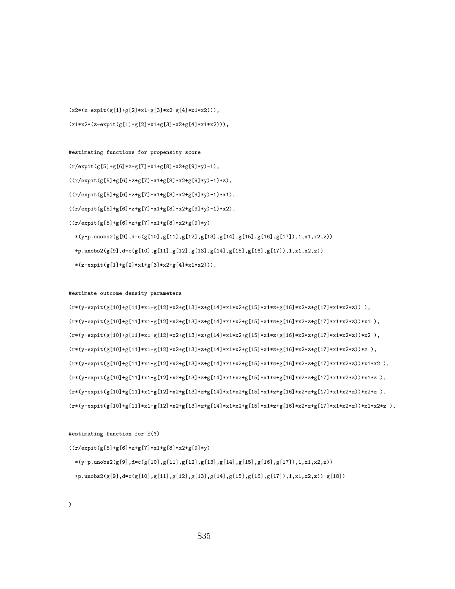$((r/expit(g[5]+g[6]*z+g[7]*x1+g[8]*x2+g[9]*y)$  $*(\verb|y-p.unobs2(g[9],\verb|dcc(g[10],g[11],g[12],g[13],g[14],g[15],g[16],g[17]),1,x1,x2,z))$  $+\texttt{p.unobs2}(g[9],\texttt{d=c}(g[10],g[11],g[12],g[13],g[14],g[15],g[16],g[17]),1,x1,x2,z))\textnormal{-}g[18])$ 

#estimating function for E(Y)

#estimate outcome density parameters

 $(r*(y-\texttt{expit}(g[10]+g[11]*x1+g[12]*x2+g[13]*z+g[14]*x1*x2+g[15]*x1*z+g[16]*x2*z+g[17]*x1*x2*z))\text{ },$  $(r*(y-expit(g[10]+g[11]*x1+g[12]*x2+g[13]*z+g[14]*x1*x2+g[15]*x1*z+g[16]*x2*x+g[17]*x1*x2*z))*x1$  ),  $(r*(y-\texttt{expit}(g[10]+g[11]*x1+g[12]*x2+g[13]*z+g[14]*x1*x2+g[15]*x1*x2+g[16]*x2*z+g[17]*x1*x2*z))*x2\ ,$  $(r*(y-expit(g[10]+g[11]*x1+g[12]*x2+g[13]*z+g[14]*x1*x2+g[15]*x1*x2*g[16]*x2*x+g[17]*x1*x2*x))*x )$  $(r*(y-\texttt{expit}(g[10]+g[11]*x1+g[12]*x2+g[13]*z+g[14]*x1*x2+g[15]*x1*x2+g[16]*x2*x+g[17]*x1*x2*))*x1*x2 ),$  $(r*(y-expit(g[10]+g[11]*x1+g[12]*x2+g[13]*z+g[14]*x1*x2+g[15]*x1*z+g[16]*x2*z+g[17]*x1*x2*z))*x1*z$  ),  $(r*(y-\texttt{expit}(g[10]+g[11]*x1+g[12]*x2+g[13]*z+g[14]*x1*x2+g[15]*x1*z+g[16]*x2*z+g[17]*x1*x2*z))*x2*z\text{ },$ (r\*(y-expit(g[10]+g[11]\*x1+g[12]\*x2+g[13]\*z+g[14]\*x1\*x2+g[15]\*x1\*z+g[16]\*x2\*z+g[17]\*x1\*x2\*z))\*x1\*x2\*z ),

#estimating functions for propensity score  $(r/expit(g[5]+g[6]*z+g[7]*x1+g[8]*x2+g[9]*y)-1),$  $((r/expit(g[5]+g[6]*z+g[7]*x1+g[8]*x2+g[9]*y)-1)*z)\,,$  $((r/expit(g[5]+g[6]*z+g[7]*x1+g[8]*x2+g[9]*y)-1)*x1),$  $((r/expit(g[5]+g[6]*z+g[7]*x1+g[8]*x2+g[9]*y)-1)*x2)\,,$  $((r/expit(g[5]+g[6]*z+g[7]*x1+g[8]*x2+g[9]*y)$  $*(\verb|y-p.unobs2(g[9],\verb|dcc(g[10],g[11],g[12],g[13],g[14],g[15],g[16],g[17]),1,x1,x2,z))$ +p.unobs2(g[9],d=c(g[10],g[11],g[12],g[13],g[14],g[15],g[16],g[17]),1,x1,x2,z))  $*(z-expit(g[1]+g[2]*x1+g[3]*x2+g[4]*x1*x2)))$ ,

 $(x2*(z-expit(g[1]+g[2]*x1+g[3]*x2+g[4]*x1*x2)))$ , (x1\*x2\*(z-expit(g[1]+g[2]\*x1+g[3]\*x2+g[4]\*x1\*x2))),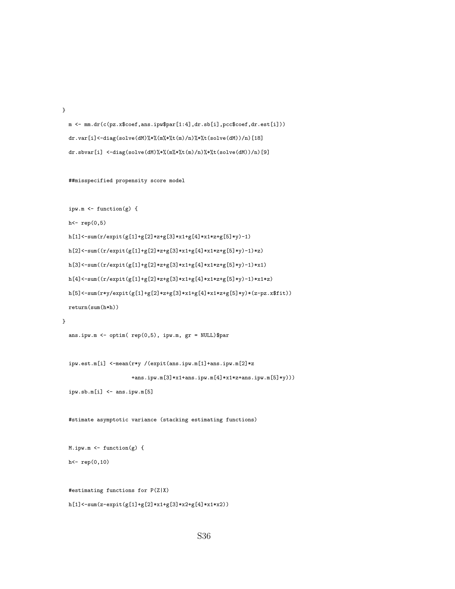}

m <- mm.dr(c(pz.x\$coef,ans.ipw\$par[1:4],dr.sb[i],pcc\$coef,dr.est[i])) dr.var[i]<-diag(solve(dM)%\*%(m%\*%t(m)/n)%\*%t(solve(dM))/n)[18] dr.sbvar[i] <-diag(solve(dM)%\*%(m%\*%t(m)/n)%\*%t(solve(dM))/n)[9]

##misspecified propensity score model

ipw.m <- function(g) {

h<- rep(0,5)

```
h[1]<-\texttt{sum}(r/\texttt{expit}(g[1]+g[2]*z+g[3]*x1+g[4]*x1*z+g[5]*y)-1)h[2]<-sum((r/expit(g[1]+g[2]*z+g[3]*x1+g[4]*x1*z+g[5]*y)-1)*z)
h[3]<-sum((r/expit(g[1]+g[2]*z+g[3]*x1+g[4]*x1*z+g[5]*y)-1)*x1)
h[4]<-sum((r/expit(g[1]+g[2]*z+g[3]*x1+g[4]*x1*z+g[5]*y)-1)*x1*z)h[5]{<}\texttt{-sum(r*y/expit(g[1]+g[2]*z+g[3]*x1+g[4]*x1*z+g[5]*y)*(z-pz.x$fit))}return(sum(h*h))
```

```
}
```

```
ans.ipw.m <- optim( rep(0,5), ipw.m, gr = NULL)$par
```
ipw.est.m[i] <-mean(r\*y /(expit(ans.ipw.m[1]+ans.ipw.m[2]\*z +ans.ipw.m[3]\*x1+ans.ipw.m[4]\*x1\*z+ans.ipw.m[5]\*y)))

```
ipw.sb.m[i] <- ans.ipw.m[5]
```
#stimate asymptotic variance (stacking estimating functions)

```
M.ipw.m <- function(g) {
h<- rep(0,10)
```
#estimating functions for P(Z|X)

```
h[1]<-sum(z-expit(g[1]+g[2]*x1+g[3]*x2+g[4]*x1*x2))
```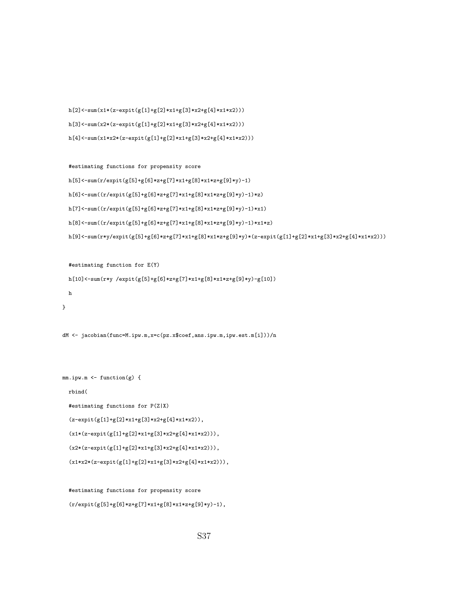h[2]<-sum(x1\*(z-expit(g[1]+g[2]\*x1+g[3]\*x2+g[4]\*x1\*x2))) h[3]<-sum(x2\*(z-expit(g[1]+g[2]\*x1+g[3]\*x2+g[4]\*x1\*x2))) h[4]<-sum(x1\*x2\*(z-expit(g[1]+g[2]\*x1+g[3]\*x2+g[4]\*x1\*x2)))

```
#estimating functions for propensity score
h[5]<-sum(r/expit(g[5]+g[6]*z+g[7]*x1+g[8]*x1*z+g[9]*y)-1)h[6]<-sum((r/expit(g[5]+g[6]*z+g[7]*x1+g[8]*x1*z+g[9]*y)-1)*z)h[7]<-\text{sum}((r/ \text{expit}(g[5]+g[6]*z+g[7]*x1+g[8]*x1*z+g[9]*y)-1)*x1)h[8]{<}{\textnormal{-sum}}((r/ex{\textnormal{pit}}(g[5]{+}g[6]{*}z{+}g[7]{*}x1{+}g[8]{*}x1{*}z{+}g[9]{*}y){-}1)*x1{*}z)h[9]<-\sum_{x\in [6]}h[x,y]\cdot\exp(t[x,y] + g[6] + g[6] + g[7] + g[8] + g[8] + g[9] + g[9] + g[2] + g[2] + g[2] + g[3] + g[3] + g[4] + g[4] + g[5]
```
#estimating function for E(Y) h[10] <-sum(r\*y /expit(g[5]+g[6]\*z+g[7]\*x1+g[8]\*x1\*z+g[9]\*y)-g[10]) h }

```
dM <- jacobian(func=M.ipw.m,x=c(pz.x$coef,ans.ipw.m,ipw.est.m[i]))/n
```

```
mm.ipw.m \leftarrow function(g) \{rbind(
  #estimating functions for P(Z|X)
  (z-expit(g[1]+g[2]*x1+g[3]*x2+g[4]*x1*x2)),
  (x1*(z-expit(g[1]+g[2]*x1+g[3]*x2+g[4]*x1*x2))),
  (x2*(z-expit(g[1]+g[2]*x1+g[3]*x2+g[4]*x1*x2))),
  (x1*x2*(z-expit(g[1]+g[2]*x1+g[3]*x2+g[4]*x1*x2))),
```

```
#estimating functions for propensity score
(r/expit(g[5]+g[6]*z+g[7]*x1+g[8]*x1*z+g[9]*y)-1),
```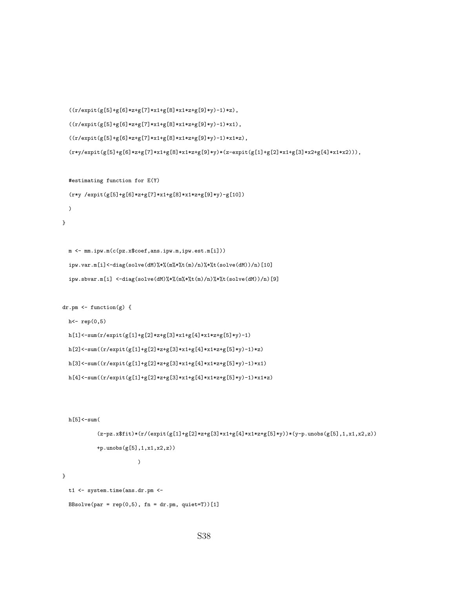```
((r/expit(g[5]+g[6]*z+g[7]*x1+g[8]*x1*z+g[9]*y)-1)*z),((r/expit(g[5]+g[6]*z+g[7]*x1+g[8]*x1*z+g[9]*y)-1)*x1),((r/expit(g[5]+g[6]*z+g[7]*x1+g[8]*x1*z+g[9]*y)-1)*x1*z),
```

```
(r*y/expit(g[5]+g[6]*z+g[7]*x1+g[8]*x1*z+g[9]*y)*(z-expit(g[1]+g[2]*x1+g[3]*x2+g[4]*x1*x2)))
```

```
#estimating function for E(Y)
```

```
(r*y /expit(g[5]+g[6]*z+g[7]*x1+g[8]*x1*z+g[9]*y)-g[10])
```

```
)
```

```
}
```
m <- mm.ipw.m(c(pz.x\$coef,ans.ipw.m,ipw.est.m[i])) ipw.var.m[i]<-diag(solve(dM)%\*%(m%\*%t(m)/n)%\*%t(solve(dM))/n)[10] ipw.sbvar.m[i] <-diag(solve(dM)%\*%(m%\*%t(m)/n)%\*%t(solve(dM))/n)[9]

```
dr.pm <- function(g) {
```
 $h$  <-  $rep(0, 5)$ 

```
h[1]<-\texttt{sum}(r/\texttt{expit}(g[1]+\texttt{g[2]*}z+\texttt{g[3]*}x1+\texttt{g[4]*}x1*z+\texttt{g[5]*}y)-1)h[2]<-sum((r/expit(g[1]+g[2]*z+g[3]*x1+g[4]*x1*z+g[5]*y)-1)*z)h[3]<-sum((r/expit(g[1]+g[2]*z+g[3]*x1+g[4]*x1*z+g[5]*y)-1)*x1)
h[4]<-sum((r/expit(g[1]+g[2]*z+g[3]*x1+g[4]*x1*z+g[5]*y)-1)*x1*z)
```

```
h[5]<-sum(
```

```
(z-pz.x$fit)*(r/(expit(g[1]+g[2]*z+g[3]*x1+g[4]*x1*z+g[5]*y))*(y-p.unobs(g[5],1,x1,x2,z))+p.unobs(g[5],1,x1,x2,z))
                      \lambdat1 <- system.time(ans.dr.pm <-
```
}

```
BBsolve(par = rep(0,5), fn = dr.pm, quiet=T))[1]
```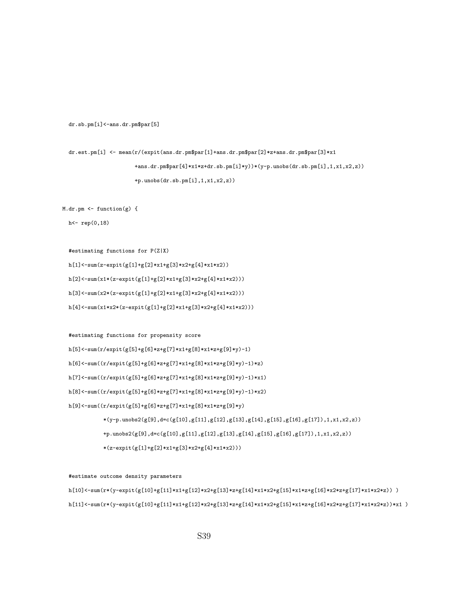dr.sb.pm[i]<-ans.dr.pm\$par[5]

dr.est.pm[i] <- mean(r/(expit(ans.dr.pm\$par[1]+ans.dr.pm\$par[2]\*z+ans.dr.pm\$par[3]\*x1 +ans.dr.pm\$par[4]\*x1\*z+dr.sb.pm[i]\*y))\*(y-p.unobs(dr.sb.pm[i],1,x1,x2,z)) +p.unobs(dr.sb.pm[i],1,x1,x2,z))

 $M.dr.pm \leftarrow function(g)$  {

h<- rep(0,18)

#estimating functions for P(Z|X)  $h[1]<-sum(z-expit(g[1]+g[2]*x1+g[3]*x2+g[4]*x1*x2))$ h[2]<-sum(x1\*(z-expit(g[1]+g[2]\*x1+g[3]\*x2+g[4]\*x1\*x2))) h[3]<-sum(x2\*(z-expit(g[1]+g[2]\*x1+g[3]\*x2+g[4]\*x1\*x2)))

 $h[4]{<}\texttt{-sum(x1*x2*(z-expit(g[1]+g[2]*x1+g[3]*x2+g[4]*x1*x2)))}$ 

```
#estimating functions for propensity score
h[5]<-sum(r/expit(g[5]+g[6]*z+g[7]*x1+g[8]*x1*z+g[9]*y)-1)
h[6]<-sum((r/expit(g[5]+g[6]*z+g[7]*x1+g[8]*x1*z+g[9]*y)-1)*z)h[7]<-sum((r/expit(g[5]+g[6]*z+g[7]*x1+g[8]*x1*z+g[9]*y)-1)*x1)
h[8]\!\leq\!\!-\!\!\operatorname{sum}((r/\texttt{expit}(g[5]\!\!+\!\!g[6]\!\!*\!\!z\!\!+\!\!g[7]\!\!*\!\!x1\!\!+\!\!g[8]\!\!*\!\!x1\!\!*\!\!z\!\!+\!\!g[9]\!\!*\!\!y)\!\!-\!\!1)\!\!*\!\!x2)h[9]<-sum((r/expit(g[5]+g[6]*z+g[7]*x1+g[8]*x1*z+g[9]*y)
               *(y-p.\nmods2(g[9], d=c(g[10], g[11], g[12], g[13], g[14], g[15], g[16], g[17]), 1, x1, x2, z))+p.unobs2(g[9],d=c(g[10],g[11],g[12],g[13],g[14],g[15],g[16],g[17]),1,x1,x2,z))
              *(z\text{-}\mathrm{expit}(g[1]\text{+}g[2]\text{+}x1\text{+}g[3]\text{+}x2\text{+}g[4]\text{+}x1\text{+}x2)))
```
#estimate outcome density parameters

 $h[10]<-\text{sum}(\text{r*(y-expit(g[10]+g[11]*x1+g[12]*x2+g[13]*z+g[14]*x1*x2+g[15]*x1*x2+g[16]*x2*x+g[17]*x1*x2*x))$ h[11]<-sum(r\*(y-expit(g[10]+g[11]\*x1+g[12]\*x2+g[13]\*z+g[14]\*x1\*x2+g[15]\*x1\*z+g[16]\*x2\*z+g[17]\*x1\*x2\*z))\*x1 )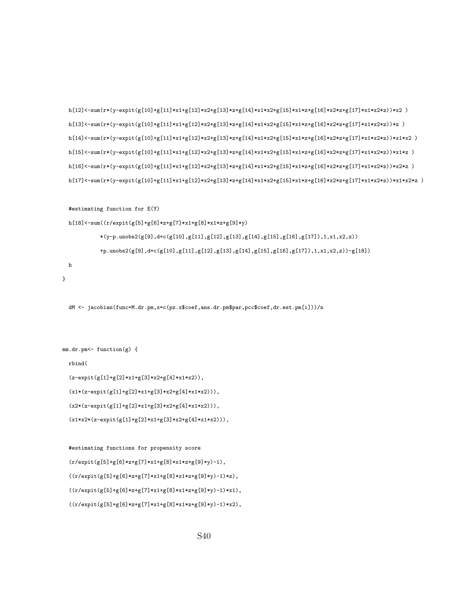```
#estimating functions for propensity score
(r/expit(g[5]+g[6]*z+g[7]*x1+g[8]*x1*z+g[9]*y)-1),((r/expit(g[5]+g[6]*z+g[7]*x1+g[8]*x1*z+g[9]*y)-1)*z),((r/expit(g[5]+g[6]*z+g[7]*x1+g[8]*x1*z+g[9]*y)-1)*x1),((r/expit(g[5]+g[6]*z+g[7]*x1+g[8]*x1*z+g[9]*y)-1)*x2),
```

```
(z-expit(g[1]+g[2]*x1+g[3]*x2+g[4]*x1*x2)),
(x1*(z-expit(g[1]+g[2]*x1+g[3]*x2+g[4]*x1*x2))),
(x2*(z-expit(g[1]+g[2]*x1+g[3]*x2+g[4]*x1*x2))),
(x1*x2*(z-expit(g[1]+g[2]*x1+g[3]*x2+g[4]*x1*x2))),
```
dM <- jacobian(func=M.dr.pm,x=c(pz.x\$coef,ans.dr.pm\$par,pcc\$coef,dr.est.pm[i]))/n

#estimating function for E(Y)

```
mm-dr.pm <- function(g) {
```
h

}

```
rbind(
```
h[18]<-sum((r/expit(g[5]+g[6]\*z+g[7]\*x1+g[8]\*x1\*z+g[9]\*y)

```
h[12]<-sum(r*(y-expit(g[10]+g[11]*x1+g[12]*x2+g[13]*z+g[14]*x1*x2+g[15]*x1*z+g[16]*x2*z+g[17]*x1*x2*z))*x2 )
h[13]<-sum(r*(y-expit(g[10]+g[11]*x1+g[12]*x2+g[13]*z+g[14]*x1*x2+g[15]*x1*z+g[16]*x2*z+g[17]*x1*x2*z))*z )
h[14]<-sum(r*(y-expit(g[10]+g[11]*x1+g[12]*x2+g[13]*z+g[14]*x1*x2+g[15]*x1*z+g[16]*x2*z+g[17]*x1*x2*z))*x1*x2 )
h[15]<-sum(r*(y-expit(g[10]+g[11]*x1+g[12]*x2+g[13]*z+g[14]*x1*x2+g[15]*x1*z+g[16]*x2*z+g[17]*x1*x2*z))*x1*z )
h[16]<-sum(r*(y-expit(g[10]+g[11]*x1+g[12]*x2+g[13]*z+g[14]*x1*x2+g[15]*x1*z+g[16]*x2*z+g[17]*x1*x2*z))*x2*z )
h[17]<-\text{sum}(r*(y-\text{expit}(g[10]+\text{g}[11]*x1+g[12]*x2+g[13]*z+g[14]*x1*x2+g[15]*x1*z+g[16]*x2*z+g[17]*x1*x2*z))*x1*x2*x)
```
 $*(\verb|y-p.unobs2(g[9],\verb|dcc(g[10],g[11],g[12],g[13],g[14],g[15],g[16],g[17]),1,x1,x2,z))$ 

+p.unobs2(g[9],d=c(g[10],g[11],g[12],g[13],g[14],g[15],g[16],g[17]),1,x1,x2,z))-g[18])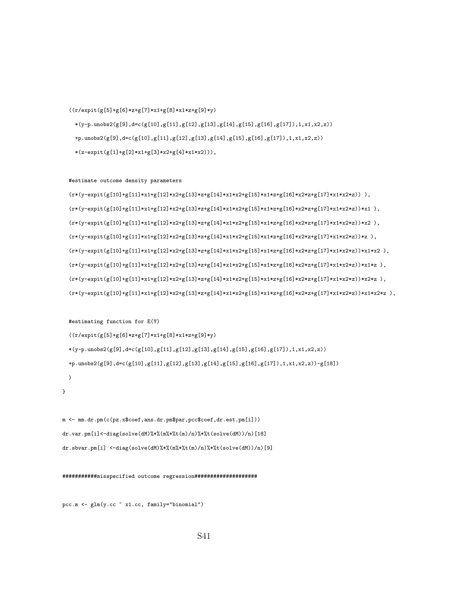## S41

pcc.m <- glm(y.cc ~ x1.cc, family="binomial")

}

## ###########misspecified outcome regression####################

m <- mm.dr.pm(c(pz.x\$coef,ans.dr.pm\$par,pcc\$coef,dr.est.pm[i])) dr.var.pm[i]<-diag(solve(dM)%\*%(m%\*%t(m)/n)%\*%t(solve(dM))/n)[18] dr.sbvar.pm[i] <-diag(solve(dM)%\*%(m%\*%t(m)/n)%\*%t(solve(dM))/n)[9]

## #estimating function for E(Y)  $((r/expit(g[5]+g[6]*z+g[7]*x1+g[8]*x1*z+g[9]*y))$  $*(y-p.\nunobs2(g[9], d=c(g[10], g[11], g[12], g[13], g[14], g[15], g[16], g[17]), 1, x1, x2, z))$  $+\texttt{p.unobs2}(g[9],\texttt{d=c}(g[10],g[11],g[12],g[13],g[14],g[15],g[16],g[17]),1,x1,x2,z))\textnormal{-}g[18])$ )

#estimate outcome density parameters  $(r*(y-expit(g[10]+g[11]*x1+g[12]*x2+g[13]*z+g[14]*x1*x2+g[15]*x1*xz+g[16]*x2*xz+g[17]*x1*x2*z))$  ),  $(r*(y-\texttt{expit}(g[10]+g[11]*x1+g[12]*x2+g[13]*z+g[14]*x1*x2+g[15]*x1*x2+z[g[16]*x2*z+g[17]*x1*x2*z))*x1\enspace),$  $(r*(y-expit(g[10]+g[11]*x1+g[12]*x2+g[13]*z+g[14]*x1*x2+g[15]*x1*z2+g[16]*x2*x+g[17]*x1*x2*z))*x2$  ),  $(\mathsf{r}*(\mathsf{y}-\mathsf{expit}(g[10]+\mathsf{g}[11]*x1+g[12]*x2+g[13]*z+\mathsf{g}[14]*x1*x2+g[15]*x1*z+\mathsf{g}[16]*x2*z+\mathsf{g}[17]*x1*x2*z))*z$  ),  $(r*(y-expit(g[10]+g[11]*x1+g[12]*x2+g[13]*z+g[14]*x1*x2+g[15]*x1*x2+g[16]*x2*x+g[17]*x1*x2*))*x1*x2 ,$  $(r*(y-expit(g[10]+g[11]*x1+g[12]*x2+g[13]*z+g[14]*x1*x2+g[15]*x1*x2+g[16]*x2*x+g[17]*x1*x2*z))*x1*z$  $(r*(y-expit(g[10]+g[11]*x1+g[12]*x2+g[13]*z+g[14]*x1*x2+g[15]*x1*x2*g[16]*x2*x+g[17]*x1*x2*z))*x2*z$  ),  $(r*(y-\texttt{expit}(g[10]+g[11]*x1+g[12]*x2+g[13]*z+g[14]*x1*x2+g[15]*x1*x2+g[16]*x2*z1*z+g[17]*x1*x2*z))*x1*x2*x$  ),

\*(z-expit(g[1]+g[2]\*x1+g[3]\*x2+g[4]\*x1\*x2))),

## $((r/expit(g[5]+g[6]*z+g[7]*x1+g[8]*x1*z+g[9]*y))$  $*(y-p.\nmods2(g[9], d=c(g[10], g[11], g[12], g[13], g[14], g[15], g[16], g[17]), 1, x1, x2, z))$ +p.unobs2(g[9],d=c(g[10],g[11],g[12],g[13],g[14],g[15],g[16],g[17]),1,x1,x2,z))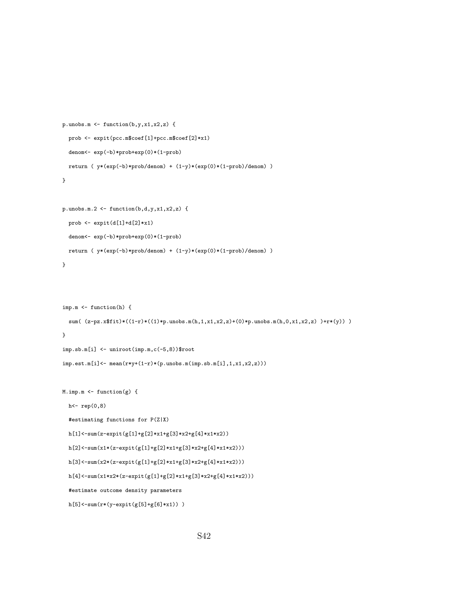```
p.unobs.m <- function(b,y,x1,x2,z) {
 prob <- expit(pcc.m$coef[1]+pcc.m$coef[2]*x1)
  denom<- exp(-b)*prob+exp(0)*(1-prob)
 return ( y*(exp(-b)*prob/denom) + (1-y)*(exp(0)*(1-prob)/denom) )
}
p.unobs.m.2 <- function(b,d,y,x1,x2,z) {
 prob <- expit(d[1]+d[2]*x1)
 denom<- exp(-b)*prob+exp(0)*(1-prob)
 return ( y*(exp(-b)*prob/denom) + (1-y)*(exp(0)*(1-prob)/denom) )
}
imp.m <- function(h) {
  sum( (z-pz.x$fit)*(1-r)*(1)*p.unobs.m(h,1,x1,x2,z)+(0)*p.unobs.m(h,0,x1,x2,z) )+r*(y)) )}
imp.sb.m[i] <- uniroot(imp.m,c(-5,8))$root
imp.est.m[i] \leftarrow mean(r*y+(1-r)*(p.unobs.m(imp.sb.m[i],1,x1,x2,z)))M.imp.m <- function(g) {
 h<- rep(0,8)
  #estimating functions for P(Z|X)
  h[1]<-sum(z-expit(g[1]+g[2]*x1+g[3]*x2+g[4]*x1*x2))
 h[2]<-sum(x1*(z-expit(g[1]+g[2]*x1+g[3]*x2+g[4]*x1*x2)))
  h[3]<-sum(x2*(z-expit(g[1]+g[2]*x1+g[3]*x2+g[4]*x1*x2)))h[4]<-sum(x1*x2*(z-expit(g[1]+g[2]*x1+g[3]*x2+g[4]*x1*x2)))#estimate outcome density parameters
```

```
h[5]<-sum(r*(y-expit(g[5]+g[6]*x1)) )
```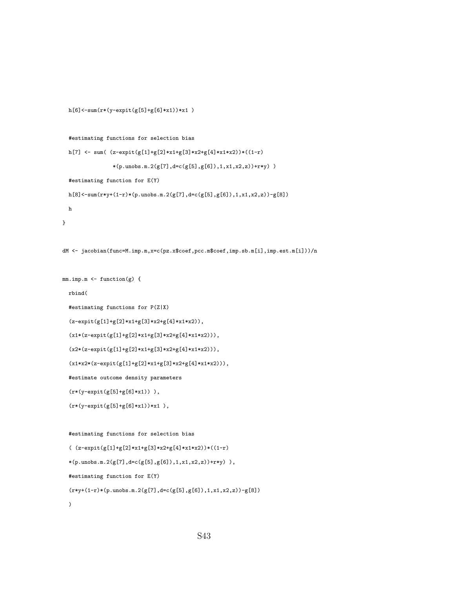```
h[6]<-sum(r*(y-expit(g[5]+g[6]*x1))*x1 )
```

```
#estimating functions for selection bias
```

```
h[7] \leftarrow sum( (z-expit(g[1]+g[2]*x1+g[3]*x2+g[4]*x1*x2))*((1-r)
              *(p.unobs.n.2(g[7],d=c(g[5],g[6]),1,x1,x2,z))+r*y) )#estimating function for E(Y)
h[8]<-sum(r*y+(1-r)*(p.unobs.m.2(g[7],d=c(g[5],g[6]),1,x1,x2,z))-g[8])h
```

```
}
```

```
dM <- jacobian(func=M.imp.m,x=c(pz.x$coef,pcc.m$coef,imp.sb.m[i],imp.est.m[i]))/n
```

```
mm.imp.m <- function(g) {
 rbind(
 #estimating functions for P(Z|X)
 (z-expit(g[1]+g[2]*x1+g[3]*x2+g[4]*x1*x2)),
 (x1*(z-expit(g[1]+g[2]*x1+g[3]*x2+g[4]*x1*x2))),
 (x2*(z-expit(g[1]+g[2]*x1+g[3]*x2+g[4]*x1*x2))),
 (x1*x2*(z-expit(g[1]+g[2]*x1+g[3]*x2+g[4]*x1*x2))),
 #estimate outcome density parameters
 (r*(y-expit(g[5]+g[6]*x1)) ),
```

```
(r*(y-expit(g[5]+g[6]*x1))*x1),
```

```
#estimating functions for selection bias
```

```
( (z-expit(g[1]+g[2]*x1+g[3]*x2+g[4]*x1*x2))*((1-r)
*(p.unobs.m.2(g[7],d=c(g[5],g[6]),1,x1,x2,z))+r*y)),
#estimating function for E(Y)
(r*y+(1-r)*(p.unobs.m.2(g[7],d=c(g[5],g[6]),1,x1,x2,z))-g[8]))
```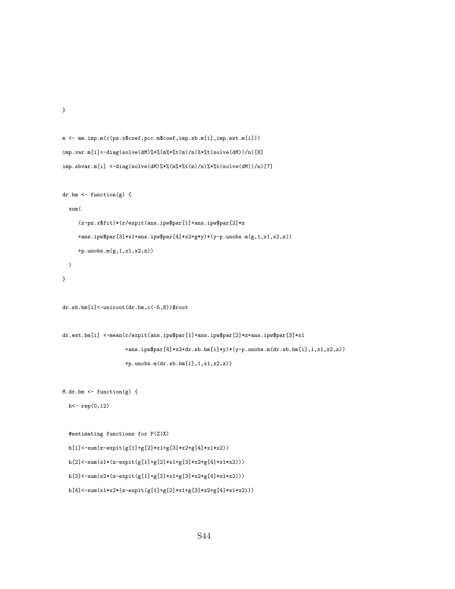```
m <- mm.imp.m(c(pz.x$coef,pcc.m$coef,imp.sb.m[i],imp.est.m[i]))
imp.var.m[i]<-diag(solve(dM)%*%(m%*%t(m)/n)%*%t(solve(dM))/n)[8]
imp.sbvar.m[i] <-diag(solve(dM)%*%(m%*%t(m)/n)%*%t(solve(dM))/n)[7]
dr.bm \leq function(g) {
  sum(
     (z-pz.x$fit)*(r/expit(ans.ipw$par[1]+ans.ipw$par[2]*z
     \verb+ans.jpg+ary82+31+ans.jpg+ary82+g*y*(y-p.unobs.m(g,1,x1,x2,z))+p.unobs.m(g,1,x1,x2,z))
  )
}
dr.sb.bm[i]<-uniroot(dr.bm,c(-5,8))$root
\verb|dr.est.bm[i] < -\verb|mean(r/expit(ans.ipw$par[1]+ans.ipw$par[2]*z+ans.ipw$par[3]*x1+ans.ipw$par[4]*x2+dr.sb.bm[i]*y)*(y-p.unobs.m(dr.sb.bm[i],1,x1,x2,z))
                    +p.unobs.m(dr.sb.bm[i],1,x1,x2,z))
M.dr.bm <- function(g) {
  h<- rep(0,12)
```

```
#estimating functions for P(Z|X)
h[1]<-sum(z-expit(g[1]+g[2]*x1+g[3]*x2+g[4]*x1*x2))
h[2]<-sum(x1*(z-expit(g[1]+g[2]*x1+g[3]*x2+g[4]*x1*x2)))h[3]{<}{\texttt{-sum}}(x2*(z{\texttt{-expit}}(g[1]{\texttt{+}}g[2]{\texttt{*}}x1{\texttt{+}}g[3]{\texttt{*}}x2{\texttt{+}}g[4]{\texttt{*}}x1{\texttt{*}}x2)))
```
}

```
h[4]<-sum(x1*x2*(z-expit(g[1]+g[2]*x1+g[3]*x2+g[4]*x1*x2)))
```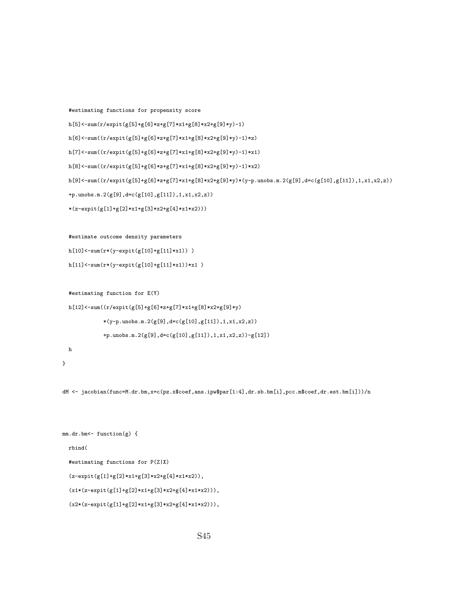```
#estimating functions for propensity score
```

```
h[5]\!\leftarrow\!\texttt{sum}(r/\texttt{expit}(g[5]\texttt{+}g[6]\texttt{*}z\texttt{+}g[7]\texttt{*}x1\texttt{+}g[8]\texttt{*}x2\texttt{+}g[9]\texttt{*}y)\texttt{-}1)
```
 $h[6]<sup>-sum</sup>((r/expit(g[5]+g[6]*z+g[7]*x1+g[8]*x2+g[9]*y)-1)*z)$ 

```
h[7]<-sum((r/expit(g[5]+g[6]*z+g[7]*x1+g[8]*x2+g[9]*y)-1)*x1)
```

```
h[8]<-sum((r/expit(g[5]+g[6]*z+g[7]*x1+g[8]*x2+g[9]*y)-1)*x2)
```

```
h[9]<-\sum_{r\in[9]}(-\sum_{r\in[7]}(r/\expit(g[5]+\sum_{r\in[8]}*z+\exp[7]*x1+g[8]*x2+g[9]*y)*(y-p.unobs.m.2(g[9],d=c(g[10],g[11]),1,x1,x2,z))
```

```
+p.unobs.m.2(g[9],d=c(g[10],g[11]),1,x1,x2,z))
```

```
*(\texttt{z-expit}(g[1]\texttt{+}g[2]\texttt{*}x1\texttt{+}g[3]\texttt{*}x2\texttt{+}g[4]\texttt{*}x1\texttt{*}x2)))
```
#estimate outcome density parameters

```
h[10]<-sum(r*(y-expit(g[10]+g[11]*x1)) )
```

```
h[11]<-sum(r*(y-expit(g[10]+g[11]*x1))*x1 )
```
#estimating function for E(Y)

```
h[12]<-sum((r/expit(g[5]+g[6]*z+g[7]*x1+g[8]*x2+g[9]*y)*(y-p.\nunobs.n.2(g[9],d=c(g[10],g[11]),1,x1,x2,z))+p.unobs.m.2(g[9],d=c(g[10],g[11]),1,x1,x2,z))-g[12])
h
```
}

dM <- jacobian(func=M.dr.bm,x=c(pz.x\$coef,ans.ipw\$par[1:4],dr.sb.bm[i],pcc.m\$coef,dr.est.bm[i]))/n

```
mm.dr.bm<- function(g) {
 rbind(
 #estimating functions for P(Z|X)
 (z-expit(g[1]+g[2]*x1+g[3]*x2+g[4]*x1*x2)),
 (x1*(z-expit(g[1]+g[2]*x1+g[3]*x2+g[4]*x1*x2))),
  (x2*(z-expit(g[1]+g[2]*x1+g[3]*x2+g[4]*x1*x2))),
```